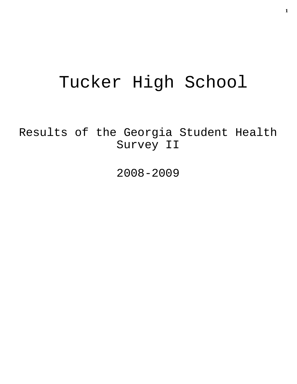# Tucker High School

Results of the Georgia Student Health Survey II

2008-2009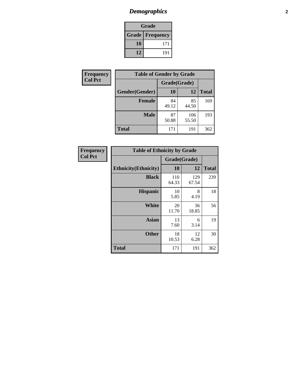### *Demographics* **2**

| Grade                    |     |  |  |  |
|--------------------------|-----|--|--|--|
| <b>Grade   Frequency</b> |     |  |  |  |
| 10                       | 171 |  |  |  |
| 12                       | 191 |  |  |  |

| Frequency      | <b>Table of Gender by Grade</b> |              |              |              |
|----------------|---------------------------------|--------------|--------------|--------------|
| <b>Col Pct</b> |                                 | Grade(Grade) |              |              |
|                | Gender(Gender)                  | 10           | 12           | <b>Total</b> |
|                | <b>Female</b>                   | 84<br>49.12  | 85<br>44.50  | 169          |
|                | <b>Male</b>                     | 87<br>50.88  | 106<br>55.50 | 193          |
|                | <b>Total</b>                    | 171          | 191          | 362          |

| Frequency<br>Col Pct |
|----------------------|
|                      |

| <b>Table of Ethnicity by Grade</b> |              |              |              |  |  |  |
|------------------------------------|--------------|--------------|--------------|--|--|--|
|                                    | Grade(Grade) |              |              |  |  |  |
| <b>Ethnicity</b> (Ethnicity)       | 10           | 12           | <b>Total</b> |  |  |  |
| <b>Black</b>                       | 110<br>64.33 | 129<br>67.54 | 239          |  |  |  |
| <b>Hispanic</b>                    | 10<br>5.85   | 8<br>4.19    | 18           |  |  |  |
| White                              | 20<br>11.70  | 36<br>18.85  | 56           |  |  |  |
| <b>Asian</b>                       | 13<br>7.60   | 6<br>3.14    | 19           |  |  |  |
| <b>Other</b>                       | 18<br>10.53  | 12<br>6.28   | 30           |  |  |  |
| <b>Total</b>                       | 171          | 191          | 362          |  |  |  |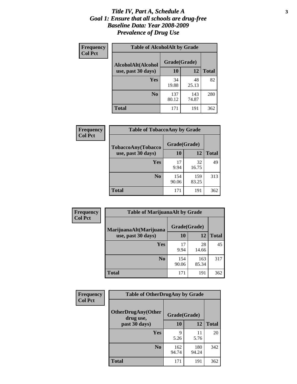#### *Title IV, Part A, Schedule A* **3** *Goal 1: Ensure that all schools are drug-free Baseline Data: Year 2008-2009 Prevalence of Drug Use*

| Frequency<br><b>Col Pct</b> | <b>Table of AlcoholAlt by Grade</b> |              |              |              |  |  |
|-----------------------------|-------------------------------------|--------------|--------------|--------------|--|--|
|                             | AlcoholAlt(Alcohol                  | Grade(Grade) |              |              |  |  |
|                             | use, past 30 days)                  | <b>10</b>    | 12           | <b>Total</b> |  |  |
|                             | Yes                                 | 34<br>19.88  | 48<br>25.13  | 82           |  |  |
|                             | N <sub>0</sub>                      | 137<br>80.12 | 143<br>74.87 | 280          |  |  |
|                             | Total                               | 171          | 191          | 362          |  |  |

| Frequency      | <b>Table of TobaccoAny by Grade</b> |              |              |              |  |
|----------------|-------------------------------------|--------------|--------------|--------------|--|
| <b>Col Pct</b> | <b>TobaccoAny(Tobacco</b>           | Grade(Grade) |              |              |  |
|                | use, past 30 days)                  | <b>10</b>    | 12           | <b>Total</b> |  |
|                | Yes                                 | 17<br>9.94   | 32<br>16.75  | 49           |  |
|                | N <sub>0</sub>                      | 154<br>90.06 | 159<br>83.25 | 313          |  |
|                | <b>Total</b>                        | 171          | 191          | 362          |  |

| Frequency<br><b>Col Pct</b> | <b>Table of MarijuanaAlt by Grade</b> |              |              |              |  |
|-----------------------------|---------------------------------------|--------------|--------------|--------------|--|
|                             | MarijuanaAlt(Marijuana                | Grade(Grade) |              |              |  |
|                             | use, past 30 days)                    | <b>10</b>    | 12           | <b>Total</b> |  |
|                             | <b>Yes</b>                            | 17<br>9.94   | 28<br>14.66  | 45           |  |
|                             | N <sub>0</sub>                        | 154<br>90.06 | 163<br>85.34 | 317          |  |
|                             | <b>Total</b>                          | 171          | 191          | 362          |  |

| Frequency<br><b>Col Pct</b> | <b>Table of OtherDrugAny by Grade</b>  |              |              |              |  |  |
|-----------------------------|----------------------------------------|--------------|--------------|--------------|--|--|
|                             | <b>OtherDrugAny(Other</b><br>drug use, |              | Grade(Grade) |              |  |  |
|                             | past 30 days)                          | 10           | 12           | <b>Total</b> |  |  |
|                             | Yes                                    | 9<br>5.26    | 11<br>5.76   | 20           |  |  |
|                             | N <sub>0</sub>                         | 162<br>94.74 | 180<br>94.24 | 342          |  |  |
|                             | <b>Total</b>                           | 171          | 191          | 362          |  |  |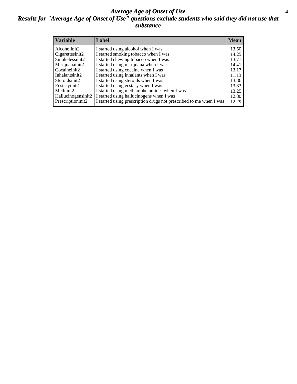#### *Average Age of Onset of Use* **4** *Results for "Average Age of Onset of Use" questions exclude students who said they did not use that substance*

| <b>Variable</b>    | Label                                                              | <b>Mean</b> |
|--------------------|--------------------------------------------------------------------|-------------|
| Alcoholinit2       | I started using alcohol when I was                                 | 13.50       |
| Cigarettesinit2    | I started smoking tobacco when I was                               | 14.25       |
| Smokelessinit2     | I started chewing tobacco when I was                               | 13.77       |
| Marijuanainit2     | I started using marijuana when I was                               | 14.41       |
| Cocaineinit2       | I started using cocaine when I was                                 | 13.17       |
| Inhalantsinit2     | I started using inhalants when I was                               | 11.13       |
| Steroidsinit2      | I started using steroids when I was                                | 13.86       |
| Ecstasyinit2       | I started using ecstasy when I was                                 | 13.83       |
| Methinit2          | I started using methamphetamines when I was                        | 13.25       |
| Hallucinogensinit2 | I started using hallucinogens when I was                           | 12.80       |
| Prescriptioninit2  | I started using prescription drugs not prescribed to me when I was | 12.29       |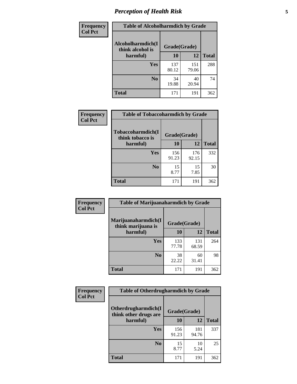### *Perception of Health Risk* **5**

| Frequency      | <b>Table of Alcoholharmdich by Grade</b> |              |              |              |  |
|----------------|------------------------------------------|--------------|--------------|--------------|--|
| <b>Col Pct</b> | Alcoholharmdich(I<br>think alcohol is    | Grade(Grade) |              |              |  |
|                | harmful)                                 | 10           | 12           | <b>Total</b> |  |
|                | <b>Yes</b>                               | 137<br>80.12 | 151<br>79.06 | 288          |  |
|                | N <sub>0</sub>                           | 34<br>19.88  | 40<br>20.94  | 74           |  |
|                | <b>Total</b>                             | 171          | 191          | 362          |  |

| Frequency      | <b>Table of Tobaccoharmdich by Grade</b> |              |              |              |
|----------------|------------------------------------------|--------------|--------------|--------------|
| <b>Col Pct</b> | Tobaccoharmdich(I<br>think tobacco is    | Grade(Grade) |              |              |
|                | harmful)                                 | 10           | 12           | <b>Total</b> |
|                | Yes                                      | 156<br>91.23 | 176<br>92.15 | 332          |
|                | N <sub>0</sub>                           | 15<br>8.77   | 15<br>7.85   | 30           |
|                | <b>Total</b>                             | 171          | 191          | 362          |

| Frequency      | <b>Table of Marijuanaharmdich by Grade</b> |              |              |              |  |  |
|----------------|--------------------------------------------|--------------|--------------|--------------|--|--|
| <b>Col Pct</b> | Marijuanaharmdich(I<br>think marijuana is  | Grade(Grade) |              |              |  |  |
|                | harmful)                                   | 10           | 12           | <b>Total</b> |  |  |
|                | Yes                                        | 133<br>77.78 | 131<br>68.59 | 264          |  |  |
|                | N <sub>0</sub>                             | 38<br>22.22  | 60<br>31.41  | 98           |  |  |
|                | <b>Total</b>                               | 171          | 191          | 362          |  |  |

| <b>Frequency</b> | <b>Table of Otherdrugharmdich by Grade</b>                   |              |              |              |  |  |  |
|------------------|--------------------------------------------------------------|--------------|--------------|--------------|--|--|--|
| <b>Col Pct</b>   | Otherdrugharmdich(I<br>Grade(Grade)<br>think other drugs are |              |              |              |  |  |  |
|                  | harmful)                                                     | <b>10</b>    | 12           | <b>Total</b> |  |  |  |
|                  | <b>Yes</b>                                                   | 156<br>91.23 | 181<br>94.76 | 337          |  |  |  |
|                  | N <sub>0</sub>                                               | 15<br>8.77   | 10<br>5.24   | 25           |  |  |  |
|                  | <b>Total</b>                                                 | 171          | 191          | 362          |  |  |  |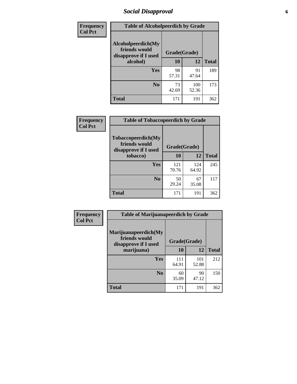### *Social Disapproval* **6**

| <b>Frequency</b> | <b>Table of Alcoholpeerdich by Grade</b>                    |              |              |     |
|------------------|-------------------------------------------------------------|--------------|--------------|-----|
| <b>Col Pct</b>   | Alcoholpeerdich(My<br>friends would<br>disapprove if I used | Grade(Grade) |              |     |
|                  | alcohol)                                                    | 10           | <b>Total</b> |     |
|                  | <b>Yes</b>                                                  | 98<br>57.31  | 91<br>47.64  | 189 |
|                  | N <sub>0</sub>                                              | 73<br>42.69  | 100<br>52.36 | 173 |
|                  | <b>Total</b>                                                | 171          | 191          | 362 |

| <b>Frequency</b> |
|------------------|
| <b>Col Pct</b>   |

| <b>Table of Tobaccopeerdich by Grade</b>                    |              |              |              |  |  |  |  |
|-------------------------------------------------------------|--------------|--------------|--------------|--|--|--|--|
| Tobaccopeerdich(My<br>friends would<br>disapprove if I used | Grade(Grade) |              |              |  |  |  |  |
| tobacco)                                                    | 10           | 12           | <b>Total</b> |  |  |  |  |
| Yes                                                         | 121<br>70.76 | 124<br>64.92 | 245          |  |  |  |  |
| N <sub>0</sub>                                              | 50<br>29.24  | 67<br>35.08  | 117          |  |  |  |  |
| <b>Total</b>                                                | 171          | 191          | 362          |  |  |  |  |

| <b>Frequency</b> | <b>Table of Marijuanapeerdich by Grade</b>                    |              |              |              |  |  |  |  |
|------------------|---------------------------------------------------------------|--------------|--------------|--------------|--|--|--|--|
| <b>Col Pct</b>   | Marijuanapeerdich(My<br>friends would<br>disapprove if I used |              | Grade(Grade) |              |  |  |  |  |
|                  | marijuana)                                                    | 10           | 12           | <b>Total</b> |  |  |  |  |
|                  | <b>Yes</b>                                                    | 111<br>64.91 | 101<br>52.88 | 212          |  |  |  |  |
|                  | N <sub>0</sub>                                                | 60<br>35.09  | 90<br>47.12  | 150          |  |  |  |  |
|                  | <b>Total</b>                                                  | 171          | 191          | 362          |  |  |  |  |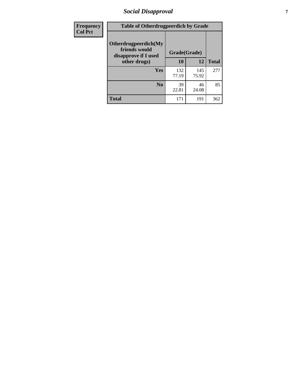### *Social Disapproval* **7**

| Frequency      | <b>Table of Otherdrugpeerdich by Grade</b>                    |              |              |              |  |  |  |  |
|----------------|---------------------------------------------------------------|--------------|--------------|--------------|--|--|--|--|
| <b>Col Pct</b> | Otherdrugpeerdich(My<br>friends would<br>disapprove if I used | Grade(Grade) |              |              |  |  |  |  |
|                | other drugs)                                                  | 10           | 12           | <b>Total</b> |  |  |  |  |
|                | Yes                                                           | 132<br>77.19 | 145<br>75.92 | 277          |  |  |  |  |
|                | N <sub>0</sub>                                                | 39<br>22.81  | 46<br>24.08  | 85           |  |  |  |  |
|                | <b>Total</b>                                                  | 171          | 191          | 362          |  |  |  |  |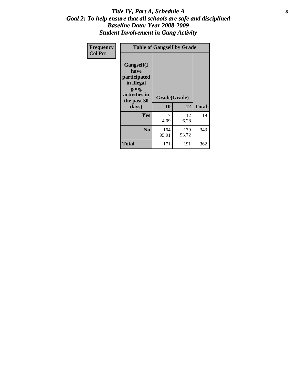#### Title IV, Part A, Schedule A **8** *Goal 2: To help ensure that all schools are safe and disciplined Baseline Data: Year 2008-2009 Student Involvement in Gang Activity*

| Frequency      | <b>Table of Gangself by Grade</b>                                                                 |                    |              |              |
|----------------|---------------------------------------------------------------------------------------------------|--------------------|--------------|--------------|
| <b>Col Pct</b> | Gangself(I<br>have<br>participated<br>in illegal<br>gang<br>activities in<br>the past 30<br>days) | Grade(Grade)<br>10 | 12           | <b>Total</b> |
|                | Yes                                                                                               | 7<br>4.09          | 12<br>6.28   | 19           |
|                | N <sub>0</sub>                                                                                    | 164<br>95.91       | 179<br>93.72 | 343          |
|                | <b>Total</b>                                                                                      | 171                | 191          | 362          |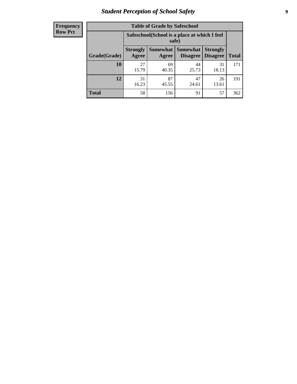### *Student Perception of School Safety* **9**

| <b>Frequency</b><br>Row Pct |
|-----------------------------|
|                             |

| <b>Table of Grade by Safeschool</b> |                                                                                                                                    |                                                        |             |             |     |  |  |  |
|-------------------------------------|------------------------------------------------------------------------------------------------------------------------------------|--------------------------------------------------------|-------------|-------------|-----|--|--|--|
|                                     |                                                                                                                                    | Safeschool (School is a place at which I feel<br>safe) |             |             |     |  |  |  |
| Grade(Grade)                        | Somewhat<br><b>Somewhat</b><br><b>Strongly</b><br><b>Strongly</b><br><b>Disagree</b><br>Agree<br>Disagree<br><b>Total</b><br>Agree |                                                        |             |             |     |  |  |  |
| 10                                  | 27<br>15.79                                                                                                                        | 69<br>40.35                                            | 44<br>25.73 | 31<br>18.13 | 171 |  |  |  |
| 12                                  | 31<br>16.23                                                                                                                        | 87<br>45.55                                            | 47<br>24.61 | 26<br>13.61 | 191 |  |  |  |
| <b>Total</b>                        | 58                                                                                                                                 | 156                                                    | 91          | 57          | 362 |  |  |  |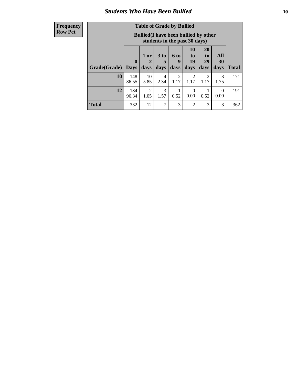#### *Students Who Have Been Bullied* **10**

| <b>Frequency</b> |
|------------------|
| Row Pct          |

| <b>Table of Grade by Bullied</b> |                         |                                                                               |                              |                        |                        |                        |                   |              |
|----------------------------------|-------------------------|-------------------------------------------------------------------------------|------------------------------|------------------------|------------------------|------------------------|-------------------|--------------|
|                                  |                         | <b>Bullied</b> (I have been bullied by other<br>students in the past 30 days) |                              |                        |                        |                        |                   |              |
| Grade(Grade)                     | $\bf{0}$<br><b>Days</b> | 1 or<br>days                                                                  | 3 <sub>to</sub><br>5<br>days | 6 to<br>9<br>days      | 10<br>to<br>19<br>days | 20<br>to<br>29<br>days | All<br>30<br>days | <b>Total</b> |
| 10                               | 148<br>86.55            | 10<br>5.85                                                                    | 4<br>2.34                    | $\overline{2}$<br>1.17 | 2<br>1.17              | 2<br>1.17              | 3<br>1.75         | 171          |
| 12                               | 184<br>96.34            | $\overline{2}$<br>1.05                                                        | 3<br>1.57                    | 0.52                   | $\Omega$<br>0.00       | 0.52                   | $\theta$<br>0.00  | 191          |
| <b>Total</b>                     | 332                     | 12                                                                            | 7                            | 3                      | 2                      | 3                      | 3                 | 362          |

 $\blacksquare$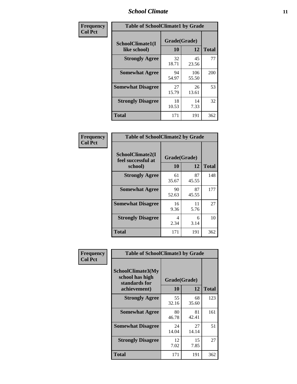### *School Climate* **11**

| Frequency      | <b>Table of SchoolClimate1 by Grade</b> |                    |              |              |  |  |  |
|----------------|-----------------------------------------|--------------------|--------------|--------------|--|--|--|
| <b>Col Pct</b> | SchoolClimate1(I<br>like school)        | Grade(Grade)<br>10 | 12           | <b>Total</b> |  |  |  |
|                | <b>Strongly Agree</b>                   | 32<br>18.71        | 45<br>23.56  | 77           |  |  |  |
|                | <b>Somewhat Agree</b>                   | 94<br>54.97        | 106<br>55.50 | 200          |  |  |  |
|                | <b>Somewhat Disagree</b>                | 27<br>15.79        | 26<br>13.61  | 53           |  |  |  |
|                | <b>Strongly Disagree</b>                | 18<br>10.53        | 14<br>7.33   | 32           |  |  |  |
|                | Total                                   | 171                | 191          | 362          |  |  |  |

| Frequency      | <b>Table of SchoolClimate2 by Grade</b>           |                    |             |              |
|----------------|---------------------------------------------------|--------------------|-------------|--------------|
| <b>Col Pct</b> | SchoolClimate2(I<br>feel successful at<br>school) | Grade(Grade)<br>10 | 12          | <b>Total</b> |
|                | <b>Strongly Agree</b>                             | 61<br>35.67        | 87<br>45.55 | 148          |
|                | <b>Somewhat Agree</b>                             | 90<br>52.63        | 87<br>45.55 | 177          |
|                | <b>Somewhat Disagree</b>                          | 16<br>9.36         | 11<br>5.76  | 27           |
|                | <b>Strongly Disagree</b>                          | 4<br>2.34          | 6<br>3.14   | 10           |
|                | <b>Total</b>                                      | 171                | 191         | 362          |

| Frequency<br><b>Col Pct</b> | <b>Table of SchoolClimate3 by Grade</b>                                      |                           |             |              |  |
|-----------------------------|------------------------------------------------------------------------------|---------------------------|-------------|--------------|--|
|                             | <b>SchoolClimate3(My</b><br>school has high<br>standards for<br>achievement) | Grade(Grade)<br><b>10</b> | 12          | <b>Total</b> |  |
|                             | <b>Strongly Agree</b>                                                        | 55                        | 68          | 123          |  |
|                             |                                                                              | 32.16                     | 35.60       |              |  |
|                             | <b>Somewhat Agree</b>                                                        | 80<br>46.78               | 81<br>42.41 | 161          |  |
|                             | <b>Somewhat Disagree</b>                                                     | 24<br>14.04               | 27<br>14.14 | 51           |  |
|                             | <b>Strongly Disagree</b>                                                     | 12<br>7.02                | 15<br>7.85  | 27           |  |
|                             | Total                                                                        | 171                       | 191         | 362          |  |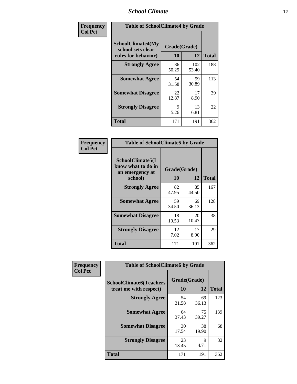### *School Climate* **12**

| Frequency      |                                                                      | <b>Table of SchoolClimate4 by Grade</b> |              |              |  |
|----------------|----------------------------------------------------------------------|-----------------------------------------|--------------|--------------|--|
| <b>Col Pct</b> | <b>SchoolClimate4(My</b><br>school sets clear<br>rules for behavior) | Grade(Grade)<br>10                      | 12           | <b>Total</b> |  |
|                | <b>Strongly Agree</b>                                                | 86<br>50.29                             | 102<br>53.40 | 188          |  |
|                | <b>Somewhat Agree</b>                                                | 54<br>31.58                             | 59<br>30.89  | 113          |  |
|                | <b>Somewhat Disagree</b>                                             | 22<br>12.87                             | 17<br>8.90   | 39           |  |
|                | <b>Strongly Disagree</b>                                             | 9<br>5.26                               | 13<br>6.81   | 22           |  |
|                | <b>Total</b>                                                         | 171                                     | 191          | 362          |  |

| <b>Table of SchoolClimate5 by Grade</b>                   |              |             |              |  |  |
|-----------------------------------------------------------|--------------|-------------|--------------|--|--|
| SchoolClimate5(I<br>know what to do in<br>an emergency at | Grade(Grade) |             |              |  |  |
| school)                                                   | 10           | 12          | <b>Total</b> |  |  |
| <b>Strongly Agree</b>                                     | 82<br>47.95  | 85<br>44.50 | 167          |  |  |
| <b>Somewhat Agree</b>                                     | 59<br>34.50  | 69<br>36.13 | 128          |  |  |
| <b>Somewhat Disagree</b>                                  | 18<br>10.53  | 20<br>10.47 | 38           |  |  |
| <b>Strongly Disagree</b>                                  | 12<br>7.02   | 17<br>8.90  | 29           |  |  |
| <b>Total</b>                                              | 171          | 191         | 362          |  |  |

| Frequency      | <b>Table of SchoolClimate6 by Grade</b>                  |                           |             |              |  |
|----------------|----------------------------------------------------------|---------------------------|-------------|--------------|--|
| <b>Col Pct</b> | <b>SchoolClimate6(Teachers</b><br>treat me with respect) | Grade(Grade)<br><b>10</b> | 12          | <b>Total</b> |  |
|                | <b>Strongly Agree</b>                                    | 54<br>31.58               | 69<br>36.13 | 123          |  |
|                | <b>Somewhat Agree</b>                                    | 64<br>37.43               | 75<br>39.27 | 139          |  |
|                | <b>Somewhat Disagree</b>                                 | 30<br>17.54               | 38<br>19.90 | 68           |  |
|                | <b>Strongly Disagree</b>                                 | 23<br>13.45               | 9<br>4.71   | 32           |  |
|                | <b>Total</b>                                             | 171                       | 191         | 362          |  |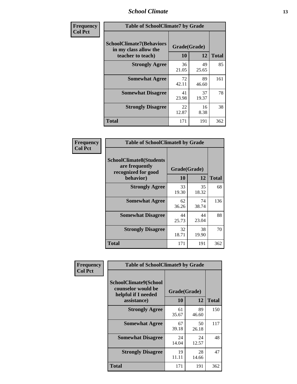### *School Climate* **13**

| Frequency      | <b>Table of SchoolClimate7 by Grade</b>                                       |                           |             |              |
|----------------|-------------------------------------------------------------------------------|---------------------------|-------------|--------------|
| <b>Col Pct</b> | <b>SchoolClimate7(Behaviors</b><br>in my class allow the<br>teacher to teach) | Grade(Grade)<br><b>10</b> | 12          | <b>Total</b> |
|                | <b>Strongly Agree</b>                                                         | 36<br>21.05               | 49<br>25.65 | 85           |
|                | <b>Somewhat Agree</b>                                                         | 72<br>42.11               | 89<br>46.60 | 161          |
|                | <b>Somewhat Disagree</b>                                                      | 41<br>23.98               | 37<br>19.37 | 78           |
|                | <b>Strongly Disagree</b>                                                      | 22<br>12.87               | 16<br>8.38  | 38           |
|                | <b>Total</b>                                                                  | 171                       | 191         | 362          |

| Frequency      | <b>Table of SchoolClimate8 by Grade</b>                                 |              |             |              |
|----------------|-------------------------------------------------------------------------|--------------|-------------|--------------|
| <b>Col Pct</b> | <b>SchoolClimate8(Students</b><br>are frequently<br>recognized for good | Grade(Grade) |             |              |
|                | behavior)                                                               | 10           | 12          | <b>Total</b> |
|                | <b>Strongly Agree</b>                                                   | 33<br>19.30  | 35<br>18.32 | 68           |
|                | <b>Somewhat Agree</b>                                                   | 62<br>36.26  | 74<br>38.74 | 136          |
|                | <b>Somewhat Disagree</b>                                                | 44<br>25.73  | 44<br>23.04 | 88           |
|                | <b>Strongly Disagree</b>                                                | 32<br>18.71  | 38<br>19.90 | 70           |
|                | <b>Total</b>                                                            | 171          | 191         | 362          |

| Frequency      | <b>Table of SchoolClimate9 by Grade</b>                                           |                    |             |              |
|----------------|-----------------------------------------------------------------------------------|--------------------|-------------|--------------|
| <b>Col Pct</b> | SchoolClimate9(School<br>counselor would be<br>helpful if I needed<br>assistance) | Grade(Grade)<br>10 | 12          | <b>Total</b> |
|                | <b>Strongly Agree</b>                                                             | 61<br>35.67        | 89<br>46.60 | 150          |
|                | <b>Somewhat Agree</b>                                                             | 67<br>39.18        | 50<br>26.18 | 117          |
|                | <b>Somewhat Disagree</b>                                                          | 24<br>14.04        | 24<br>12.57 | 48           |
|                | <b>Strongly Disagree</b>                                                          | 19<br>11.11        | 28<br>14.66 | 47           |
|                | <b>Total</b>                                                                      | 171                | 191         | 362          |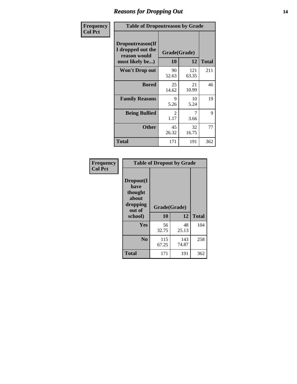### *Reasons for Dropping Out* **14**

| Frequency      | <b>Table of Dropoutreason by Grade</b>                                   |             |                    |              |
|----------------|--------------------------------------------------------------------------|-------------|--------------------|--------------|
| <b>Col Pct</b> | Dropoutreason(If<br>I dropped out the<br>reason would<br>most likely be) | 10          | Grade(Grade)<br>12 | <b>Total</b> |
|                | Won't Drop out                                                           | 90<br>52.63 | 121<br>63.35       | 211          |
|                | <b>Bored</b>                                                             | 25<br>14.62 | 21<br>10.99        | 46           |
|                | <b>Family Reasons</b>                                                    | 9<br>5.26   | 10<br>5.24         | 19           |
|                | <b>Being Bullied</b>                                                     | 2<br>1.17   | 7<br>3.66          | 9            |
|                | <b>Other</b>                                                             | 45<br>26.32 | 32<br>16.75        | 77           |
|                | <b>Total</b>                                                             | 171         | 191                | 362          |

| Frequency      | <b>Table of Dropout by Grade</b>                                       |                    |              |              |  |
|----------------|------------------------------------------------------------------------|--------------------|--------------|--------------|--|
| <b>Col Pct</b> | Dropout(I<br>have<br>thought<br>about<br>dropping<br>out of<br>school) | Grade(Grade)<br>10 | 12           | <b>Total</b> |  |
|                | Yes                                                                    | 56<br>32.75        | 48<br>25.13  | 104          |  |
|                | N <sub>0</sub>                                                         | 115<br>67.25       | 143<br>74.87 | 258          |  |
|                | <b>Total</b>                                                           | 171                | 191          | 362          |  |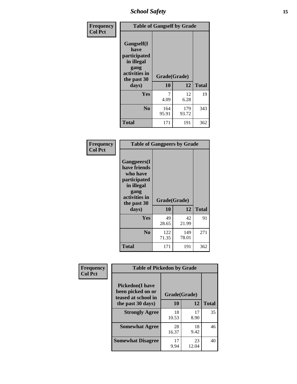*School Safety* **15**

| Frequency      | <b>Table of Gangself by Grade</b>                                                                 |                    |              |              |
|----------------|---------------------------------------------------------------------------------------------------|--------------------|--------------|--------------|
| <b>Col Pct</b> | Gangself(I<br>have<br>participated<br>in illegal<br>gang<br>activities in<br>the past 30<br>days) | Grade(Grade)<br>10 | 12           | <b>Total</b> |
|                | Yes                                                                                               | 7<br>4.09          | 12<br>6.28   | 19           |
|                | N <sub>o</sub>                                                                                    | 164<br>95.91       | 179<br>93.72 | 343          |
|                | Total                                                                                             | 171                | 191          | 362          |

| Frequency<br><b>Col Pct</b> | <b>Table of Gangpeers by Grade</b>                                                                                     |                    |              |              |  |
|-----------------------------|------------------------------------------------------------------------------------------------------------------------|--------------------|--------------|--------------|--|
|                             | Gangpeers(I<br>have friends<br>who have<br>participated<br>in illegal<br>gang<br>activities in<br>the past 30<br>days) | Grade(Grade)<br>10 | 12           | <b>Total</b> |  |
|                             | <b>Yes</b>                                                                                                             | 49<br>28.65        | 42<br>21.99  | 91           |  |
|                             | N <sub>0</sub>                                                                                                         | 122<br>71.35       | 149<br>78.01 | 271          |  |
|                             | <b>Total</b>                                                                                                           | 171                | 191          | 362          |  |

| Frequency      |                                                                    | <b>Table of Pickedon by Grade</b> |             |              |  |  |  |  |  |  |  |
|----------------|--------------------------------------------------------------------|-----------------------------------|-------------|--------------|--|--|--|--|--|--|--|
| <b>Col Pct</b> | <b>Pickedon(I have</b><br>been picked on or<br>teased at school in | Grade(Grade)                      |             |              |  |  |  |  |  |  |  |
|                | the past 30 days)                                                  | 10                                | 12          | <b>Total</b> |  |  |  |  |  |  |  |
|                | <b>Strongly Agree</b>                                              | 18<br>10.53                       | 17<br>8.90  | 35           |  |  |  |  |  |  |  |
|                | <b>Somewhat Agree</b>                                              | 28<br>16.37                       | 18<br>9.42  | 46           |  |  |  |  |  |  |  |
|                | <b>Somewhat Disagree</b>                                           | 17<br>9.94                        | 23<br>12.04 | 40           |  |  |  |  |  |  |  |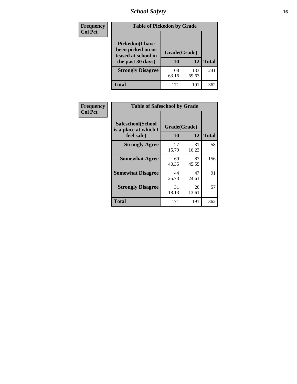### *School Safety* **16**

| <b>Frequency</b> |                                                                                          | <b>Table of Pickedon by Grade</b> |              |              |  |  |  |  |  |  |
|------------------|------------------------------------------------------------------------------------------|-----------------------------------|--------------|--------------|--|--|--|--|--|--|
| <b>Col Pct</b>   | <b>Pickedon</b> (I have<br>been picked on or<br>teased at school in<br>the past 30 days) | Grade(Grade)<br>10                | 12           | <b>Total</b> |  |  |  |  |  |  |
|                  | <b>Strongly Disagree</b>                                                                 | 108<br>63.16                      | 133<br>69.63 | 241          |  |  |  |  |  |  |
|                  | Total                                                                                    | 171                               | 191          | 362          |  |  |  |  |  |  |

| Frequency      |                                                          | <b>Table of Safeschool by Grade</b> |             |              |  |  |  |  |  |  |  |
|----------------|----------------------------------------------------------|-------------------------------------|-------------|--------------|--|--|--|--|--|--|--|
| <b>Col Pct</b> | Safeschool(School<br>is a place at which I<br>feel safe) | Grade(Grade)<br>10                  | 12          | <b>Total</b> |  |  |  |  |  |  |  |
|                | <b>Strongly Agree</b>                                    | 27<br>15.79                         | 31<br>16.23 | 58           |  |  |  |  |  |  |  |
|                | <b>Somewhat Agree</b>                                    | 69<br>40.35                         | 87<br>45.55 | 156          |  |  |  |  |  |  |  |
|                | <b>Somewhat Disagree</b>                                 | 44<br>25.73                         | 47<br>24.61 | 91           |  |  |  |  |  |  |  |
|                | <b>Strongly Disagree</b>                                 | 31<br>18.13                         | 26<br>13.61 | 57           |  |  |  |  |  |  |  |
|                | <b>Total</b>                                             | 171                                 | 191         | 362          |  |  |  |  |  |  |  |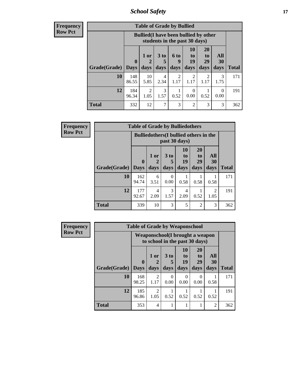*School Safety* **17**

| <b>Frequency</b> |  |
|------------------|--|
| Row Pct          |  |

| <b>Table of Grade by Bullied</b> |                             |                                                                               |                         |                          |                        |                               |                          |              |  |  |  |
|----------------------------------|-----------------------------|-------------------------------------------------------------------------------|-------------------------|--------------------------|------------------------|-------------------------------|--------------------------|--------------|--|--|--|
|                                  |                             | <b>Bullied</b> (I have been bullied by other<br>students in the past 30 days) |                         |                          |                        |                               |                          |              |  |  |  |
| Grade(Grade)                     | $\mathbf{0}$<br><b>Days</b> | 1 or<br>$\overline{2}$<br>days                                                | 3 <sub>to</sub><br>days | <b>6 to</b><br>9<br>days | 10<br>to<br>19<br>days | <b>20</b><br>to<br>29<br>days | All<br><b>30</b><br>days | <b>Total</b> |  |  |  |
| 10                               | 148<br>86.55                | 10<br>5.85                                                                    | $\overline{4}$<br>2.34  | $\mathcal{L}$<br>1.17    | 2<br>1.17              | 1.17                          | 3<br>1.75                | 171          |  |  |  |
| 12                               | 184<br>96.34                | $\overline{c}$<br>1.05                                                        | 3<br>1.57               | 0.52                     | 0<br>0.00              | 0.52                          | 0<br>0.00                | 191          |  |  |  |
| <b>Total</b>                     | 332                         | 12                                                                            | $\mathcal{I}$           | 3                        | $\overline{c}$         | 3                             | 3                        | 362          |  |  |  |

| <b>Frequency</b> |                     | <b>Table of Grade by Bulliedothers</b> |                                                                |                  |                        |                               |                        |              |  |  |
|------------------|---------------------|----------------------------------------|----------------------------------------------------------------|------------------|------------------------|-------------------------------|------------------------|--------------|--|--|
| <b>Row Pct</b>   |                     |                                        | <b>Bulliedothers</b> (I bullied others in the<br>past 30 days) |                  |                        |                               |                        |              |  |  |
|                  | Grade(Grade)   Days | $\mathbf{0}$                           | 1 or<br>days                                                   | 3 to<br>days     | 10<br>to<br>19<br>days | <b>20</b><br>to<br>29<br>days | All<br>30<br>days      | <b>Total</b> |  |  |
|                  | 10                  | 162<br>94.74                           | 6<br>3.51                                                      | $\Omega$<br>0.00 | 0.58                   | 0.58                          | 0.58                   | 171          |  |  |
|                  | 12                  | 177<br>92.67                           | 4<br>2.09                                                      | 3<br>1.57        | 4<br>2.09              | 0.52                          | $\overline{2}$<br>1.05 | 191          |  |  |
|                  | <b>Total</b>        | 339                                    | 10                                                             | 3                | 5                      | 2                             | 3                      | 362          |  |  |

| <b>Frequency</b> |              | <b>Table of Grade by Weaponschool</b> |                                                                   |                         |                               |                                           |                   |              |  |
|------------------|--------------|---------------------------------------|-------------------------------------------------------------------|-------------------------|-------------------------------|-------------------------------------------|-------------------|--------------|--|
| <b>Row Pct</b>   |              |                                       | Weaponschool(I brought a weapon<br>to school in the past 30 days) |                         |                               |                                           |                   |              |  |
|                  | Grade(Grade) | $\mathbf{0}$<br><b>Days</b>           | 1 or<br>days                                                      | 3 <sub>to</sub><br>days | <b>10</b><br>to<br>19<br>days | <b>20</b><br>t <sub>0</sub><br>29<br>days | All<br>30<br>days | <b>Total</b> |  |
|                  | 10           | 168<br>98.25                          | 2<br>1.17                                                         | $\Omega$<br>0.00        | $\Omega$<br>0.00              | $\Omega$<br>0.00                          | 0.58              | 171          |  |
|                  | 12           | 185<br>96.86                          | $\mathfrak{D}$<br>1.05                                            | 0.52                    | 0.52                          | 0.52                                      | 0.52              | 191          |  |
|                  | <b>Total</b> | 353                                   | 4                                                                 |                         |                               | 1                                         | $\overline{2}$    | 362          |  |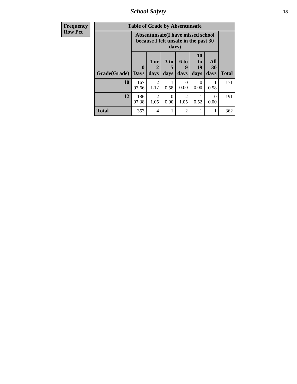*School Safety* **18**

| <b>Frequency</b> | <b>Table of Grade by Absentunsafe</b> |              |                                     |                         |                                                                           |                                           |                   |              |  |
|------------------|---------------------------------------|--------------|-------------------------------------|-------------------------|---------------------------------------------------------------------------|-------------------------------------------|-------------------|--------------|--|
| <b>Row Pct</b>   |                                       |              |                                     | days)                   | Absentunsafe(I have missed school<br>because I felt unsafe in the past 30 |                                           |                   |              |  |
|                  | Grade(Grade)   Days                   | $\mathbf 0$  | 1 or<br>$\mathbf 2$<br>days         | 3 <sub>to</sub><br>days | 6 <sup>to</sup><br>9<br>days                                              | <b>10</b><br>t <sub>0</sub><br>19<br>days | All<br>30<br>days | <b>Total</b> |  |
|                  | 10                                    | 167<br>97.66 | $\mathfrak{D}$<br>1.17              | 0.58                    | $\theta$<br>0.00                                                          | $\Omega$<br>0.00                          | 0.58              | 171          |  |
|                  | 12                                    | 186<br>97.38 | $\mathcal{D}_{\mathcal{A}}$<br>1.05 | ∩<br>0.00               | $\mathcal{D}$<br>1.05                                                     | 0.52                                      | $\Omega$<br>0.00  | 191          |  |
|                  | <b>Total</b>                          | 353          | $\overline{4}$                      |                         | $\mathfrak{D}$                                                            |                                           | 1                 | 362          |  |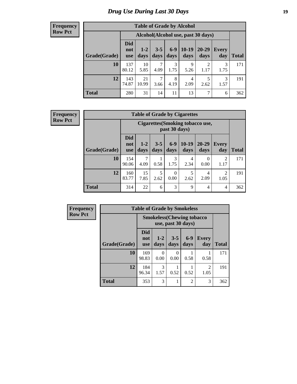### *Drug Use During Last 30 Days* **19**

#### **Frequency Row Pct**

| <b>Table of Grade by Alcohol</b> |                          |                                    |                 |               |                 |                   |                     |              |  |  |
|----------------------------------|--------------------------|------------------------------------|-----------------|---------------|-----------------|-------------------|---------------------|--------------|--|--|
|                                  |                          | Alcohol(Alcohol use, past 30 days) |                 |               |                 |                   |                     |              |  |  |
| Grade(Grade)                     | <b>Did</b><br>not<br>use | $1-2$<br>days                      | $3 - 5$<br>days | $6-9$<br>days | $10-19$<br>days | $20 - 29$<br>days | <b>Every</b><br>day | <b>Total</b> |  |  |
| 10                               | 137<br>80.12             | 10<br>5.85                         | 7<br>4.09       | 3<br>1.75     | 9<br>5.26       | 2<br>1.17         | 3<br>1.75           | 171          |  |  |
| 12                               | 143<br>74.87             | 21<br>10.99                        | 7<br>3.66       | 8<br>4.19     | 4<br>2.09       | 5<br>2.62         | 3<br>1.57           | 191          |  |  |
| <b>Total</b>                     | 280                      | 31                                 | 14              | 11            | 13              | 7                 | 6                   | 362          |  |  |

#### **Frequency Row Pct**

| <b>Table of Grade by Cigarettes</b> |                                 |                                                          |                 |                  |                 |                  |                        |       |  |  |
|-------------------------------------|---------------------------------|----------------------------------------------------------|-----------------|------------------|-----------------|------------------|------------------------|-------|--|--|
|                                     |                                 | <b>Cigarettes (Smoking tobacco use,</b><br>past 30 days) |                 |                  |                 |                  |                        |       |  |  |
| Grade(Grade)                        | <b>Did</b><br>not<br><b>use</b> | $1-2$<br>days                                            | $3 - 5$<br>days | $6-9$<br>days    | $10-19$<br>days | 20-29<br>days    | Every<br>day           | Total |  |  |
| 10                                  | 154<br>90.06                    | 4.09                                                     | 0.58            | 3<br>1.75        | 4<br>2.34       | $\theta$<br>0.00 | 2<br>1.17              | 171   |  |  |
| 12                                  | 160<br>83.77                    | 15<br>7.85                                               | 5<br>2.62       | $\theta$<br>0.00 | 5<br>2.62       | 4<br>2.09        | $\overline{2}$<br>1.05 | 191   |  |  |
| <b>Total</b>                        | 314                             | 22                                                       | 6               | 3                | 9               | 4                | 4                      | 362   |  |  |

| <b>Frequency</b> | <b>Table of Grade by Smokeless</b> |                                   |                  |                 |                |                        |              |  |  |
|------------------|------------------------------------|-----------------------------------|------------------|-----------------|----------------|------------------------|--------------|--|--|
| <b>Row Pct</b>   |                                    | <b>Smokeless</b> (Chewing tobacco |                  |                 |                |                        |              |  |  |
|                  | Grade(Grade)                       | <b>Did</b><br>not<br><b>use</b>   | $1-2$<br>days    | $3 - 5$<br>days | $6-9$<br>days  | <b>Every</b><br>day    | <b>Total</b> |  |  |
|                  | 10                                 | 169<br>98.83                      | $\Omega$<br>0.00 | 0<br>0.00       | 0.58           | 0.58                   | 171          |  |  |
|                  | 12                                 | 184<br>96.34                      | 3<br>1.57        | 0.52            | 0.52           | $\mathfrak{D}$<br>1.05 | 191          |  |  |
|                  | <b>Total</b>                       | 353                               | 3                | 1               | $\mathfrak{D}$ | 3                      | 362          |  |  |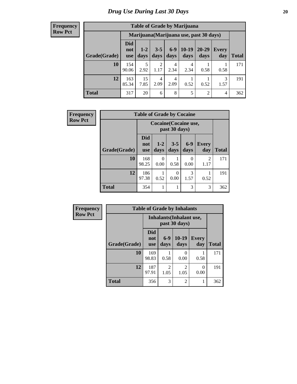#### **Frequency Row Pct**

| <b>Table of Grade by Marijuana</b> |                                 |                                         |                 |               |                 |                |                     |              |  |  |
|------------------------------------|---------------------------------|-----------------------------------------|-----------------|---------------|-----------------|----------------|---------------------|--------------|--|--|
|                                    |                                 | Marijuana (Marijuana use, past 30 days) |                 |               |                 |                |                     |              |  |  |
| Grade(Grade)                       | <b>Did</b><br>not<br><b>use</b> | $1 - 2$<br>days                         | $3 - 5$<br>days | $6-9$<br>days | $10-19$<br>days | 20-29<br>days  | <b>Every</b><br>day | <b>Total</b> |  |  |
| 10                                 | 154<br>90.06                    | 5<br>2.92                               | 2<br>1.17       | 4<br>2.34     | 4<br>2.34       | 0.58           | 0.58                | 171          |  |  |
| 12                                 | 163<br>85.34                    | 15<br>7.85                              | 4<br>2.09       | 4<br>2.09     | 0.52            | 0.52           | 3<br>1.57           | 191          |  |  |
| <b>Total</b>                       | 317                             | 20                                      | 6               | 8             | 5               | $\overline{2}$ | 4                   | 362          |  |  |

| <b>Frequency</b> |              | <b>Table of Grade by Cocaine</b> |                       |                 |               |                     |       |
|------------------|--------------|----------------------------------|-----------------------|-----------------|---------------|---------------------|-------|
| <b>Row Pct</b>   |              |                                  | Cocaine (Cocaine use, | past 30 days)   |               |                     |       |
|                  | Grade(Grade) | Did<br>not<br><b>use</b>         | $1-2$<br>days         | $3 - 5$<br>days | $6-9$<br>days | <b>Every</b><br>day | Total |
|                  | 10           | 168<br>98.25                     | 0<br>0.00             | 0.58            | 0.00          | 2<br>1.17           | 171   |
|                  | 12           | 186<br>97.38                     | 0.52                  | 0<br>0.00       | 3<br>1.57     | 0.52                | 191   |
|                  | <b>Total</b> | 354                              | 1                     | 1               | 3             | 3                   | 362   |

| <b>Frequency</b> |              |                                 |                                           | <b>Table of Grade by Inhalants</b> |                     |              |  |  |
|------------------|--------------|---------------------------------|-------------------------------------------|------------------------------------|---------------------|--------------|--|--|
| <b>Row Pct</b>   |              |                                 | Inhalants (Inhalant use,<br>past 30 days) |                                    |                     |              |  |  |
|                  | Grade(Grade) | <b>Did</b><br>not<br><b>use</b> | $6-9$<br>days                             | $10-19$<br>days                    | <b>Every</b><br>day | <b>Total</b> |  |  |
|                  | 10           | 169<br>98.83                    | 0.58                                      | 0.00                               | 0.58                | 171          |  |  |
|                  | 12           | 187<br>97.91                    | $\mathfrak{D}$<br>1.05                    | 2<br>1.05                          | 0<br>0.00           | 191          |  |  |
|                  | <b>Total</b> | 356                             | 3                                         | $\overline{2}$                     |                     | 362          |  |  |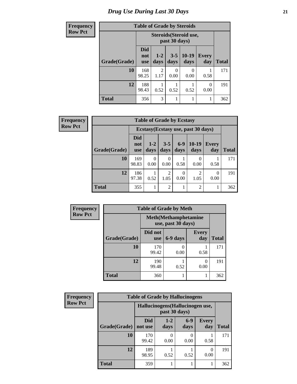### *Drug Use During Last 30 Days* **21**

| <b>Frequency</b> | <b>Table of Grade by Steroids</b> |                          |                        |                 |                        |                     |              |
|------------------|-----------------------------------|--------------------------|------------------------|-----------------|------------------------|---------------------|--------------|
| <b>Row Pct</b>   |                                   |                          |                        | past 30 days)   | Steroids (Steroid use, |                     |              |
|                  | Grade(Grade)                      | Did<br>not<br><b>use</b> | $1-2$<br>days          | $3 - 5$<br>days | $10-19$<br>days        | <b>Every</b><br>day | <b>Total</b> |
|                  | 10                                | 168<br>98.25             | $\overline{2}$<br>1.17 | 0<br>0.00       | $\theta$<br>0.00       | 0.58                | 171          |
|                  | 12                                | 188<br>98.43             | 0.52                   | 0.52            | 0.52                   | 0<br>0.00           | 191          |
|                  | <b>Total</b>                      | 356                      | 3                      | 1               | 1                      |                     | 362          |

| Frequency      |              | <b>Table of Grade by Ecstasy</b> |                 |                 |                  |                                     |                     |              |
|----------------|--------------|----------------------------------|-----------------|-----------------|------------------|-------------------------------------|---------------------|--------------|
| <b>Row Pct</b> |              |                                  |                 |                 |                  | Ecstasy (Ecstasy use, past 30 days) |                     |              |
|                | Grade(Grade) | <b>Did</b><br>not<br><b>use</b>  | $1 - 2$<br>days | $3 - 5$<br>days | $6-9$<br>days    | $10-19$<br>days                     | <b>Every</b><br>day | <b>Total</b> |
|                | 10           | 169<br>98.83                     | 0.00            | 0.00            | 0.58             | $\theta$<br>0.00                    | 0.58                | 171          |
|                | 12           | 186<br>97.38                     | 0.52            | 2<br>1.05       | $\theta$<br>0.00 | $\overline{2}$<br>1.05              | $\theta$<br>0.00    | 191          |
|                | Total        | 355                              |                 | $\overline{2}$  |                  | $\overline{2}$                      |                     | 362          |

| <b>Frequency</b> | <b>Table of Grade by Meth</b> |                       |                                                    |                     |              |  |
|------------------|-------------------------------|-----------------------|----------------------------------------------------|---------------------|--------------|--|
| <b>Row Pct</b>   |                               |                       | <b>Meth</b> (Methamphetamine<br>use, past 30 days) |                     |              |  |
|                  | Grade(Grade)                  | Did not<br><b>use</b> | 6-9 days                                           | <b>Every</b><br>day | <b>Total</b> |  |
|                  | 10                            | 170<br>99.42          | 0.00                                               | 0.58                | 171          |  |
|                  | 12                            | 190<br>99.48          | 0.52                                               | 0<br>0.00           | 191          |  |
|                  | <b>Total</b>                  | 360                   |                                                    |                     | 362          |  |

| <b>Frequency</b> | <b>Table of Grade by Hallucinogens</b> |                                                   |                 |               |                     |       |
|------------------|----------------------------------------|---------------------------------------------------|-----------------|---------------|---------------------|-------|
| <b>Row Pct</b>   |                                        | Hallucinogens (Hallucinogen use,<br>past 30 days) |                 |               |                     |       |
|                  | Grade(Grade)                           | <b>Did</b><br>not use                             | $1 - 2$<br>days | $6-9$<br>days | <b>Every</b><br>day | Total |
|                  | 10                                     | 170<br>99.42                                      | 0.00            | 0.00          | 0.58                | 171   |
|                  | 12                                     | 189<br>98.95                                      | 0.52            | 0.52          | 0.00                | 191   |
|                  | <b>Total</b>                           | 359                                               |                 |               |                     | 362   |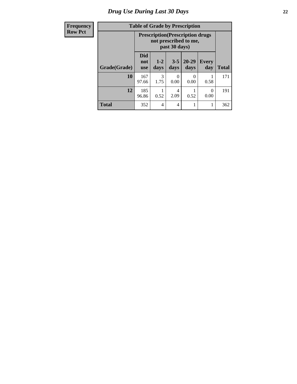### *Drug Use During Last 30 Days* **22**

| <b>Frequency</b> |  |
|------------------|--|
| <b>Row Pct</b>   |  |

## **Table of Grade by Prescription**

| :t |              |                          | <b>Prescription</b> (Prescription drugs)<br>not prescribed to me,<br>past 30 days) |                  |           |           |     |  |
|----|--------------|--------------------------|------------------------------------------------------------------------------------|------------------|-----------|-----------|-----|--|
|    | Grade(Grade) | <b>Did</b><br>not<br>use | $20 - 29$<br>$3 - 5$<br>$1-2$<br><b>Every</b><br>days<br>day<br>days<br>days       |                  |           |           |     |  |
|    | 10           | 167<br>97.66             | 3<br>1.75                                                                          | $\theta$<br>0.00 | 0<br>0.00 | 0.58      | 171 |  |
|    | 12           | 185<br>96.86             | 0.52                                                                               | 4<br>2.09        | 0.52      | 0<br>0.00 | 191 |  |
|    | <b>Total</b> | 352                      | 4                                                                                  | 4                |           |           | 362 |  |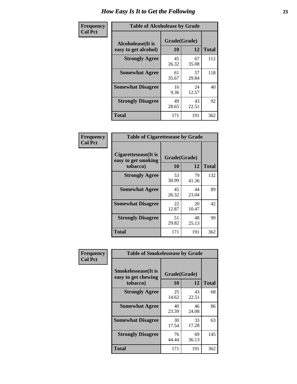| Frequency      | <b>Table of Alcoholease by Grade</b>              |                    |             |              |  |  |
|----------------|---------------------------------------------------|--------------------|-------------|--------------|--|--|
| <b>Col Pct</b> | <b>Alcoholease</b> (It is<br>easy to get alcohol) | Grade(Grade)<br>10 | 12          | <b>Total</b> |  |  |
|                | <b>Strongly Agree</b>                             | 45<br>26.32        | 67<br>35.08 | 112          |  |  |
|                | <b>Somewhat Agree</b>                             | 61<br>35.67        | 57<br>29.84 | 118          |  |  |
|                | <b>Somewhat Disagree</b>                          | 16<br>9.36         | 24<br>12.57 | 40           |  |  |
|                | <b>Strongly Disagree</b>                          | 49<br>28.65        | 43<br>22.51 | 92           |  |  |
|                | <b>Total</b>                                      | 171                | 191         | 362          |  |  |

| Frequency      |                                                          | <b>Table of Cigarettesease by Grade</b> |             |              |  |  |  |
|----------------|----------------------------------------------------------|-----------------------------------------|-------------|--------------|--|--|--|
| <b>Col Pct</b> | Cigarettesease (It is<br>easy to get smoking<br>tobacco) | Grade(Grade)<br><b>10</b>               | 12          | <b>Total</b> |  |  |  |
|                | <b>Strongly Agree</b>                                    | 53<br>30.99                             | 79<br>41.36 | 132          |  |  |  |
|                | <b>Somewhat Agree</b>                                    | 45<br>26.32                             | 44<br>23.04 | 89           |  |  |  |
|                | <b>Somewhat Disagree</b>                                 | 22<br>12.87                             | 20<br>10.47 | 42           |  |  |  |
|                | <b>Strongly Disagree</b>                                 | 51<br>29.82                             | 48<br>25.13 | 99           |  |  |  |
|                | <b>Total</b>                                             | 171                                     | 191         | 362          |  |  |  |

| Frequency      | <b>Table of Smokelessease by Grade</b>             |              |             |              |
|----------------|----------------------------------------------------|--------------|-------------|--------------|
| <b>Col Pct</b> | <b>Smokelessease</b> (It is<br>easy to get chewing | Grade(Grade) |             |              |
|                | tobacco)                                           | 10           | 12          | <b>Total</b> |
|                | <b>Strongly Agree</b>                              | 25<br>14.62  | 43<br>22.51 | 68           |
|                | <b>Somewhat Agree</b>                              | 40<br>23.39  | 46<br>24.08 | 86           |
|                | <b>Somewhat Disagree</b>                           | 30<br>17.54  | 33<br>17.28 | 63           |
|                | <b>Strongly Disagree</b>                           | 76<br>44.44  | 69<br>36.13 | 145          |
|                | <b>Total</b>                                       | 171          | 191         | 362          |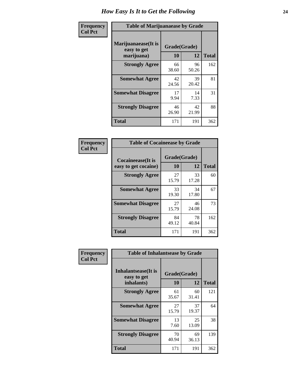| Frequency      | <b>Table of Marijuanaease by Grade</b>           |                           |             |              |  |  |
|----------------|--------------------------------------------------|---------------------------|-------------|--------------|--|--|
| <b>Col Pct</b> | Marijuanaease(It is<br>easy to get<br>marijuana) | Grade(Grade)<br><b>10</b> | 12          | <b>Total</b> |  |  |
|                | <b>Strongly Agree</b>                            | 66<br>38.60               | 96<br>50.26 | 162          |  |  |
|                | <b>Somewhat Agree</b>                            | 42<br>24.56               | 39<br>20.42 | 81           |  |  |
|                | <b>Somewhat Disagree</b>                         | 17<br>9.94                | 14<br>7.33  | 31           |  |  |
|                | <b>Strongly Disagree</b>                         | 46<br>26.90               | 42<br>21.99 | 88           |  |  |
|                | <b>Total</b>                                     | 171                       | 191         | 362          |  |  |

| <b>Table of Cocaineease by Grade</b>              |                    |              |     |  |  |  |  |  |  |  |  |
|---------------------------------------------------|--------------------|--------------|-----|--|--|--|--|--|--|--|--|
| <b>Cocaineease</b> (It is<br>easy to get cocaine) | Grade(Grade)<br>10 | <b>Total</b> |     |  |  |  |  |  |  |  |  |
| <b>Strongly Agree</b>                             | 27<br>15.79        | 33<br>17.28  | 60  |  |  |  |  |  |  |  |  |
| <b>Somewhat Agree</b>                             | 33<br>19.30        | 34<br>17.80  | 67  |  |  |  |  |  |  |  |  |
| <b>Somewhat Disagree</b>                          | 27<br>15.79        | 46<br>24.08  | 73  |  |  |  |  |  |  |  |  |
| <b>Strongly Disagree</b>                          | 84<br>49.12        | 78<br>40.84  | 162 |  |  |  |  |  |  |  |  |
| <b>Total</b>                                      | 171                | 191          | 362 |  |  |  |  |  |  |  |  |

| Frequency      | <b>Table of Inhalantsease by Grade</b>     |              |             |              |
|----------------|--------------------------------------------|--------------|-------------|--------------|
| <b>Col Pct</b> | <b>Inhalantsease</b> (It is<br>easy to get | Grade(Grade) |             |              |
|                | inhalants)                                 | 10           | 12          | <b>Total</b> |
|                | <b>Strongly Agree</b>                      | 61<br>35.67  | 60<br>31.41 | 121          |
|                | <b>Somewhat Agree</b>                      | 27<br>15.79  | 37<br>19.37 | 64           |
|                | <b>Somewhat Disagree</b>                   | 13<br>7.60   | 25<br>13.09 | 38           |
|                | <b>Strongly Disagree</b>                   | 70<br>40.94  | 69<br>36.13 | 139          |
|                | <b>Total</b>                               | 171          | 191         | 362          |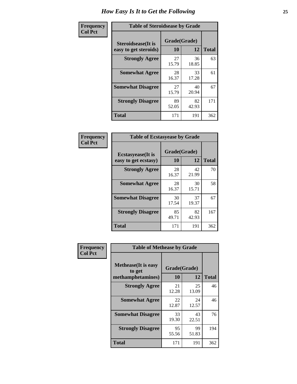| Frequency      | <b>Table of Steroidsease by Grade</b>               |                    |             |              |  |  |  |  |  |  |  |  |
|----------------|-----------------------------------------------------|--------------------|-------------|--------------|--|--|--|--|--|--|--|--|
| <b>Col Pct</b> | <b>Steroidsease</b> (It is<br>easy to get steroids) | Grade(Grade)<br>10 | 12          | <b>Total</b> |  |  |  |  |  |  |  |  |
|                | <b>Strongly Agree</b>                               | 27<br>15.79        | 36<br>18.85 | 63           |  |  |  |  |  |  |  |  |
|                | <b>Somewhat Agree</b>                               | 28<br>16.37        | 33<br>17.28 | 61           |  |  |  |  |  |  |  |  |
|                | <b>Somewhat Disagree</b>                            | 27<br>15.79        | 40<br>20.94 | 67           |  |  |  |  |  |  |  |  |
|                | <b>Strongly Disagree</b>                            | 89<br>52.05        | 82<br>42.93 | 171          |  |  |  |  |  |  |  |  |
|                | <b>Total</b>                                        | 171                | 191         | 362          |  |  |  |  |  |  |  |  |

| Frequency      | <b>Table of Ecstasyease by Grade</b>              |                           |             |              |  |  |  |  |  |  |  |  |
|----------------|---------------------------------------------------|---------------------------|-------------|--------------|--|--|--|--|--|--|--|--|
| <b>Col Pct</b> | <b>Ecstasyease</b> (It is<br>easy to get ecstasy) | Grade(Grade)<br><b>10</b> | 12          | <b>Total</b> |  |  |  |  |  |  |  |  |
|                | <b>Strongly Agree</b>                             | 28<br>16.37               | 42<br>21.99 | 70           |  |  |  |  |  |  |  |  |
|                | <b>Somewhat Agree</b>                             | 28<br>16.37               | 30<br>15.71 | 58           |  |  |  |  |  |  |  |  |
|                | <b>Somewhat Disagree</b>                          | 30<br>17.54               | 37<br>19.37 | 67           |  |  |  |  |  |  |  |  |
|                | <b>Strongly Disagree</b>                          | 85<br>49.71               | 82<br>42.93 | 167          |  |  |  |  |  |  |  |  |
|                | Total                                             | 171                       | 191         | 362          |  |  |  |  |  |  |  |  |

| Frequency      | <b>Table of Methease by Grade</b>                          |                    |              |     |
|----------------|------------------------------------------------------------|--------------------|--------------|-----|
| <b>Col Pct</b> | <b>Methease</b> (It is easy<br>to get<br>methamphetamines) | Grade(Grade)<br>10 | <b>Total</b> |     |
|                | <b>Strongly Agree</b>                                      | 21<br>12.28        | 25<br>13.09  | 46  |
|                | <b>Somewhat Agree</b>                                      | 22<br>12.87        | 24<br>12.57  | 46  |
|                | <b>Somewhat Disagree</b>                                   | 33<br>19.30        | 43<br>22.51  | 76  |
|                | <b>Strongly Disagree</b>                                   | 95<br>55.56        | 99<br>51.83  | 194 |
|                | <b>Total</b>                                               | 171                | 191          | 362 |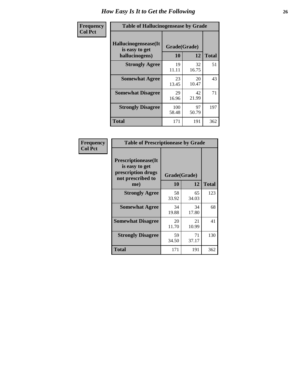| <b>Frequency</b> | <b>Table of Hallucinogensease by Grade</b>               |                    |             |              |
|------------------|----------------------------------------------------------|--------------------|-------------|--------------|
| <b>Col Pct</b>   | Hallucinogensease(It<br>is easy to get<br>hallucinogens) | Grade(Grade)<br>10 | 12          | <b>Total</b> |
|                  | <b>Strongly Agree</b>                                    | 19<br>11.11        | 32<br>16.75 | 51           |
|                  | <b>Somewhat Agree</b>                                    | 23<br>13.45        | 20<br>10.47 | 43           |
|                  | <b>Somewhat Disagree</b>                                 | 29<br>16.96        | 42<br>21.99 | 71           |
|                  | <b>Strongly Disagree</b>                                 | 100<br>58.48       | 97<br>50.79 | 197          |
|                  | <b>Total</b>                                             | 171                | 191         | 362          |

| Frequency<br>Col Pct |
|----------------------|
|                      |

| <b>Table of Prescriptionease by Grade</b>                                                |             |              |              |  |  |  |  |  |  |  |
|------------------------------------------------------------------------------------------|-------------|--------------|--------------|--|--|--|--|--|--|--|
| <b>Prescriptionease</b> (It<br>is easy to get<br>prescription drugs<br>not prescribed to |             | Grade(Grade) |              |  |  |  |  |  |  |  |
| me)                                                                                      | 10          | 12           | <b>Total</b> |  |  |  |  |  |  |  |
| <b>Strongly Agree</b>                                                                    | 58<br>33.92 | 65<br>34.03  | 123          |  |  |  |  |  |  |  |
| <b>Somewhat Agree</b>                                                                    | 34<br>19.88 | 34<br>17.80  | 68           |  |  |  |  |  |  |  |
| <b>Somewhat Disagree</b>                                                                 | 20<br>11.70 | 21<br>10.99  | 41           |  |  |  |  |  |  |  |
| <b>Strongly Disagree</b>                                                                 | 59<br>34.50 | 71<br>37.17  | 130          |  |  |  |  |  |  |  |
| Total                                                                                    | 171         | 191          | 362          |  |  |  |  |  |  |  |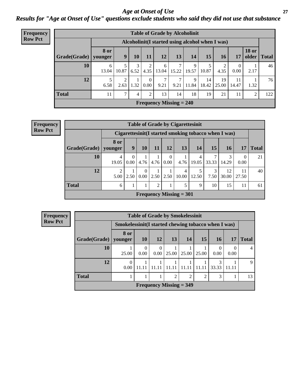#### *Age at Onset of Use* **27** *Results for "Age at Onset of Use" questions exclude students who said they did not use that substance*

| Frequency      | <b>Table of Grade by Alcoholinit</b> |             |                        |                |                  |                           |                        |                                                  |             |             |                  |                       |              |
|----------------|--------------------------------------|-------------|------------------------|----------------|------------------|---------------------------|------------------------|--------------------------------------------------|-------------|-------------|------------------|-----------------------|--------------|
| <b>Row Pct</b> |                                      |             |                        |                |                  |                           |                        | Alcoholinit (I started using alcohol when I was) |             |             |                  |                       |              |
|                | $Grade(Grade)$   younger             | <b>8 or</b> | 9                      | 10             | 11               | 12                        | 13                     | 14                                               | 15          | <b>16</b>   | 17               | <b>18 or</b><br>older | <b>Total</b> |
|                | 10                                   | 6<br>13.04  | 5<br>10.87             | 3<br>6.52      | 2<br>4.35        | 6<br>13.04                | $\mathcal{I}$<br>15.22 | 9<br>19.57                                       | 10.87       | 4.35        | $\theta$<br>0.00 | 2.17                  | 46           |
|                | 12                                   | 6.58        | $\overline{2}$<br>2.63 | 1.32           | $\theta$<br>0.00 | 7<br>9.21                 | 7<br>9.21              | 9<br>11.84                                       | 14<br>18.42 | 19<br>25.00 | 11<br>14.47      | 1.32                  | 76           |
|                | <b>Total</b>                         | 11          | 7                      | $\overline{4}$ | 2                | 13                        | 14                     | 18                                               | 19          | 21          | 11               | 2                     | 122          |
|                |                                      |             |                        |                |                  | Frequency Missing $= 240$ |                        |                                                  |             |             |                  |                       |              |

**Frequency Row Pct**

|              | <b>Table of Grade by Cigarettesinit</b>               |           |                  |      |                  |                           |            |            |             |                  |              |  |  |
|--------------|-------------------------------------------------------|-----------|------------------|------|------------------|---------------------------|------------|------------|-------------|------------------|--------------|--|--|
|              | Cigarettesinit (I started smoking tobacco when I was) |           |                  |      |                  |                           |            |            |             |                  |              |  |  |
| Grade(Grade) | 8 or<br>younger                                       | 9         | <b>10</b>        | 11   | 12               | 13                        | 14         | <b>15</b>  | <b>16</b>   | 17               | <b>Total</b> |  |  |
| 10           | 4<br>19.05                                            | 0<br>0.00 | 4.76             | 4.76 | $\Omega$<br>0.00 | 4.76                      | 4<br>19.05 | 7<br>33.33 | 3<br>14.29  | $\Omega$<br>0.00 | 21           |  |  |
| 12           | 2<br>5.00                                             | 2.50      | $\Omega$<br>0.00 | 2.50 | 2.50             | $\overline{4}$<br>10.00   | 5<br>12.50 | 3<br>7.50  | 12<br>30.00 | 11<br>27.50      | 40           |  |  |
| <b>Total</b> | 6                                                     |           | 1                | 2    |                  |                           | 9          | 10         | 15          | 11               | 61           |  |  |
|              |                                                       |           |                  |      |                  | Frequency Missing $= 301$ |            |            |             |                  |              |  |  |

| <b>Frequency</b> |              |                                                     |                  |      | <b>Table of Grade by Smokelessinit</b> |       |           |                  |                  |              |
|------------------|--------------|-----------------------------------------------------|------------------|------|----------------------------------------|-------|-----------|------------------|------------------|--------------|
| <b>Row Pct</b>   |              | Smokelessinit(I started chewing tobacco when I was) |                  |      |                                        |       |           |                  |                  |              |
|                  | Grade(Grade) | <b>8 or</b><br>younger                              | <b>10</b>        | 12   | 13                                     | 14    | <b>15</b> | <b>16</b>        | 17               | <b>Total</b> |
|                  | 10           | 25.00                                               | $\Omega$<br>0.00 | 0.00 | 25.00                                  | 25.00 | 25.00     | $\theta$<br>0.00 | $\theta$<br>0.00 | 4            |
|                  | 12           | $\theta$<br>0.00 <sub>1</sub>                       | 11.11            |      | 11.11                                  | 11.11 | 11.11     | 3<br>33.33       | 11.11            | 9            |
|                  | <b>Total</b> |                                                     |                  |      | $\overline{2}$                         | 2     | ↑         | 3                |                  | 13           |
|                  |              |                                                     |                  |      | Frequency Missing $=$ 349              |       |           |                  |                  |              |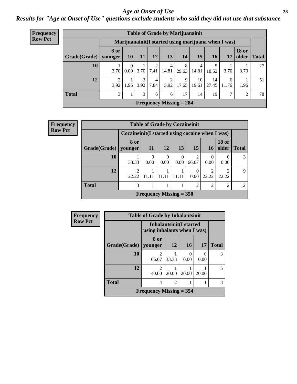#### *Age at Onset of Use* **28**

*Results for "Age at Onset of Use" questions exclude students who said they did not use that substance*

| <b>Frequency</b> |                        | <b>Table of Grade by Marijuanainit</b> |                         |                                 |      |            |                                                      |             |             |            |                |             |  |  |  |
|------------------|------------------------|----------------------------------------|-------------------------|---------------------------------|------|------------|------------------------------------------------------|-------------|-------------|------------|----------------|-------------|--|--|--|
| <b>Row Pct</b>   |                        |                                        |                         |                                 |      |            | Marijuanainit (I started using marijuana when I was) |             |             |            |                |             |  |  |  |
|                  | Grade(Grade)   younger | <b>8 or</b>                            | 10 <sup>1</sup>         | 11                              | 12   | 13         | 14                                                   | 15          | <b>16</b>   | 17         | <b>18 or</b>   | older Total |  |  |  |
|                  | 10                     | 3.70                                   | $\theta$<br>$0.00\vert$ | 3.70                            | 7.41 | 4<br>14.81 | 8<br>29.63                                           | 4<br>14.81  | 18.52       | 3.70       | 3.70           | 27          |  |  |  |
|                  | 12                     | 3.92                                   |                         | $1.96 \mid 3.92 \mid 7.84 \mid$ | 4    | 2<br>3.92  | 9<br>17.65                                           | 10<br>19.61 | 14<br>27.45 | 6<br>11.76 | 1.96           | 51          |  |  |  |
|                  | <b>Total</b>           | 3                                      |                         | 3                               | 6    | 6          | 17                                                   | 14          | 19          |            | $\overline{2}$ | 78          |  |  |  |
|                  |                        |                                        |                         |                                 |      |            | Frequency Missing $= 284$                            |             |             |            |                |             |  |  |  |

| Frequency      |                        | <b>Table of Grade by Cocaineinit</b>               |           |                           |                  |                 |            |                       |              |  |
|----------------|------------------------|----------------------------------------------------|-----------|---------------------------|------------------|-----------------|------------|-----------------------|--------------|--|
| <b>Row Pct</b> |                        | Cocaine in it (I started using cocaine when I was) |           |                           |                  |                 |            |                       |              |  |
|                | Grade(Grade)   younger | 8 or                                               | <b>11</b> | <b>12</b>                 | 13 <sup>1</sup>  | 15 <sup>1</sup> | 16         | <b>18 or</b><br>older | <b>Total</b> |  |
|                | 10                     | 33.33                                              | 0<br>0.00 | $\theta$<br>0.00          | $\Omega$<br>0.00 | 66.67           | 0.00       | 0.00                  | 3            |  |
|                | 12                     | 22.22                                              |           | 11 11                     |                  | 0.00            | ∍<br>22.22 | ◠<br>22.22            | 9            |  |
|                | <b>Total</b>           | 3                                                  |           |                           |                  | $\mathfrak{D}$  | っ          | っ                     | 12           |  |
|                |                        |                                                    |           | Frequency Missing $= 350$ |                  |                 |            |                       |              |  |

| <b>Frequency</b> |              | <b>Table of Grade by Inhalantsinit</b> |                                 |                       |                  |              |  |  |  |  |  |
|------------------|--------------|----------------------------------------|---------------------------------|-----------------------|------------------|--------------|--|--|--|--|--|
| <b>Row Pct</b>   |              | using inhalants when I was)            | <b>Inhalantsinit</b> (I started |                       |                  |              |  |  |  |  |  |
|                  | Grade(Grade) | 8 or<br>younger                        | <b>12</b>                       | 16                    | 17               | <b>Total</b> |  |  |  |  |  |
|                  | 10           | 2<br>66.67                             | 33.33                           | $\mathcal{L}$<br>0.00 | $\left($<br>0.00 | 3            |  |  |  |  |  |
|                  | 12           | $\mathfrak{D}$<br>40.00                | 20.00                           | 20.00                 | 20.00            | 5            |  |  |  |  |  |
|                  | <b>Total</b> | 4                                      | $\overline{2}$                  |                       |                  | 8            |  |  |  |  |  |
|                  |              | Frequency Missing $=$ 354              |                                 |                       |                  |              |  |  |  |  |  |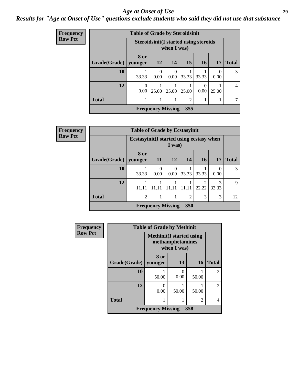#### *Age at Onset of Use* **29**

### *Results for "Age at Onset of Use" questions exclude students who said they did not use that substance*

| Frequency      |                        | <b>Table of Grade by Steroidsinit</b> |           |                                                             |                |       |                  |                |  |  |
|----------------|------------------------|---------------------------------------|-----------|-------------------------------------------------------------|----------------|-------|------------------|----------------|--|--|
| <b>Row Pct</b> |                        |                                       |           | <b>Steroidsinit(I started using steroids</b><br>when I was) |                |       |                  |                |  |  |
|                | Grade(Grade)   younger | 8 or                                  | 12        | 14                                                          | 15             | 16    | <b>17</b>        | <b>Total</b>   |  |  |
|                | 10                     | 33.33                                 | 0<br>0.00 | 0<br>0.00                                                   | 33.33          | 33.33 | $\Omega$<br>0.00 | 3              |  |  |
|                | 12                     | 0<br>0.00                             | 25.00     | 25.00                                                       | 25.00          | 0.00  | 25.00            | $\overline{4}$ |  |  |
|                | <b>Total</b>           |                                       |           |                                                             | $\overline{2}$ |       |                  | 7              |  |  |
|                |                        |                                       |           | Frequency Missing $= 355$                                   |                |       |                  |                |  |  |

| Frequency      |              | <b>Table of Grade by Ecstasyinit</b>      |                  |                           |                |                         |            |              |  |  |
|----------------|--------------|-------------------------------------------|------------------|---------------------------|----------------|-------------------------|------------|--------------|--|--|
| <b>Row Pct</b> |              | Ecstasyinit (I started using ecstasy when |                  | I was)                    |                |                         |            |              |  |  |
|                | Grade(Grade) | 8 or<br>younger                           | <b>11</b>        | <b>12</b>                 | 14             | 16                      | <b>17</b>  | <b>Total</b> |  |  |
|                | 10           | 33.33                                     | $\Omega$<br>0.00 | $\Omega$<br>0.00          | 33.33          | 33.33                   | 0<br>0.00  | 3            |  |  |
|                | 12           | 11.11                                     |                  |                           | 11.11          | $\overline{2}$<br>22.22 | 3<br>33.33 | 9            |  |  |
|                | <b>Total</b> | 2                                         |                  | 1                         | $\overline{2}$ | 3                       | 3          | 12           |  |  |
|                |              |                                           |                  | Frequency Missing $= 350$ |                |                         |            |              |  |  |

| Frequency      |              | <b>Table of Grade by Methinit</b> |                                 |       |                |  |  |  |  |  |
|----------------|--------------|-----------------------------------|---------------------------------|-------|----------------|--|--|--|--|--|
| <b>Row Pct</b> |              | <b>Methinit</b> (I started using  | methamphetamines<br>when I was) |       |                |  |  |  |  |  |
|                | Grade(Grade) | 8 or<br>younger                   | 13                              | 16    | <b>Total</b>   |  |  |  |  |  |
|                | 10           | 50.00                             | 0<br>0.00                       | 50.00 | $\mathfrak{D}$ |  |  |  |  |  |
|                | 12           | 0.00                              | 50.00                           | 50.00 | $\mathfrak{D}$ |  |  |  |  |  |
|                | <b>Total</b> |                                   |                                 | 2     | 4              |  |  |  |  |  |
|                |              | Frequency Missing $=$ 358         |                                 |       |                |  |  |  |  |  |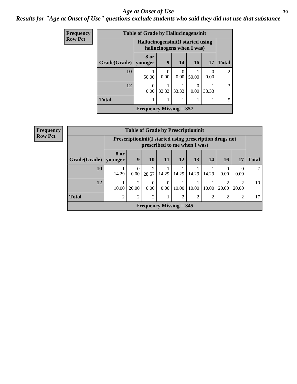#### Age at Onset of Use **30**

### *Results for "Age at Onset of Use" questions exclude students who said they did not use that substance*

| Frequency      |              | <b>Table of Grade by Hallucinogensinit</b>                      |           |           |       |                  |                             |  |  |  |
|----------------|--------------|-----------------------------------------------------------------|-----------|-----------|-------|------------------|-----------------------------|--|--|--|
| <b>Row Pct</b> |              | Hallucinogensinit (I started using<br>hallucinogens when I was) |           |           |       |                  |                             |  |  |  |
|                | Grade(Grade) | 8 or<br>younger                                                 | 9         | 14        | 16    | 17               | <b>Total</b>                |  |  |  |
|                | 10           | 50.00                                                           | 0<br>0.00 | 0<br>0.00 | 50.00 | $\Omega$<br>0.00 | $\mathcal{D}_{\mathcal{L}}$ |  |  |  |
|                | 12           | 0<br>0.00                                                       | 33.33     | 33.33     | 0.00  | 33.33            | $\mathcal{R}$               |  |  |  |
|                | <b>Total</b> |                                                                 |           |           |       |                  |                             |  |  |  |
|                |              | <b>Frequency Missing = 357</b>                                  |           |           |       |                  |                             |  |  |  |

| <b>Frequency</b> | <b>Table of Grade by Prescriptioninit</b> |                |                                                                                         |                           |                  |                |       |       |       |                                      |              |
|------------------|-------------------------------------------|----------------|-----------------------------------------------------------------------------------------|---------------------------|------------------|----------------|-------|-------|-------|--------------------------------------|--------------|
| <b>Row Pct</b>   |                                           |                | Prescriptioninit(I started using prescription drugs not<br>prescribed to me when I was) |                           |                  |                |       |       |       |                                      |              |
|                  | Grade(Grade)   younger                    | <b>8 or</b>    | 9                                                                                       | 10                        | 11               | 12             | 13    | 14    | 16    | 17                                   | <b>Total</b> |
|                  | 10                                        | 14.29          | 0.00                                                                                    | $\mathcal{D}$<br>28.57    | 14.29            | 14.29          | 14.29 | 14.29 | 0.00  | $\Omega$<br>0.00                     | 7            |
|                  | 12                                        | 10.00          | 20.00                                                                                   | $\Omega$<br>0.00          | $\theta$<br>0.00 | 10.00          | 10.00 | 10.00 | 20.00 | $\mathcal{D}_{\mathcal{L}}$<br>20.00 | 10           |
|                  | <b>Total</b>                              | $\mathfrak{D}$ | $\mathfrak{D}$                                                                          | $\mathfrak{D}$            |                  | $\mathfrak{D}$ | ↑     | 2     | ◠     | 2                                    | 17           |
|                  |                                           |                |                                                                                         | Frequency Missing $=$ 345 |                  |                |       |       |       |                                      |              |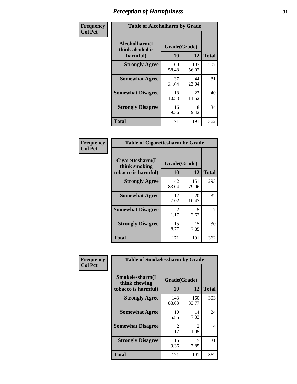| Frequency      | <b>Table of Alcoholharm by Grade</b>          |                    |              |              |  |  |
|----------------|-----------------------------------------------|--------------------|--------------|--------------|--|--|
| <b>Col Pct</b> | Alcoholharm(I<br>think alcohol is<br>harmful) | Grade(Grade)<br>10 | 12           | <b>Total</b> |  |  |
|                | <b>Strongly Agree</b>                         | 100<br>58.48       | 107<br>56.02 | 207          |  |  |
|                | <b>Somewhat Agree</b>                         | 37<br>21.64        | 44<br>23.04  | 81           |  |  |
|                | <b>Somewhat Disagree</b>                      | 18<br>10.53        | 22<br>11.52  | 40           |  |  |
|                | <b>Strongly Disagree</b>                      | 16<br>9.36         | 18<br>9.42   | 34           |  |  |
|                | <b>Total</b>                                  | 171                | 191          | 362          |  |  |

| <b>Table of Cigarettesharm by Grade</b>                  |                        |              |              |  |  |  |  |  |
|----------------------------------------------------------|------------------------|--------------|--------------|--|--|--|--|--|
| Cigarettesharm(I<br>think smoking<br>tobacco is harmful) | Grade(Grade)<br>10     | 12           | <b>Total</b> |  |  |  |  |  |
| <b>Strongly Agree</b>                                    | 142<br>83.04           | 151<br>79.06 | 293          |  |  |  |  |  |
| <b>Somewhat Agree</b>                                    | 12<br>7.02             | 20<br>10.47  | 32           |  |  |  |  |  |
| <b>Somewhat Disagree</b>                                 | $\mathfrak{D}$<br>1.17 | 5<br>2.62    | 7            |  |  |  |  |  |
| <b>Strongly Disagree</b>                                 | 15<br>8.77             | 15<br>7.85   | 30           |  |  |  |  |  |
| <b>Total</b>                                             | 171                    | 191          | 362          |  |  |  |  |  |

| Frequency      | <b>Table of Smokelessharm by Grade</b>                  |                           |                        |              |  |  |  |  |  |
|----------------|---------------------------------------------------------|---------------------------|------------------------|--------------|--|--|--|--|--|
| <b>Col Pct</b> | Smokelessharm(I<br>think chewing<br>tobacco is harmful) | Grade(Grade)<br><b>10</b> | 12                     | <b>Total</b> |  |  |  |  |  |
|                | <b>Strongly Agree</b>                                   | 143<br>83.63              | 160<br>83.77           | 303          |  |  |  |  |  |
|                | <b>Somewhat Agree</b>                                   | 10<br>5.85                | 14<br>7.33             | 24           |  |  |  |  |  |
|                | <b>Somewhat Disagree</b>                                | $\mathcal{L}$<br>1.17     | $\mathfrak{D}$<br>1.05 | 4            |  |  |  |  |  |
|                | <b>Strongly Disagree</b>                                | 16<br>9.36                | 15<br>7.85             | 31           |  |  |  |  |  |
|                | Total                                                   | 171                       | 191                    | 362          |  |  |  |  |  |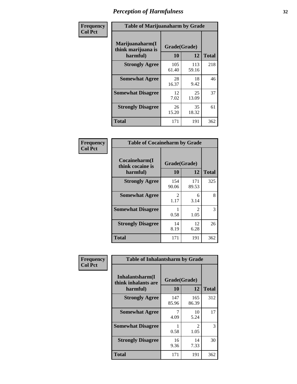| Frequency      |                                                   | <b>Table of Marijuanaharm by Grade</b> |              |              |  |  |  |  |  |
|----------------|---------------------------------------------------|----------------------------------------|--------------|--------------|--|--|--|--|--|
| <b>Col Pct</b> | Marijuanaharm(I<br>think marijuana is<br>harmful) | Grade(Grade)<br>10                     | 12           | <b>Total</b> |  |  |  |  |  |
|                | <b>Strongly Agree</b>                             | 105<br>61.40                           | 113<br>59.16 | 218          |  |  |  |  |  |
|                | <b>Somewhat Agree</b>                             | 28<br>16.37                            | 18<br>9.42   | 46           |  |  |  |  |  |
|                | <b>Somewhat Disagree</b>                          | 12<br>7.02                             | 25<br>13.09  | 37           |  |  |  |  |  |
|                | <b>Strongly Disagree</b>                          | 26<br>15.20                            | 35<br>18.32  | 61           |  |  |  |  |  |
|                | <b>Total</b>                                      | 171                                    | 191          | 362          |  |  |  |  |  |

| <b>Table of Cocaineharm by Grade</b>          |                    |                        |     |  |  |  |  |  |
|-----------------------------------------------|--------------------|------------------------|-----|--|--|--|--|--|
| Cocaineharm(I<br>think cocaine is<br>harmful) | Grade(Grade)<br>10 | <b>Total</b>           |     |  |  |  |  |  |
| <b>Strongly Agree</b>                         | 154<br>90.06       | 171<br>89.53           | 325 |  |  |  |  |  |
| <b>Somewhat Agree</b>                         | 2<br>1.17          | 6<br>3.14              | 8   |  |  |  |  |  |
| <b>Somewhat Disagree</b>                      | 0.58               | $\mathfrak{D}$<br>1.05 | 3   |  |  |  |  |  |
| <b>Strongly Disagree</b>                      | 14<br>8.19         | 12<br>6.28             | 26  |  |  |  |  |  |
| Total                                         | 171                | 191                    | 362 |  |  |  |  |  |

| Frequency      | <b>Table of Inhalantsharm by Grade</b>             |                    |                       |              |
|----------------|----------------------------------------------------|--------------------|-----------------------|--------------|
| <b>Col Pct</b> | Inhalantsharm(I<br>think inhalants are<br>harmful) | Grade(Grade)<br>10 | 12                    | <b>Total</b> |
|                | <b>Strongly Agree</b>                              | 147<br>85.96       | 165<br>86.39          | 312          |
|                | <b>Somewhat Agree</b>                              | 7<br>4.09          | 10<br>5.24            | 17           |
|                | <b>Somewhat Disagree</b>                           | 0.58               | $\mathcal{L}$<br>1.05 | 3            |
|                | <b>Strongly Disagree</b>                           | 16<br>9.36         | 14<br>7.33            | 30           |
|                | Total                                              | 171                | 191                   | 362          |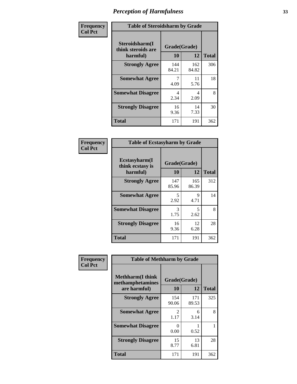| Frequency      | <b>Table of Steroidsharm by Grade</b>            |                    |              |              |
|----------------|--------------------------------------------------|--------------------|--------------|--------------|
| <b>Col Pct</b> | Steroidsharm(I<br>think steroids are<br>harmful) | Grade(Grade)<br>10 | 12           | <b>Total</b> |
|                | <b>Strongly Agree</b>                            | 144<br>84.21       | 162<br>84.82 | 306          |
|                | <b>Somewhat Agree</b>                            | 4.09               | 11<br>5.76   | 18           |
|                | <b>Somewhat Disagree</b>                         | 4<br>2.34          | 4<br>2.09    | 8            |
|                | <b>Strongly Disagree</b>                         | 16<br>9.36         | 14<br>7.33   | 30           |
|                | <b>Total</b>                                     | 171                | 191          | 362          |

| <b>Table of Ecstasyharm by Grade</b>          |                    |              |     |  |  |
|-----------------------------------------------|--------------------|--------------|-----|--|--|
| Ecstasyharm(I<br>think ecstasy is<br>harmful) | Grade(Grade)<br>10 | <b>Total</b> |     |  |  |
| <b>Strongly Agree</b>                         | 147<br>85.96       | 165<br>86.39 | 312 |  |  |
| <b>Somewhat Agree</b>                         | 5<br>2.92          | 9<br>4.71    | 14  |  |  |
| <b>Somewhat Disagree</b>                      | 3<br>1.75          | 5<br>2.62    | 8   |  |  |
| <b>Strongly Disagree</b>                      | 16<br>9.36         | 12<br>6.28   | 28  |  |  |
| <b>Total</b>                                  | 171                | 191          | 362 |  |  |

| Frequency      | <b>Table of Methharm by Grade</b>                            |                           |              |              |
|----------------|--------------------------------------------------------------|---------------------------|--------------|--------------|
| <b>Col Pct</b> | <b>Methharm</b> (I think<br>methamphetamines<br>are harmful) | Grade(Grade)<br><b>10</b> | 12           | <b>Total</b> |
|                | <b>Strongly Agree</b>                                        | 154<br>90.06              | 171<br>89.53 | 325          |
|                | <b>Somewhat Agree</b>                                        | 2<br>1.17                 | 6<br>3.14    | 8            |
|                | <b>Somewhat Disagree</b>                                     | 0<br>0.00                 | 0.52         |              |
|                | <b>Strongly Disagree</b>                                     | 15<br>8.77                | 13<br>6.81   | 28           |
|                | Total                                                        | 171                       | 191          | 362          |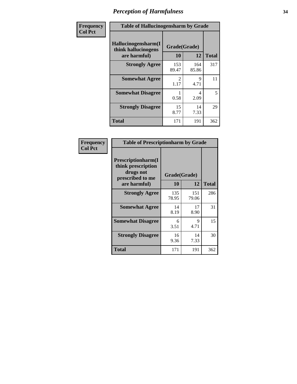| Frequency      | <b>Table of Hallucinogensharm by Grade</b>                 |                    |              |              |
|----------------|------------------------------------------------------------|--------------------|--------------|--------------|
| <b>Col Pct</b> | Hallucinogensharm(I<br>think hallucinogens<br>are harmful) | Grade(Grade)<br>10 | 12           | <b>Total</b> |
|                | <b>Strongly Agree</b>                                      | 153<br>89.47       | 164<br>85.86 | 317          |
|                | <b>Somewhat Agree</b>                                      | 2<br>1.17          | 9<br>4.71    | 11           |
|                | <b>Somewhat Disagree</b>                                   | 0.58               | 4<br>2.09    | 5            |
|                | <b>Strongly Disagree</b>                                   | 15<br>8.77         | 14<br>7.33   | 29           |
|                | <b>Total</b>                                               | 171                | 191          | 362          |

| <b>Table of Prescriptionharm by Grade</b>                                 |              |              |              |  |  |
|---------------------------------------------------------------------------|--------------|--------------|--------------|--|--|
| Prescriptionharm(I<br>think prescription<br>drugs not<br>prescribed to me | Grade(Grade) |              |              |  |  |
| are harmful)                                                              | 10           | 12           | <b>Total</b> |  |  |
| <b>Strongly Agree</b>                                                     | 135<br>78.95 | 151<br>79.06 | 286          |  |  |
| <b>Somewhat Agree</b>                                                     | 14<br>8.19   | 17<br>8.90   | 31           |  |  |
| <b>Somewhat Disagree</b>                                                  | 6<br>3.51    | Q<br>4.71    | 15           |  |  |
| <b>Strongly Disagree</b>                                                  | 16<br>9.36   | 14<br>7.33   | 30           |  |  |
| <b>Total</b>                                                              | 171          | 191          | 362          |  |  |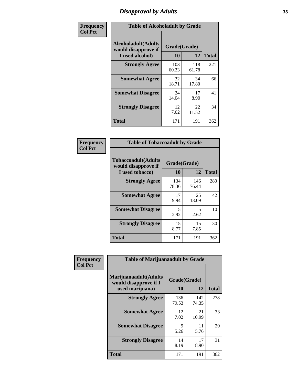### *Disapproval by Adults* **35**

| Frequency      | <b>Table of Alcoholadult by Grade</b>                                 |                    |              |              |
|----------------|-----------------------------------------------------------------------|--------------------|--------------|--------------|
| <b>Col Pct</b> | <b>Alcoholadult</b> (Adults<br>would disapprove if<br>I used alcohol) | Grade(Grade)<br>10 | 12           | <b>Total</b> |
|                | <b>Strongly Agree</b>                                                 | 103<br>60.23       | 118<br>61.78 | 221          |
|                | <b>Somewhat Agree</b>                                                 | 32<br>18.71        | 34<br>17.80  | 66           |
|                | <b>Somewhat Disagree</b>                                              | 24<br>14.04        | 17<br>8.90   | 41           |
|                | <b>Strongly Disagree</b>                                              | 12<br>7.02         | 22<br>11.52  | 34           |
|                | <b>Total</b>                                                          | 171                | 191          | 362          |

| <b>Table of Tobaccoadult by Grade</b>                                 |                    |              |              |  |  |
|-----------------------------------------------------------------------|--------------------|--------------|--------------|--|--|
| <b>Tobaccoadult</b> (Adults<br>would disapprove if<br>I used tobacco) | Grade(Grade)<br>10 | 12           | <b>Total</b> |  |  |
| <b>Strongly Agree</b>                                                 | 134<br>78.36       | 146<br>76.44 | 280          |  |  |
| <b>Somewhat Agree</b>                                                 | 17<br>9.94         | 25<br>13.09  | 42           |  |  |
| <b>Somewhat Disagree</b>                                              | 5<br>2.92          | 5<br>2.62    | 10           |  |  |
| <b>Strongly Disagree</b>                                              | 15<br>8.77         | 15<br>7.85   | 30           |  |  |
| <b>Total</b>                                                          | 171                | 191          | 362          |  |  |

| Frequency      | <b>Table of Marijuanaadult by Grade</b>                           |                    |              |              |
|----------------|-------------------------------------------------------------------|--------------------|--------------|--------------|
| <b>Col Pct</b> | Marijuanaadult(Adults<br>would disapprove if I<br>used marijuana) | Grade(Grade)<br>10 | 12           | <b>Total</b> |
|                | <b>Strongly Agree</b>                                             | 136<br>79.53       | 142<br>74.35 | 278          |
|                | <b>Somewhat Agree</b>                                             | 12<br>7.02         | 21<br>10.99  | 33           |
|                | <b>Somewhat Disagree</b>                                          | 9<br>5.26          | 11<br>5.76   | 20           |
|                | <b>Strongly Disagree</b>                                          | 14<br>8.19         | 17<br>8.90   | 31           |
|                | <b>Total</b>                                                      | 171                | 191          | 362          |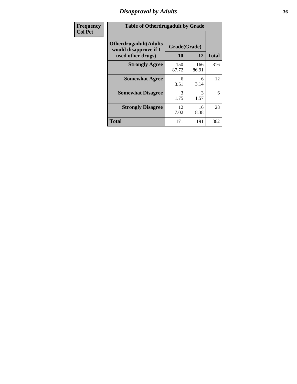### *Disapproval by Adults* **36**

| <b>Frequency</b> | <b>Table of Otherdrugadult by Grade</b>                                     |                    |              |              |
|------------------|-----------------------------------------------------------------------------|--------------------|--------------|--------------|
| <b>Col Pct</b>   | <b>Otherdrugadult</b> (Adults<br>would disapprove if I<br>used other drugs) | Grade(Grade)<br>10 | 12           | <b>Total</b> |
|                  | <b>Strongly Agree</b>                                                       | 150<br>87.72       | 166<br>86.91 | 316          |
|                  | <b>Somewhat Agree</b>                                                       | 6<br>3.51          | 6<br>3.14    | 12           |
|                  | <b>Somewhat Disagree</b>                                                    | 3<br>1.75          | 3<br>1.57    | 6            |
|                  | <b>Strongly Disagree</b>                                                    | 12<br>7.02         | 16<br>8.38   | 28           |
|                  | <b>Total</b>                                                                | 171                | 191          | 362          |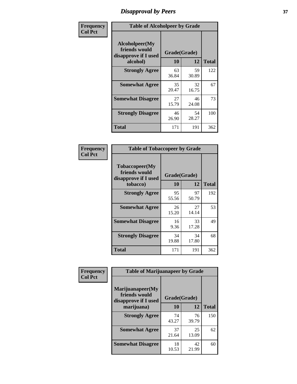# *Disapproval by Peers* **37**

| Frequency      | <b>Table of Alcoholpeer by Grade</b>                    |              |             |              |  |
|----------------|---------------------------------------------------------|--------------|-------------|--------------|--|
| <b>Col Pct</b> | Alcoholpeer(My<br>friends would<br>disapprove if I used | Grade(Grade) |             |              |  |
|                | alcohol)                                                | 10           | 12          | <b>Total</b> |  |
|                | <b>Strongly Agree</b>                                   | 63<br>36.84  | 59<br>30.89 | 122          |  |
|                | <b>Somewhat Agree</b>                                   | 35<br>20.47  | 32<br>16.75 | 67           |  |
|                | <b>Somewhat Disagree</b>                                | 27<br>15.79  | 46<br>24.08 | 73           |  |
|                | <b>Strongly Disagree</b>                                | 46<br>26.90  | 54<br>28.27 | 100          |  |
|                | Total                                                   | 171          | 191         | 362          |  |

| Frequency      | <b>Table of Tobaccopeer by Grade</b>                                |                    |             |              |  |
|----------------|---------------------------------------------------------------------|--------------------|-------------|--------------|--|
| <b>Col Pct</b> | Tobaccopeer(My<br>friends would<br>disapprove if I used<br>tobacco) | Grade(Grade)<br>10 | 12          | <b>Total</b> |  |
|                | <b>Strongly Agree</b>                                               | 95<br>55.56        | 97<br>50.79 | 192          |  |
|                | <b>Somewhat Agree</b>                                               | 26<br>15.20        | 27<br>14.14 | 53           |  |
|                | <b>Somewhat Disagree</b>                                            | 16<br>9.36         | 33<br>17.28 | 49           |  |
|                | <b>Strongly Disagree</b>                                            | 34<br>19.88        | 34<br>17.80 | 68           |  |
|                | Total                                                               | 171                | 191         | 362          |  |

| Frequency<br><b>Col Pct</b> | <b>Table of Marijuanapeer by Grade</b>                    |              |             |              |
|-----------------------------|-----------------------------------------------------------|--------------|-------------|--------------|
|                             | Marijuanapeer(My<br>friends would<br>disapprove if I used | Grade(Grade) |             |              |
|                             | marijuana)                                                | 10           | 12          | <b>Total</b> |
|                             | <b>Strongly Agree</b>                                     | 74<br>43.27  | 76<br>39.79 | 150          |
|                             | <b>Somewhat Agree</b>                                     | 37<br>21.64  | 25<br>13.09 | 62           |
|                             | <b>Somewhat Disagree</b>                                  | 18<br>10.53  | 42<br>21.99 | 60           |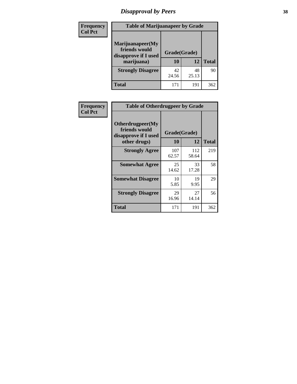# *Disapproval by Peers* **38**

| <b>Frequency</b> | <b>Table of Marijuanapeer by Grade</b>                                  |                           |             |              |  |
|------------------|-------------------------------------------------------------------------|---------------------------|-------------|--------------|--|
| <b>Col Pct</b>   | Marijuanapeer(My<br>friends would<br>disapprove if I used<br>marijuana) | Grade(Grade)<br><b>10</b> | 12          | <b>Total</b> |  |
|                  | <b>Strongly Disagree</b>                                                | 42<br>24.56               | 48<br>25.13 | 90           |  |
|                  | <b>Total</b>                                                            | 171                       | 191         | 362          |  |

| <b>Frequency</b> | <b>Table of Otherdrugpeer by Grade</b>                                    |                           |              |              |
|------------------|---------------------------------------------------------------------------|---------------------------|--------------|--------------|
| <b>Col Pct</b>   | Otherdrugpeer(My<br>friends would<br>disapprove if I used<br>other drugs) | Grade(Grade)<br><b>10</b> | 12           | <b>Total</b> |
|                  |                                                                           |                           |              |              |
|                  | <b>Strongly Agree</b>                                                     | 107<br>62.57              | 112<br>58.64 | 219          |
|                  | <b>Somewhat Agree</b>                                                     | 25<br>14.62               | 33<br>17.28  | 58           |
|                  | <b>Somewhat Disagree</b>                                                  | 10<br>5.85                | 19<br>9.95   | 29           |
|                  | <b>Strongly Disagree</b>                                                  | 29<br>16.96               | 27<br>14.14  | 56           |
|                  | <b>Total</b>                                                              | 171                       | 191          | 362          |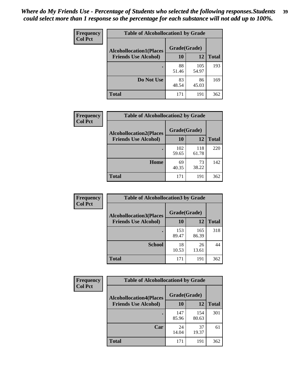| Frequency      | <b>Table of Alcohollocation1 by Grade</b> |              |              |              |
|----------------|-------------------------------------------|--------------|--------------|--------------|
| <b>Col Pct</b> | <b>Alcohollocation1(Places</b>            | Grade(Grade) |              |              |
|                | <b>Friends Use Alcohol)</b>               | 10           | 12           | <b>Total</b> |
|                |                                           | 88<br>51.46  | 105<br>54.97 | 193          |
|                | Do Not Use                                | 83<br>48.54  | 86<br>45.03  | 169          |
|                | <b>Total</b>                              | 171          | 191          | 362          |

| Frequency      | <b>Table of Alcohollocation2 by Grade</b>                     |                    |              |              |
|----------------|---------------------------------------------------------------|--------------------|--------------|--------------|
| <b>Col Pct</b> | <b>Alcohollocation2(Places</b><br><b>Friends Use Alcohol)</b> | Grade(Grade)<br>10 | <b>12</b>    | <b>Total</b> |
|                |                                                               | 102<br>59.65       | 118<br>61.78 | 220          |
|                | Home                                                          | 69<br>40.35        | 73<br>38.22  | 142          |
|                | <b>Total</b>                                                  | 171                | 191          | 362          |

| Frequency<br><b>Col Pct</b> | <b>Table of Alcohollocation 3 by Grade</b> |                    |              |              |
|-----------------------------|--------------------------------------------|--------------------|--------------|--------------|
|                             | <b>Alcohollocation3(Places</b>             | Grade(Grade)<br>10 |              |              |
|                             | <b>Friends Use Alcohol)</b>                |                    | 12           | <b>Total</b> |
|                             |                                            | 153<br>89.47       | 165<br>86.39 | 318          |
|                             | <b>School</b>                              | 18<br>10.53        | 26<br>13.61  | 44           |
|                             | <b>Total</b>                               | 171                | 191          | 362          |

| <b>Frequency</b> | <b>Table of Alcohollocation4 by Grade</b> |              |              |              |  |
|------------------|-------------------------------------------|--------------|--------------|--------------|--|
| <b>Col Pct</b>   | <b>Alcohollocation4(Places</b>            | Grade(Grade) |              |              |  |
|                  | <b>Friends Use Alcohol)</b>               | 10           | 12           | <b>Total</b> |  |
|                  |                                           | 147<br>85.96 | 154<br>80.63 | 301          |  |
|                  | Car                                       | 24<br>14.04  | 37<br>19.37  | 61           |  |
|                  | <b>Total</b>                              | 171          | 191          | 362          |  |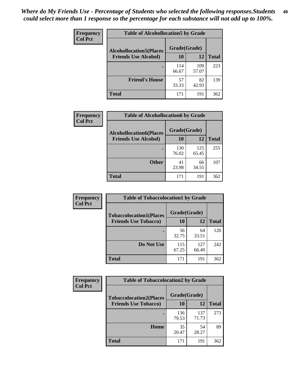| Frequency<br><b>Col Pct</b> | <b>Table of Alcohollocation5 by Grade</b> |              |              |              |  |
|-----------------------------|-------------------------------------------|--------------|--------------|--------------|--|
|                             | <b>Alcohollocation5(Places</b>            | Grade(Grade) |              |              |  |
|                             | <b>Friends Use Alcohol)</b>               | 10           | 12           | <b>Total</b> |  |
|                             |                                           | 114<br>66.67 | 109<br>57.07 | 223          |  |
|                             | <b>Friend's House</b>                     | 57<br>33.33  | 82<br>42.93  | 139          |  |
|                             | <b>Total</b>                              | 171          | 191          | 362          |  |

| <b>Frequency</b> | <b>Table of Alcohollocation6 by Grade</b> |              |              |              |
|------------------|-------------------------------------------|--------------|--------------|--------------|
| <b>Col Pct</b>   | <b>Alcohollocation6(Places</b>            | Grade(Grade) |              |              |
|                  | <b>Friends Use Alcohol)</b>               | 10           | 12           | <b>Total</b> |
|                  |                                           | 130<br>76.02 | 125<br>65.45 | 255          |
|                  | <b>Other</b>                              | 41<br>23.98  | 66<br>34.55  | 107          |
|                  | <b>Total</b>                              | 171          | 191          | 362          |

| <b>Frequency</b> | <b>Table of Tobaccolocation1 by Grade</b>                     |              |              |              |
|------------------|---------------------------------------------------------------|--------------|--------------|--------------|
| <b>Col Pct</b>   | <b>Tobaccolocation1(Places</b><br><b>Friends Use Tobacco)</b> | Grade(Grade) |              |              |
|                  |                                                               | 10           | 12           | <b>Total</b> |
|                  |                                                               | 56<br>32.75  | 64<br>33.51  | 120          |
|                  | Do Not Use                                                    | 115<br>67.25 | 127<br>66.49 | 242          |
|                  | <b>Total</b>                                                  | 171          | 191          | 362          |

| <b>Frequency</b> | <b>Table of Tobaccolocation2 by Grade</b> |              |              |              |
|------------------|-------------------------------------------|--------------|--------------|--------------|
| <b>Col Pct</b>   | <b>Tobaccolocation2(Places</b>            | Grade(Grade) |              |              |
|                  | <b>Friends Use Tobacco)</b>               | 10           | 12           | <b>Total</b> |
|                  |                                           | 136<br>79.53 | 137<br>71.73 | 273          |
|                  | Home                                      | 35<br>20.47  | 54<br>28.27  | 89           |
|                  | <b>Total</b>                              | 171          | 191          | 362          |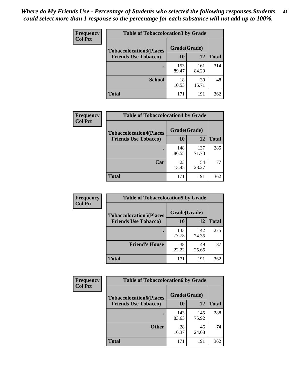| Frequency      | <b>Table of Tobaccolocation 3 by Grade</b> |              |              |              |  |
|----------------|--------------------------------------------|--------------|--------------|--------------|--|
| <b>Col Pct</b> | <b>Tobaccolocation3(Places</b>             | Grade(Grade) |              |              |  |
|                | <b>Friends Use Tobacco)</b>                | 10           | 12           | <b>Total</b> |  |
|                |                                            | 153<br>89.47 | 161<br>84.29 | 314          |  |
|                | <b>School</b>                              | 18<br>10.53  | 30<br>15.71  | 48           |  |
|                | <b>Total</b>                               | 171          | 191          | 362          |  |

| Frequency      | <b>Table of Tobaccolocation4 by Grade</b> |              |              |              |
|----------------|-------------------------------------------|--------------|--------------|--------------|
| <b>Col Pct</b> | <b>Tobaccolocation4(Places</b>            | Grade(Grade) |              |              |
|                | <b>Friends Use Tobacco)</b>               | 10           | <b>12</b>    | <b>Total</b> |
|                |                                           | 148<br>86.55 | 137<br>71.73 | 285          |
|                | Car                                       | 23<br>13.45  | 54<br>28.27  | 77           |
|                | <b>Total</b>                              | 171          | 191          | 362          |

| Frequency      | <b>Table of Tobaccolocation5 by Grade</b> |              |              |              |
|----------------|-------------------------------------------|--------------|--------------|--------------|
| <b>Col Pct</b> | <b>Tobaccolocation5(Places</b>            | Grade(Grade) |              |              |
|                | <b>Friends Use Tobacco)</b>               | 10           | <b>12</b>    | <b>Total</b> |
|                |                                           | 133<br>77.78 | 142<br>74.35 | 275          |
|                | <b>Friend's House</b>                     | 38<br>22.22  | 49<br>25.65  | 87           |
|                | <b>Total</b>                              | 171          | 191          | 362          |

| <b>Frequency</b> | <b>Table of Tobaccolocation6 by Grade</b> |              |              |              |  |
|------------------|-------------------------------------------|--------------|--------------|--------------|--|
| <b>Col Pct</b>   | <b>Tobaccolocation6(Places</b>            | Grade(Grade) |              |              |  |
|                  | <b>Friends Use Tobacco)</b>               | 10           | 12           | <b>Total</b> |  |
|                  |                                           | 143<br>83.63 | 145<br>75.92 | 288          |  |
|                  | <b>Other</b>                              | 28<br>16.37  | 46<br>24.08  | 74           |  |
|                  | <b>Total</b>                              | 171          | 191          | 362          |  |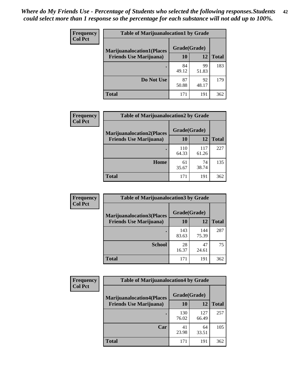| <b>Frequency</b> | <b>Table of Marijuanalocation1 by Grade</b> |              |             |              |
|------------------|---------------------------------------------|--------------|-------------|--------------|
| <b>Col Pct</b>   | <b>Marijuanalocation1(Places</b>            | Grade(Grade) |             |              |
|                  | <b>Friends Use Marijuana</b> )              | <b>10</b>    | 12          | <b>Total</b> |
|                  |                                             | 84<br>49.12  | 99<br>51.83 | 183          |
|                  | Do Not Use                                  | 87<br>50.88  | 92<br>48.17 | 179          |
|                  | <b>Total</b>                                | 171          | 191         | 362          |

| Frequency      | <b>Table of Marijuanalocation2 by Grade</b>                        |                           |              |              |
|----------------|--------------------------------------------------------------------|---------------------------|--------------|--------------|
| <b>Col Pct</b> | <b>Marijuanalocation2(Places</b><br><b>Friends Use Marijuana</b> ) | Grade(Grade)<br><b>10</b> | 12           | <b>Total</b> |
|                |                                                                    | 110<br>64.33              | 117<br>61.26 | 227          |
|                | Home                                                               | 61<br>35.67               | 74<br>38.74  | 135          |
|                | <b>Total</b>                                                       | 171                       | 191          | 362          |

| <b>Frequency</b><br><b>Col Pct</b> | <b>Table of Marijuanalocation3 by Grade</b> |              |              |              |
|------------------------------------|---------------------------------------------|--------------|--------------|--------------|
|                                    | <b>Marijuanalocation3</b> (Places           | Grade(Grade) |              |              |
|                                    | <b>Friends Use Marijuana</b> )              | 10           | 12           | <b>Total</b> |
|                                    |                                             | 143<br>83.63 | 144<br>75.39 | 287          |
|                                    | <b>School</b>                               | 28<br>16.37  | 47<br>24.61  | 75           |
|                                    | <b>Total</b>                                | 171          | 191          | 362          |

| <b>Frequency</b> | <b>Table of Marijuanalocation4 by Grade</b> |              |              |              |  |
|------------------|---------------------------------------------|--------------|--------------|--------------|--|
| <b>Col Pct</b>   | <b>Marijuanalocation4(Places</b>            | Grade(Grade) |              |              |  |
|                  | <b>Friends Use Marijuana</b> )              | <b>10</b>    | 12           | <b>Total</b> |  |
|                  |                                             | 130<br>76.02 | 127<br>66.49 | 257          |  |
|                  | Car                                         | 41<br>23.98  | 64<br>33.51  | 105          |  |
|                  | <b>Total</b>                                | 171          | 191          | 362          |  |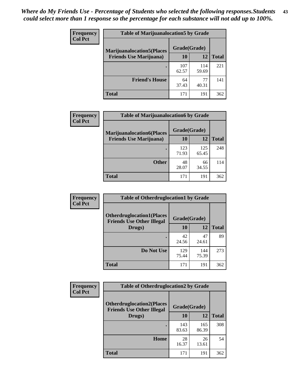| <b>Frequency</b> | <b>Table of Marijuanalocation5 by Grade</b> |              |              |              |
|------------------|---------------------------------------------|--------------|--------------|--------------|
| <b>Col Pct</b>   | <b>Marijuanalocation5</b> (Places           | Grade(Grade) |              |              |
|                  | <b>Friends Use Marijuana</b> )              | 10           | 12           | <b>Total</b> |
|                  |                                             | 107<br>62.57 | 114<br>59.69 | 221          |
|                  | <b>Friend's House</b>                       | 64<br>37.43  | 77<br>40.31  | 141          |
|                  | <b>Total</b>                                | 171          | 191          | 362          |

| <b>Frequency</b> | <b>Table of Marijuanalocation6 by Grade</b>                        |                    |              |              |
|------------------|--------------------------------------------------------------------|--------------------|--------------|--------------|
| <b>Col Pct</b>   | <b>Marijuanalocation6(Places</b><br><b>Friends Use Marijuana</b> ) | Grade(Grade)<br>10 | 12           | <b>Total</b> |
|                  |                                                                    | 123<br>71.93       | 125<br>65.45 | 248          |
|                  | <b>Other</b>                                                       | 48<br>28.07        | 66<br>34.55  | 114          |
|                  | <b>Total</b>                                                       | 171                | 191          | 362          |

| <b>Frequency</b> | <b>Table of Otherdruglocation1 by Grade</b>                          |              |              |              |
|------------------|----------------------------------------------------------------------|--------------|--------------|--------------|
| <b>Col Pct</b>   | <b>Otherdruglocation1(Places</b><br><b>Friends Use Other Illegal</b> | Grade(Grade) |              |              |
|                  | Drugs)                                                               | 10           | 12           | <b>Total</b> |
|                  |                                                                      | 42<br>24.56  | 47<br>24.61  | 89           |
|                  | Do Not Use                                                           | 129<br>75.44 | 144<br>75.39 | 273          |
|                  | <b>Total</b>                                                         | 171          | 191          | 362          |

| <b>Frequency</b> | <b>Table of Otherdruglocation2 by Grade</b>                          |              |              |              |
|------------------|----------------------------------------------------------------------|--------------|--------------|--------------|
| <b>Col Pct</b>   | <b>Otherdruglocation2(Places</b><br><b>Friends Use Other Illegal</b> | Grade(Grade) |              |              |
|                  | Drugs)                                                               | 10           | 12           | <b>Total</b> |
|                  |                                                                      | 143<br>83.63 | 165<br>86.39 | 308          |
|                  | Home                                                                 | 28<br>16.37  | 26<br>13.61  | 54           |
|                  | <b>Total</b>                                                         | 171          | 191          | 362          |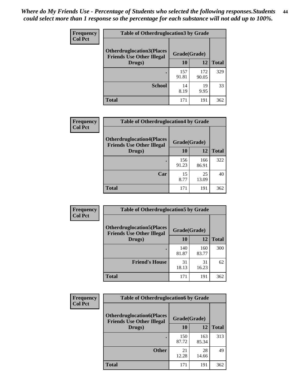| <b>Frequency</b> | <b>Table of Otherdruglocation 3 by Grade</b>                         |              |              |              |
|------------------|----------------------------------------------------------------------|--------------|--------------|--------------|
| <b>Col Pct</b>   | <b>Otherdruglocation3(Places</b><br><b>Friends Use Other Illegal</b> | Grade(Grade) |              |              |
|                  | Drugs)                                                               | 10           | 12           | <b>Total</b> |
|                  |                                                                      | 157<br>91.81 | 172<br>90.05 | 329          |
|                  | <b>School</b>                                                        | 14<br>8.19   | 19<br>9.95   | 33           |
|                  | <b>Total</b>                                                         | 171          | 191          | 362          |

| Frequency      | <b>Table of Otherdruglocation4 by Grade</b>                          |              |              |              |
|----------------|----------------------------------------------------------------------|--------------|--------------|--------------|
| <b>Col Pct</b> | <b>Otherdruglocation4(Places</b><br><b>Friends Use Other Illegal</b> | Grade(Grade) |              |              |
|                | Drugs)                                                               | 10           | 12           | <b>Total</b> |
|                |                                                                      | 156<br>91.23 | 166<br>86.91 | 322          |
|                | Car                                                                  | 15<br>8.77   | 25<br>13.09  | 40           |
|                | <b>Total</b>                                                         | 171          | 191          | 362          |

| Frequency      | <b>Table of Otherdruglocation5 by Grade</b>                          |              |              |              |
|----------------|----------------------------------------------------------------------|--------------|--------------|--------------|
| <b>Col Pct</b> | <b>Otherdruglocation5(Places</b><br><b>Friends Use Other Illegal</b> | Grade(Grade) |              |              |
|                | Drugs)                                                               | 10           | 12           | <b>Total</b> |
|                |                                                                      | 140<br>81.87 | 160<br>83.77 | 300          |
|                | <b>Friend's House</b>                                                | 31<br>18.13  | 31<br>16.23  | 62           |
|                | <b>Total</b>                                                         | 171          | 191          | 362          |

| Frequency      | <b>Table of Otherdruglocation6 by Grade</b>                          |              |              |              |
|----------------|----------------------------------------------------------------------|--------------|--------------|--------------|
| <b>Col Pct</b> | <b>Otherdruglocation6(Places</b><br><b>Friends Use Other Illegal</b> | Grade(Grade) |              |              |
|                | Drugs)                                                               | 10           | 12           | <b>Total</b> |
|                |                                                                      | 150<br>87.72 | 163<br>85.34 | 313          |
|                | <b>Other</b>                                                         | 21<br>12.28  | 28<br>14.66  | 49           |
|                | <b>Total</b>                                                         | 171          | 191          | 362          |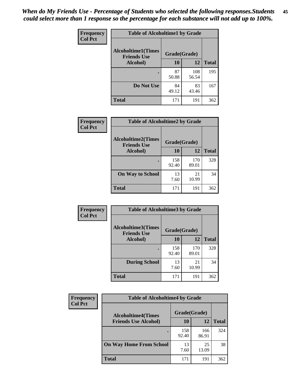| Frequency      | <b>Table of Alcoholtime1 by Grade</b>           |              |              |              |
|----------------|-------------------------------------------------|--------------|--------------|--------------|
| <b>Col Pct</b> | <b>Alcoholtime1(Times</b><br><b>Friends Use</b> | Grade(Grade) |              |              |
|                | Alcohol)                                        | 10           | 12           | <b>Total</b> |
|                |                                                 | 87<br>50.88  | 108<br>56.54 | 195          |
|                | Do Not Use                                      | 84<br>49.12  | 83<br>43.46  | 167          |
|                | <b>Total</b>                                    | 171          | 191          | 362          |

| Frequency      | <b>Table of Alcoholtime2 by Grade</b>           |              |              |              |
|----------------|-------------------------------------------------|--------------|--------------|--------------|
| <b>Col Pct</b> | <b>Alcoholtime2(Times</b><br><b>Friends Use</b> | Grade(Grade) |              |              |
|                | Alcohol)                                        | 10           | 12           | <b>Total</b> |
|                |                                                 | 158<br>92.40 | 170<br>89.01 | 328          |
|                | <b>On Way to School</b>                         | 13<br>7.60   | 21<br>10.99  | 34           |
|                | <b>Total</b>                                    | 171          | 191          | 362          |

| Frequency      | <b>Table of Alcoholtime3 by Grade</b>           |              |              |              |
|----------------|-------------------------------------------------|--------------|--------------|--------------|
| <b>Col Pct</b> | <b>Alcoholtime3(Times</b><br><b>Friends Use</b> | Grade(Grade) |              |              |
|                | <b>Alcohol</b> )                                | 10           | 12           | <b>Total</b> |
|                |                                                 | 158<br>92.40 | 170<br>89.01 | 328          |
|                | <b>During School</b>                            | 13<br>7.60   | 21<br>10.99  | 34           |
|                | Total                                           | 171          | 191          | 362          |

| <b>Frequency</b> | <b>Table of Alcoholtime4 by Grade</b> |              |              |              |  |
|------------------|---------------------------------------|--------------|--------------|--------------|--|
| <b>Col Pct</b>   | <b>Alcoholtime4(Times</b>             | Grade(Grade) |              |              |  |
|                  | <b>Friends Use Alcohol)</b>           | 10           | 12           | <b>Total</b> |  |
|                  | ٠                                     | 158<br>92.40 | 166<br>86.91 | 324          |  |
|                  | <b>On Way Home From School</b>        | 13<br>7.60   | 25<br>13.09  | 38           |  |
|                  | <b>Total</b>                          | 171          | 191          | 362          |  |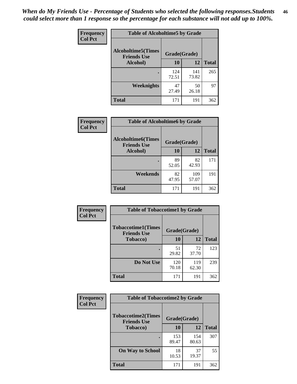*When do My Friends Use - Percentage of Students who selected the following responses.Students could select more than 1 response so the percentage for each substance will not add up to 100%.* **46**

| Frequency      | <b>Table of Alcoholtime5 by Grade</b>           |              |              |              |
|----------------|-------------------------------------------------|--------------|--------------|--------------|
| <b>Col Pct</b> | <b>Alcoholtime5(Times</b><br><b>Friends Use</b> | Grade(Grade) |              |              |
|                | Alcohol)                                        | 10           | 12           | <b>Total</b> |
|                |                                                 | 124<br>72.51 | 141<br>73.82 | 265          |
|                | Weeknights                                      | 47<br>27.49  | 50<br>26.18  | 97           |
|                | <b>Total</b>                                    | 171          | 191          | 362          |

| Frequency      | <b>Table of Alcoholtime6 by Grade</b>           |              |              |              |
|----------------|-------------------------------------------------|--------------|--------------|--------------|
| <b>Col Pct</b> | <b>Alcoholtime6(Times</b><br><b>Friends Use</b> | Grade(Grade) |              |              |
|                | Alcohol)                                        | 10           | 12           | <b>Total</b> |
|                | ٠                                               | 89<br>52.05  | 82<br>42.93  | 171          |
|                | Weekends                                        | 82<br>47.95  | 109<br>57.07 | 191          |
|                | <b>Total</b>                                    | 171          | 191          | 362          |
|                |                                                 |              |              |              |

| Frequency      | <b>Table of Tobaccotime1 by Grade</b>           |              |              |              |
|----------------|-------------------------------------------------|--------------|--------------|--------------|
| <b>Col Pct</b> | <b>Tobaccotime1(Times</b><br><b>Friends Use</b> | Grade(Grade) |              |              |
|                | <b>Tobacco</b> )                                | 10           | 12           | <b>Total</b> |
|                | ٠                                               | 51<br>29.82  | 72<br>37.70  | 123          |
|                | Do Not Use                                      | 120<br>70.18 | 119<br>62.30 | 239          |
|                | <b>Total</b>                                    | 171          | 191          | 362          |

| <b>Frequency</b> | <b>Table of Tobaccotime2 by Grade</b>           |              |              |              |
|------------------|-------------------------------------------------|--------------|--------------|--------------|
| <b>Col Pct</b>   | <b>Tobaccotime2(Times</b><br><b>Friends Use</b> | Grade(Grade) |              |              |
|                  | Tobacco)                                        | 10           | 12           | <b>Total</b> |
|                  |                                                 | 153<br>89.47 | 154<br>80.63 | 307          |
|                  | <b>On Way to School</b>                         | 18<br>10.53  | 37<br>19.37  | 55           |
|                  | <b>Total</b>                                    | 171          | 191          | 362          |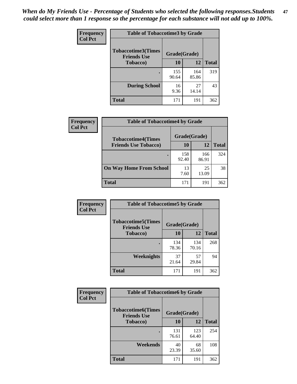*When do My Friends Use - Percentage of Students who selected the following responses.Students could select more than 1 response so the percentage for each substance will not add up to 100%.* **47**

| <b>Frequency</b> | <b>Table of Tobaccotime3 by Grade</b>           |              |              |              |  |
|------------------|-------------------------------------------------|--------------|--------------|--------------|--|
| <b>Col Pct</b>   | <b>Tobaccotime3(Times</b><br><b>Friends Use</b> | Grade(Grade) |              |              |  |
|                  | <b>Tobacco</b> )                                | 10           | 12           | <b>Total</b> |  |
|                  |                                                 | 155<br>90.64 | 164<br>85.86 | 319          |  |
|                  | <b>During School</b>                            | 16<br>9.36   | 27<br>14.14  | 43           |  |
|                  | <b>Total</b>                                    | 171          | 191          | 362          |  |

| <b>Frequency</b><br><b>Col Pct</b> | <b>Table of Tobaccotime4 by Grade</b> |              |              |              |
|------------------------------------|---------------------------------------|--------------|--------------|--------------|
|                                    | <b>Tobaccotime4(Times</b>             | Grade(Grade) |              |              |
|                                    | <b>Friends Use Tobacco)</b>           | 10           | 12           | <b>Total</b> |
|                                    |                                       | 158<br>92.40 | 166<br>86.91 | 324          |
|                                    | <b>On Way Home From School</b>        | 13<br>7.60   | 25<br>13.09  | 38           |
|                                    | Total                                 | 171          | 191          | 362          |

| Frequency      | <b>Table of Tobaccotime5 by Grade</b>           |              |              |              |
|----------------|-------------------------------------------------|--------------|--------------|--------------|
| <b>Col Pct</b> | <b>Tobaccotime5(Times</b><br><b>Friends Use</b> | Grade(Grade) |              |              |
|                | <b>Tobacco</b> )                                | 10           | 12           | <b>Total</b> |
|                |                                                 | 134<br>78.36 | 134<br>70.16 | 268          |
|                | Weeknights                                      | 37<br>21.64  | 57<br>29.84  | 94           |
|                | <b>Total</b>                                    | 171          | 191          | 362          |

| Frequency<br><b>Col Pct</b> | <b>Table of Tobaccotime6 by Grade</b>                           |              |              |              |
|-----------------------------|-----------------------------------------------------------------|--------------|--------------|--------------|
|                             | <b>Tobaccotime6(Times</b><br>Grade(Grade)<br><b>Friends Use</b> |              |              |              |
|                             | <b>Tobacco</b> )                                                | 10           | 12           | <b>Total</b> |
|                             |                                                                 | 131<br>76.61 | 123<br>64.40 | 254          |
|                             | Weekends                                                        | 40<br>23.39  | 68<br>35.60  | 108          |
|                             | <b>Total</b>                                                    | 171          | 191          | 362          |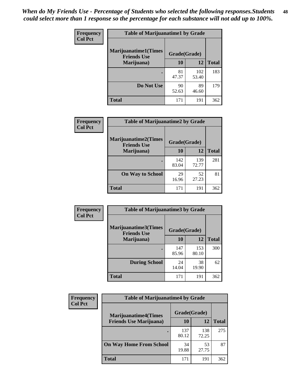| Frequency      | <b>Table of Marijuanatime1 by Grade</b>           |              |              |              |  |
|----------------|---------------------------------------------------|--------------|--------------|--------------|--|
| <b>Col Pct</b> | <b>Marijuanatime1(Times</b><br><b>Friends Use</b> | Grade(Grade) |              |              |  |
|                | Marijuana)                                        | 10           | 12           | <b>Total</b> |  |
|                |                                                   | 81<br>47.37  | 102<br>53.40 | 183          |  |
|                | Do Not Use                                        | 90<br>52.63  | 89<br>46.60  | 179          |  |
|                | <b>Total</b>                                      | 171          | 191          | 362          |  |

| <b>Frequency</b> | <b>Table of Marijuanatime2 by Grade</b>           |              |              |              |
|------------------|---------------------------------------------------|--------------|--------------|--------------|
| <b>Col Pct</b>   | <b>Marijuanatime2(Times</b><br><b>Friends Use</b> | Grade(Grade) |              |              |
|                  | Marijuana)                                        | 10           | 12           | <b>Total</b> |
|                  |                                                   | 142<br>83.04 | 139<br>72.77 | 281          |
|                  | <b>On Way to School</b>                           | 29<br>16.96  | 52<br>27.23  | 81           |
|                  | <b>Total</b>                                      | 171          | 191          | 362          |

| Frequency<br><b>Col Pct</b> | <b>Table of Marijuanatime3 by Grade</b>    |              |              |              |
|-----------------------------|--------------------------------------------|--------------|--------------|--------------|
|                             | Marijuanatime3(Times<br><b>Friends Use</b> | Grade(Grade) |              |              |
|                             | Marijuana)                                 | 10           | 12           | <b>Total</b> |
|                             |                                            | 147<br>85.96 | 153<br>80.10 | 300          |
|                             | <b>During School</b>                       | 24<br>14.04  | 38<br>19.90  | 62           |
|                             | <b>Total</b>                               | 171          | 191          | 362          |

| Frequency<br><b>Col Pct</b> | <b>Table of Marijuanatime4 by Grade</b> |              |              |              |
|-----------------------------|-----------------------------------------|--------------|--------------|--------------|
|                             | <b>Marijuanatime4</b> (Times            | Grade(Grade) |              |              |
|                             | <b>Friends Use Marijuana</b> )          | 10           | 12           | <b>Total</b> |
|                             |                                         | 137<br>80.12 | 138<br>72.25 | 275          |
|                             | <b>On Way Home From School</b>          | 34<br>19.88  | 53<br>27.75  | 87           |
|                             | <b>Total</b>                            | 171          | 191          | 362          |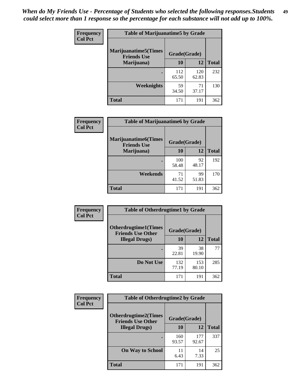| Frequency      | <b>Table of Marijuanatime5 by Grade</b>            |              |              |              |
|----------------|----------------------------------------------------|--------------|--------------|--------------|
| <b>Col Pct</b> | <b>Marijuanatime5</b> (Times<br><b>Friends Use</b> | Grade(Grade) |              |              |
|                | Marijuana)                                         | 10           | 12           | <b>Total</b> |
|                |                                                    | 112<br>65.50 | 120<br>62.83 | 232          |
|                | Weeknights                                         | 59<br>34.50  | 71<br>37.17  | 130          |
|                | <b>Total</b>                                       | 171          | 191          | 362          |

| <b>Frequency</b> | <b>Table of Marijuanatime6 by Grade</b>            |              |             |              |
|------------------|----------------------------------------------------|--------------|-------------|--------------|
| <b>Col Pct</b>   | <b>Marijuanatime6</b> (Times<br><b>Friends Use</b> | Grade(Grade) |             |              |
|                  | Marijuana)                                         | 10           | 12          | <b>Total</b> |
|                  |                                                    | 100<br>58.48 | 92<br>48.17 | 192          |
|                  | Weekends                                           | 71<br>41.52  | 99<br>51.83 | 170          |
|                  | <b>Total</b>                                       | 171          | 191         | 362          |

| <b>Frequency</b> | <b>Table of Otherdrugtime1 by Grade</b>                  |              |              |              |
|------------------|----------------------------------------------------------|--------------|--------------|--------------|
| <b>Col Pct</b>   | <b>Otherdrugtime1</b> (Times<br><b>Friends Use Other</b> | Grade(Grade) |              |              |
|                  | <b>Illegal Drugs</b> )                                   | 10           | 12           | <b>Total</b> |
|                  |                                                          | 39<br>22.81  | 38<br>19.90  | 77           |
|                  | Do Not Use                                               | 132<br>77.19 | 153<br>80.10 | 285          |
|                  | <b>Total</b>                                             | 171          | 191          | 362          |

| <b>Frequency</b> | <b>Table of Otherdrugtime2 by Grade</b>                 |              |              |              |  |  |  |
|------------------|---------------------------------------------------------|--------------|--------------|--------------|--|--|--|
| <b>Col Pct</b>   | <b>Otherdrugtime2(Times</b><br><b>Friends Use Other</b> | Grade(Grade) |              |              |  |  |  |
|                  | <b>Illegal Drugs</b> )                                  | 10           | 12           | <b>Total</b> |  |  |  |
|                  |                                                         | 160<br>93.57 | 177<br>92.67 | 337          |  |  |  |
|                  | <b>On Way to School</b>                                 | 11<br>6.43   | 14<br>7.33   | 25           |  |  |  |
|                  | <b>Total</b>                                            | 171          | 191          | 362          |  |  |  |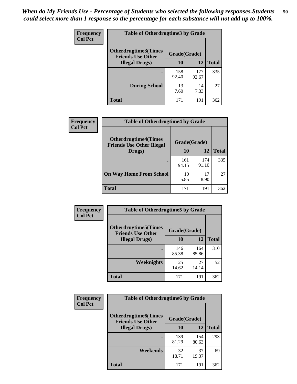| <b>Frequency</b> | <b>Table of Otherdrugtime3 by Grade</b>                 |              |              |              |  |  |
|------------------|---------------------------------------------------------|--------------|--------------|--------------|--|--|
| <b>Col Pct</b>   | <b>Otherdrugtime3(Times</b><br><b>Friends Use Other</b> | Grade(Grade) |              |              |  |  |
|                  | <b>Illegal Drugs</b> )                                  | 10           | 12           | <b>Total</b> |  |  |
|                  |                                                         | 158<br>92.40 | 177<br>92.67 | 335          |  |  |
|                  | <b>During School</b>                                    | 13<br>7.60   | 14<br>7.33   | 27           |  |  |
|                  | <b>Total</b>                                            | 171          | 191          | 362          |  |  |

| <b>Frequency</b> | <b>Table of Otherdrugtime4 by Grade</b>                         |              |              |              |  |  |
|------------------|-----------------------------------------------------------------|--------------|--------------|--------------|--|--|
| <b>Col Pct</b>   | <b>Otherdrugtime4(Times</b><br><b>Friends Use Other Illegal</b> | Grade(Grade) |              |              |  |  |
|                  | Drugs)                                                          | 10           | 12           | <b>Total</b> |  |  |
|                  | $\bullet$                                                       | 161<br>94.15 | 174<br>91.10 | 335          |  |  |
|                  | <b>On Way Home From School</b>                                  | 10<br>5.85   | 17<br>8.90   | 27           |  |  |
|                  | <b>Total</b>                                                    | 171          | 191          | 362          |  |  |

| <b>Frequency</b> | <b>Table of Otherdrugtime5 by Grade</b>                  |              |              |              |  |  |
|------------------|----------------------------------------------------------|--------------|--------------|--------------|--|--|
| <b>Col Pct</b>   | <b>Otherdrugtime5</b> (Times<br><b>Friends Use Other</b> | Grade(Grade) |              |              |  |  |
|                  | <b>Illegal Drugs</b> )                                   | 10           | 12           | <b>Total</b> |  |  |
|                  |                                                          | 146<br>85.38 | 164<br>85.86 | 310          |  |  |
|                  | Weeknights                                               | 25<br>14.62  | 27<br>14.14  | 52           |  |  |
|                  | Total                                                    | 171          | 191          | 362          |  |  |

| Frequency      | <b>Table of Otherdrugtime6 by Grade</b>                 |              |              |              |  |  |
|----------------|---------------------------------------------------------|--------------|--------------|--------------|--|--|
| <b>Col Pct</b> | <b>Otherdrugtime6(Times</b><br><b>Friends Use Other</b> | Grade(Grade) |              |              |  |  |
|                | <b>Illegal Drugs</b> )                                  | 10           | 12           | <b>Total</b> |  |  |
|                |                                                         | 139<br>81.29 | 154<br>80.63 | 293          |  |  |
|                | Weekends                                                | 32<br>18.71  | 37<br>19.37  | 69           |  |  |
|                | Total                                                   | 171          | 191          | 362          |  |  |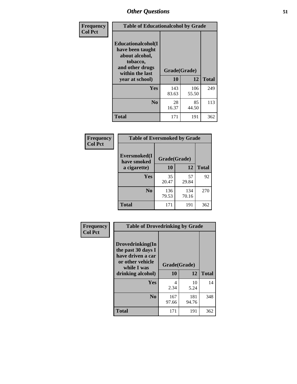| Frequency      | <b>Table of Educationalcohol by Grade</b>                                                                  |              |              |              |  |  |
|----------------|------------------------------------------------------------------------------------------------------------|--------------|--------------|--------------|--|--|
| <b>Col Pct</b> | Educationalcohol(I<br>have been taught<br>about alcohol,<br>tobacco,<br>and other drugs<br>within the last | Grade(Grade) |              |              |  |  |
|                | year at school)                                                                                            | 10           | 12           | <b>Total</b> |  |  |
|                | <b>Yes</b>                                                                                                 | 143<br>83.63 | 106<br>55.50 | 249          |  |  |
|                | N <sub>0</sub>                                                                                             | 28<br>16.37  | 85<br>44.50  | 113          |  |  |
|                | <b>Total</b>                                                                                               | 171          | 191          | 362          |  |  |

| Frequency      | <b>Table of Eversmoked by Grade</b> |              |              |              |  |  |
|----------------|-------------------------------------|--------------|--------------|--------------|--|--|
| <b>Col Pct</b> | Eversmoked(I<br>have smoked         | Grade(Grade) |              |              |  |  |
|                | a cigarette)                        | 10           | 12           | <b>Total</b> |  |  |
|                | Yes                                 | 35<br>20.47  | 57<br>29.84  | 92           |  |  |
|                | N <sub>0</sub>                      | 136<br>79.53 | 134<br>70.16 | 270          |  |  |
|                | <b>Total</b>                        | 171          | 191          | 362          |  |  |

| Frequency      | <b>Table of Drovedrinking by Grade</b>                                                                              |                    |              |     |  |  |
|----------------|---------------------------------------------------------------------------------------------------------------------|--------------------|--------------|-----|--|--|
| <b>Col Pct</b> | Drovedrinking(In<br>the past 30 days I<br>have driven a car<br>or other vehicle<br>while I was<br>drinking alcohol) | Grade(Grade)<br>10 | <b>Total</b> |     |  |  |
|                | <b>Yes</b>                                                                                                          | 4<br>2.34          | 10<br>5.24   | 14  |  |  |
|                | N <sub>0</sub>                                                                                                      | 167<br>97.66       | 181<br>94.76 | 348 |  |  |
|                | <b>Total</b>                                                                                                        | 171                | 191          | 362 |  |  |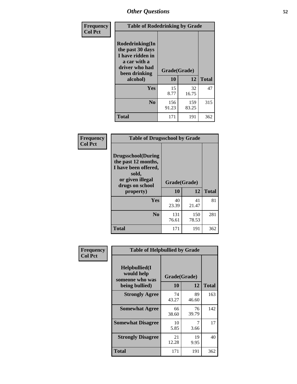| Frequency<br><b>Col Pct</b> | <b>Table of Rodedrinking by Grade</b>                                                                                      |              |              |              |  |  |  |
|-----------------------------|----------------------------------------------------------------------------------------------------------------------------|--------------|--------------|--------------|--|--|--|
|                             | Rodedrinking(In<br>the past 30 days<br>I have ridden in<br>a car with a<br>driver who had<br>Grade(Grade)<br>been drinking |              |              |              |  |  |  |
|                             | alcohol)                                                                                                                   | 10           | 12           | <b>Total</b> |  |  |  |
|                             | Yes                                                                                                                        | 15<br>8.77   | 32<br>16.75  | 47           |  |  |  |
|                             | N <sub>0</sub>                                                                                                             | 156<br>91.23 | 159<br>83.25 | 315          |  |  |  |
|                             | <b>Total</b>                                                                                                               | 171          | 191          | 362          |  |  |  |

#### **Frequency Col Pct**

| <b>Table of Drugsschool by Grade</b>                                                                                      |              |              |              |  |  |  |  |
|---------------------------------------------------------------------------------------------------------------------------|--------------|--------------|--------------|--|--|--|--|
| <b>Drugsschool</b> (During<br>the past 12 months,<br>I have been offered,<br>sold,<br>or given illegal<br>drugs on school | Grade(Grade) |              |              |  |  |  |  |
| property)                                                                                                                 | 10           | 12           | <b>Total</b> |  |  |  |  |
| Yes                                                                                                                       | 40<br>23.39  | 41<br>21.47  | 81           |  |  |  |  |
| N <sub>0</sub>                                                                                                            | 131<br>76.61 | 150<br>78.53 | 281          |  |  |  |  |
|                                                                                                                           |              |              |              |  |  |  |  |

| Frequency      | <b>Table of Helpbullied by Grade</b>                 |              |             |              |
|----------------|------------------------------------------------------|--------------|-------------|--------------|
| <b>Col Pct</b> | $Helpb$ ullied $(I$<br>would help<br>someone who was | Grade(Grade) |             |              |
|                | being bullied)                                       | <b>10</b>    | 12          | <b>Total</b> |
|                | <b>Strongly Agree</b>                                | 74<br>43.27  | 89<br>46.60 | 163          |
|                | <b>Somewhat Agree</b>                                | 66<br>38.60  | 76<br>39.79 | 142          |
|                | <b>Somewhat Disagree</b>                             | 10<br>5.85   | 7<br>3.66   | 17           |
|                | <b>Strongly Disagree</b>                             | 21<br>12.28  | 19<br>9.95  | 40           |
|                | <b>Total</b>                                         | 171          | 191         | 362          |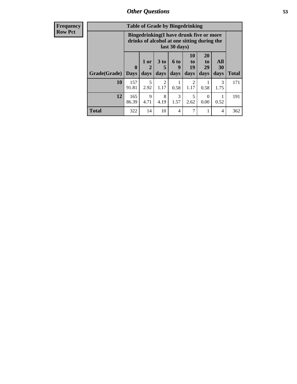| <b>Frequency</b> | <b>Table of Grade by Bingedrinking</b> |                                                                                                         |                     |                         |                   |                        |                               |                          |              |
|------------------|----------------------------------------|---------------------------------------------------------------------------------------------------------|---------------------|-------------------------|-------------------|------------------------|-------------------------------|--------------------------|--------------|
| <b>Row Pct</b>   |                                        | Bingedrinking(I have drunk five or more<br>drinks of alcohol at one sitting during the<br>last 30 days) |                     |                         |                   |                        |                               |                          |              |
|                  | <b>Grade(Grade)</b>                    | $\mathbf{0}$<br>  Days                                                                                  | $1$ or<br>2<br>days | 3 <sub>to</sub><br>days | 6 to<br>9<br>days | 10<br>to<br>19<br>days | <b>20</b><br>to<br>29<br>days | <b>All</b><br>30<br>days | <b>Total</b> |
|                  | 10                                     | 157<br>91.81                                                                                            | 5<br>2.92           | 2<br>1.17               | 0.58              | $\mathfrak{D}$<br>1.17 | 0.58                          | 3<br>1.75                | 171          |
|                  | 12                                     | 165<br>86.39                                                                                            | 9<br>4.71           | 8<br>4.19               | 3<br>1.57         | 5<br>2.62              | $\Omega$<br>0.00              | 0.52                     | 191          |
|                  | <b>Total</b>                           | 322                                                                                                     | 14                  | 10                      | 4                 | 7                      |                               | 4                        | 362          |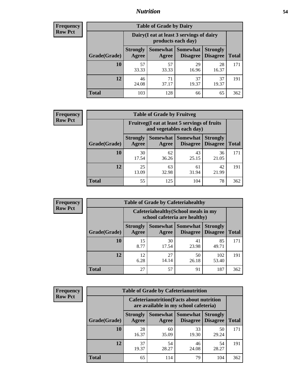### *Nutrition* **54**

| <b>Frequency</b><br>Row Pct |
|-----------------------------|
|                             |

| <b>Table of Grade by Dairy</b> |                                                                                                                           |                                                                 |             |             |     |  |  |
|--------------------------------|---------------------------------------------------------------------------------------------------------------------------|-----------------------------------------------------------------|-------------|-------------|-----|--|--|
|                                |                                                                                                                           | Dairy (I eat at least 3 servings of dairy<br>products each day) |             |             |     |  |  |
| Grade(Grade)                   | Somewhat<br><b>Somewhat</b><br><b>Strongly</b><br><b>Strongly</b><br><b>Disagree</b><br><b>Disagree</b><br>Agree<br>Agree |                                                                 |             |             |     |  |  |
| 10                             | 57<br>33.33                                                                                                               | 57<br>33.33                                                     | 29<br>16.96 | 28<br>16.37 | 171 |  |  |
| 12                             | 46<br>24.08                                                                                                               | 71<br>37.17                                                     | 37<br>19.37 | 37<br>19.37 | 191 |  |  |
| <b>Total</b>                   | 103                                                                                                                       | 128                                                             | 66          | 65          | 362 |  |  |

#### **Frequency Row Pct**

| <b>Table of Grade by Fruitveg</b> |                                                                          |             |                               |                                    |              |  |  |
|-----------------------------------|--------------------------------------------------------------------------|-------------|-------------------------------|------------------------------------|--------------|--|--|
|                                   | Fruitveg(I eat at least 5 servings of fruits<br>and vegetables each day) |             |                               |                                    |              |  |  |
| Grade(Grade)                      | <b>Strongly</b><br>Agree                                                 | Agree       | Somewhat Somewhat<br>Disagree | <b>Strongly</b><br><b>Disagree</b> | <b>Total</b> |  |  |
| 10                                | 30<br>17.54                                                              | 62<br>36.26 | 43<br>25.15                   | 36<br>21.05                        | 171          |  |  |
| 12                                | 25<br>13.09                                                              | 63<br>32.98 | 61<br>31.94                   | 42<br>21.99                        | 191          |  |  |
| Total                             | 55                                                                       | 125         | 104                           | 78                                 | 362          |  |  |

| <b>Frequency</b> |
|------------------|
| <b>Row Pct</b>   |

| <b>Table of Grade by Cafeteriahealthy</b> |              |                          |                                                                       |                             |                                    |              |  |  |  |
|-------------------------------------------|--------------|--------------------------|-----------------------------------------------------------------------|-----------------------------|------------------------------------|--------------|--|--|--|
|                                           |              |                          | Cafeteriahealthy (School meals in my<br>school cafeteria are healthy) |                             |                                    |              |  |  |  |
|                                           | Grade(Grade) | <b>Strongly</b><br>Agree | Somewhat<br>Agree                                                     | <b>Somewhat</b><br>Disagree | <b>Strongly</b><br><b>Disagree</b> | <b>Total</b> |  |  |  |
|                                           | 10           | 15<br>8.77               | 30<br>17.54                                                           | 41<br>23.98                 | 85<br>49.71                        | 171          |  |  |  |
|                                           | 12           | 12<br>6.28               | 27<br>14.14                                                           | 50<br>26.18                 | 102<br>53.40                       | 191          |  |  |  |
|                                           | <b>Total</b> | 27                       | 57                                                                    | 91                          | 187                                | 362          |  |  |  |

**Frequency Row Pct**

| <b>Table of Grade by Cafeterianutrition</b>                                               |                          |             |                                   |                                    |              |  |  |
|-------------------------------------------------------------------------------------------|--------------------------|-------------|-----------------------------------|------------------------------------|--------------|--|--|
| <b>Cafeterianutrition</b> (Facts about nutrition<br>are available in my school cafeteria) |                          |             |                                   |                                    |              |  |  |
| Grade(Grade)                                                                              | <b>Strongly</b><br>Agree | Agree       | Somewhat   Somewhat  <br>Disagree | <b>Strongly</b><br><b>Disagree</b> | <b>Total</b> |  |  |
| 10                                                                                        | 28<br>16.37              | 60<br>35.09 | 33<br>19.30                       | 50<br>29.24                        | 171          |  |  |
| 12                                                                                        | 37<br>19.37              | 54<br>28.27 | 46<br>24.08                       | 54<br>28.27                        | 191          |  |  |
| <b>Total</b>                                                                              | 65                       | 114         | 79                                | 104                                | 362          |  |  |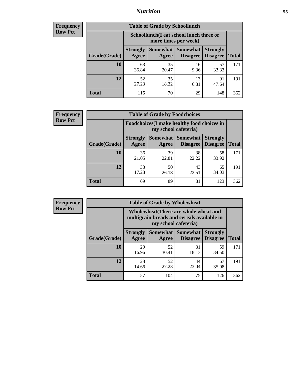## *Nutrition* **55**

| <b>Frequency</b> |
|------------------|
| <b>Row Pct</b>   |

| <b>Table of Grade by Schoollunch</b> |                                                                                                                                             |                                                                 |            |             |     |  |  |
|--------------------------------------|---------------------------------------------------------------------------------------------------------------------------------------------|-----------------------------------------------------------------|------------|-------------|-----|--|--|
|                                      |                                                                                                                                             | Schoollunch(I eat school lunch three or<br>more times per week) |            |             |     |  |  |
| Grade(Grade)                         | <b>Somewhat</b><br>Somewhat  <br><b>Strongly</b><br><b>Strongly</b><br><b>Disagree</b><br><b>Disagree</b><br><b>Total</b><br>Agree<br>Agree |                                                                 |            |             |     |  |  |
| 10                                   | 63<br>36.84                                                                                                                                 | 35<br>20.47                                                     | 16<br>9.36 | 57<br>33.33 | 171 |  |  |
| 12                                   | 52<br>27.23                                                                                                                                 | 35<br>18.32                                                     | 13<br>6.81 | 91<br>47.64 | 191 |  |  |
| <b>Total</b>                         | 115                                                                                                                                         | 70                                                              | 29         | 148         | 362 |  |  |

| <b>Frequency</b> |  |
|------------------|--|
| <b>Row Pct</b>   |  |

| <b>Table of Grade by Foodchoices</b>                                |                          |             |                                 |                                    |              |  |  |
|---------------------------------------------------------------------|--------------------------|-------------|---------------------------------|------------------------------------|--------------|--|--|
| Foodchoices (I make healthy food choices in<br>my school cafeteria) |                          |             |                                 |                                    |              |  |  |
| Grade(Grade)                                                        | <b>Strongly</b><br>Agree | Agree       | Somewhat   Somewhat<br>Disagree | <b>Strongly</b><br><b>Disagree</b> | <b>Total</b> |  |  |
| 10                                                                  | 36<br>21.05              | 39<br>22.81 | 38<br>22.22                     | 58<br>33.92                        | 171          |  |  |
| 12                                                                  | 33<br>17.28              | 50<br>26.18 | 43<br>22.51                     | 65<br>34.03                        | 191          |  |  |
| <b>Total</b>                                                        | 69                       | 89          | 81                              | 123                                | 362          |  |  |

| <b>Frequency</b> | <b>Table of Grade by Wholewheat</b> |                                                                                                             |                   |                 |                                        |              |
|------------------|-------------------------------------|-------------------------------------------------------------------------------------------------------------|-------------------|-----------------|----------------------------------------|--------------|
| <b>Row Pct</b>   |                                     | Wholewheat (There are whole wheat and<br>multigrain breads and cereals available in<br>my school cafeteria) |                   |                 |                                        |              |
|                  | Grade(Grade)                        | <b>Strongly</b><br>Agree                                                                                    | Somewhat<br>Agree | <b>Somewhat</b> | <b>Strongly</b><br>Disagree   Disagree | <b>Total</b> |
|                  | 10                                  | 29<br>16.96                                                                                                 | 52<br>30.41       | 31<br>18.13     | 59<br>34.50                            | 171          |
|                  | 12                                  | 28<br>14.66                                                                                                 | 52<br>27.23       | 44<br>23.04     | 67<br>35.08                            | 191          |
|                  | <b>Total</b>                        | 57                                                                                                          | 104               | 75              | 126                                    | 362          |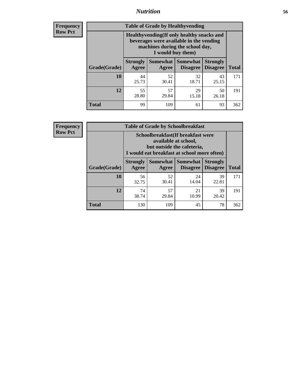## *Nutrition* **56**

**Frequency Row Pct**

| <b>Table of Grade by Healthyvending</b> |                                                                                                                                               |             |                                        |                                    |              |  |  |  |
|-----------------------------------------|-----------------------------------------------------------------------------------------------------------------------------------------------|-------------|----------------------------------------|------------------------------------|--------------|--|--|--|
|                                         | Healthyvending (If only healthy snacks and<br>beverages were available in the vending<br>machines during the school day,<br>I would buy them) |             |                                        |                                    |              |  |  |  |
| Grade(Grade)                            | <b>Strongly</b><br>Agree                                                                                                                      | Agree       | Somewhat   Somewhat<br><b>Disagree</b> | <b>Strongly</b><br><b>Disagree</b> | <b>Total</b> |  |  |  |
| 10                                      | 44<br>25.73                                                                                                                                   | 52<br>30.41 | 32<br>18.71                            | 43<br>25.15                        | 171          |  |  |  |
| 12                                      | 55<br>28.80                                                                                                                                   | 57<br>29.84 | 29<br>15.18                            | 50<br>26.18                        | 191          |  |  |  |
| <b>Total</b>                            | 99                                                                                                                                            | 109         | 61                                     | 93                                 | 362          |  |  |  |

**Frequency Row Pct**

| <b>Table of Grade by Schoolbreakfast</b> |                                                                                                                                         |             |                                        |                                    |              |  |
|------------------------------------------|-----------------------------------------------------------------------------------------------------------------------------------------|-------------|----------------------------------------|------------------------------------|--------------|--|
|                                          | Schoolbreakfast (If breakfast were<br>available at school,<br>but outside the cafeteria,<br>I would eat breakfast at school more often) |             |                                        |                                    |              |  |
| Grade(Grade)                             | <b>Strongly</b><br>Agree                                                                                                                | Agree       | Somewhat   Somewhat<br><b>Disagree</b> | <b>Strongly</b><br><b>Disagree</b> | <b>Total</b> |  |
| 10                                       | 56<br>32.75                                                                                                                             | 52<br>30.41 | 24<br>14.04                            | 39<br>22.81                        | 171          |  |
| 12                                       | 74<br>38.74                                                                                                                             | 57<br>29.84 | 21<br>10.99                            | 39<br>20.42                        | 191          |  |
| <b>Total</b>                             | 130                                                                                                                                     | 109         | 45                                     | 78                                 | 362          |  |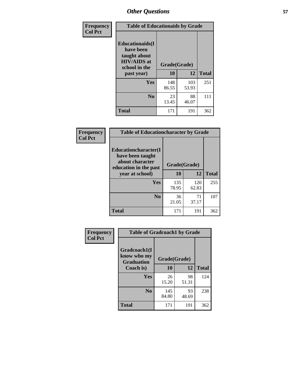| Frequency<br><b>Col Pct</b> | <b>Table of Educationaids by Grade</b>                                                                    |                    |              |              |
|-----------------------------|-----------------------------------------------------------------------------------------------------------|--------------------|--------------|--------------|
|                             | <b>Educationaids</b> (I<br>have been<br>taught about<br><b>HIV/AIDS</b> at<br>school in the<br>past year) | Grade(Grade)<br>10 | 12           | <b>Total</b> |
|                             | Yes                                                                                                       | 148<br>86.55       | 103<br>53.93 | 251          |
|                             | N <sub>0</sub>                                                                                            | 23<br>13.45        | 88<br>46.07  | 111          |
|                             | <b>Total</b>                                                                                              | 171                | 191          | 362          |

| Frequency      | <b>Table of Educationcharacter by Grade</b>                                                             |              |              |              |  |
|----------------|---------------------------------------------------------------------------------------------------------|--------------|--------------|--------------|--|
| <b>Col Pct</b> | Educationcharacter(I<br>have been taught<br>about character<br>education in the past<br>year at school) | Grade(Grade) |              |              |  |
|                |                                                                                                         | 10           | 12           | <b>Total</b> |  |
|                | Yes                                                                                                     | 135<br>78.95 | 120<br>62.83 | 255          |  |
|                | N <sub>0</sub>                                                                                          | 36<br>21.05  | 71<br>37.17  | 107          |  |
|                | <b>Total</b>                                                                                            | 171          | 191          | 362          |  |

| Frequency      | <b>Table of Gradcoach1 by Grade</b>              |              |             |              |
|----------------|--------------------------------------------------|--------------|-------------|--------------|
| <b>Col Pct</b> | Gradcoach1(I<br>know who my<br><b>Graduation</b> | Grade(Grade) |             |              |
|                | Coach is)                                        | 10           | 12          | <b>Total</b> |
|                | Yes                                              | 26<br>15.20  | 98<br>51.31 | 124          |
|                | N <sub>0</sub>                                   | 145<br>84.80 | 93<br>48.69 | 238          |
|                | <b>Total</b>                                     | 171          | 191         | 362          |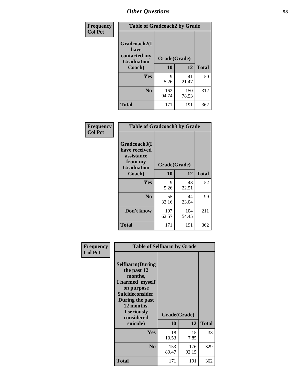| Frequency      | <b>Table of Gradcoach2 by Grade</b> |              |              |              |
|----------------|-------------------------------------|--------------|--------------|--------------|
| <b>Col Pct</b> |                                     |              |              |              |
|                | Gradcoach2(I<br>have                |              |              |              |
|                | contacted my<br><b>Graduation</b>   | Grade(Grade) |              |              |
|                | Coach)                              | 10           | 12           | <b>Total</b> |
|                | <b>Yes</b>                          | 9<br>5.26    | 41<br>21.47  | 50           |
|                | N <sub>0</sub>                      | 162<br>94.74 | 150<br>78.53 | 312          |
|                | <b>Total</b>                        | 171          | 191          | 362          |

| Frequency<br><b>Col Pct</b> | <b>Table of Gradcoach3 by Grade</b>                                         |              |              |              |
|-----------------------------|-----------------------------------------------------------------------------|--------------|--------------|--------------|
|                             | Gradcoach3(I<br>have received<br>assistance<br>from my<br><b>Graduation</b> | Grade(Grade) |              |              |
|                             | Coach)                                                                      | 10           | 12           | <b>Total</b> |
|                             | Yes                                                                         | 9            | 43           | 52           |
|                             |                                                                             | 5.26         | 22.51        |              |
|                             | N <sub>0</sub>                                                              | 55<br>32.16  | 44<br>23.04  | 99           |
|                             | Don't know                                                                  | 107<br>62.57 | 104<br>54.45 | 211          |
|                             | <b>Total</b>                                                                | 171          | 191          | 362          |

| Frequency      | <b>Table of Selfharm by Grade</b>                                                                                                                                                      |                    |              |              |
|----------------|----------------------------------------------------------------------------------------------------------------------------------------------------------------------------------------|--------------------|--------------|--------------|
| <b>Col Pct</b> | <b>Selfharm</b> (During<br>the past 12<br>months,<br>I harmed myself<br>on purpose<br><b>Suicideconsider</b><br>During the past<br>12 months,<br>I seriously<br>considered<br>suicide) | Grade(Grade)<br>10 | 12           | <b>Total</b> |
|                | Yes                                                                                                                                                                                    | 18<br>10.53        | 15<br>7.85   | 33           |
|                | N <sub>0</sub>                                                                                                                                                                         | 153<br>89.47       | 176<br>92.15 | 329          |
|                | Total                                                                                                                                                                                  | 171                | 191          | 362          |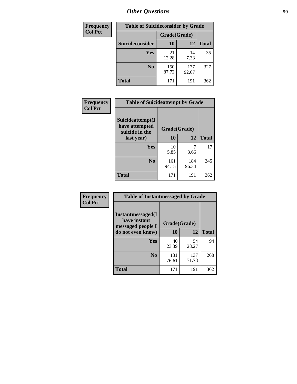| <b>Frequency</b> | <b>Table of Suicideconsider by Grade</b> |              |              |              |
|------------------|------------------------------------------|--------------|--------------|--------------|
| <b>Col Pct</b>   |                                          | Grade(Grade) |              |              |
|                  | Suicideconsider                          | <b>10</b>    | 12           | <b>Total</b> |
|                  | <b>Yes</b>                               | 21<br>12.28  | 14<br>7.33   | 35           |
|                  | N <sub>0</sub>                           | 150<br>87.72 | 177<br>92.67 | 327          |
|                  | <b>Total</b>                             | 171          | 191          | 362          |

| Frequency      | <b>Table of Suicideattempt by Grade</b>              |              |              |              |
|----------------|------------------------------------------------------|--------------|--------------|--------------|
| <b>Col Pct</b> | Suicideattempt(I<br>have attempted<br>suicide in the | Grade(Grade) |              |              |
|                | last year)                                           | 10           | 12           | <b>Total</b> |
|                | Yes                                                  | 10<br>5.85   | 3.66         | 17           |
|                | N <sub>0</sub>                                       | 161<br>94.15 | 184<br>96.34 | 345          |
|                | <b>Total</b>                                         | 171          | 191          | 362          |

| Frequency      | <b>Table of Instantmessaged by Grade</b>  |              |              |              |
|----------------|-------------------------------------------|--------------|--------------|--------------|
| <b>Col Pct</b> | <b>Instantmessaged</b> (I<br>have instant | Grade(Grade) |              |              |
|                | messaged people I<br>do not even know)    | 10           | 12           | <b>Total</b> |
|                | Yes                                       | 40<br>23.39  | 54<br>28.27  | 94           |
|                | N <sub>0</sub>                            | 131<br>76.61 | 137<br>71.73 | 268          |
|                | <b>Total</b>                              | 171          | 191          | 362          |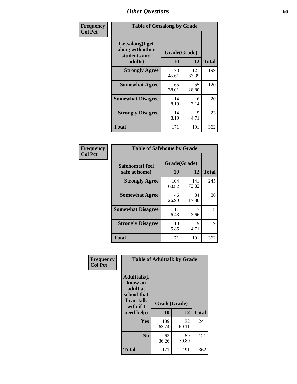| Frequency      | <b>Table of Getsalong by Grade</b>                          |             |              |              |
|----------------|-------------------------------------------------------------|-------------|--------------|--------------|
| <b>Col Pct</b> | <b>Getsalong</b> (I get<br>along with other<br>students and |             | Grade(Grade) |              |
|                | adults)                                                     | 10          | 12           | <b>Total</b> |
|                | <b>Strongly Agree</b>                                       | 78<br>45.61 | 121<br>63.35 | 199          |
|                | <b>Somewhat Agree</b>                                       | 65<br>38.01 | 55<br>28.80  | 120          |
|                | <b>Somewhat Disagree</b>                                    | 14<br>8.19  | 6<br>3.14    | 20           |
|                | <b>Strongly Disagree</b>                                    | 14<br>8.19  | 9<br>4.71    | 23           |
|                | Total                                                       | 171         | 191          | 362          |

| Frequency      | <b>Table of Safehome by Grade</b> |                    |              |              |
|----------------|-----------------------------------|--------------------|--------------|--------------|
| <b>Col Pct</b> | Safehome(I feel<br>safe at home)  | Grade(Grade)<br>10 | 12           | <b>Total</b> |
|                | <b>Strongly Agree</b>             | 104<br>60.82       | 141<br>73.82 | 245          |
|                | <b>Somewhat Agree</b>             | 46<br>26.90        | 34<br>17.80  | 80           |
|                | <b>Somewhat Disagree</b>          | 11<br>6.43         | 7<br>3.66    | 18           |
|                | <b>Strongly Disagree</b>          | 10<br>5.85         | 9<br>4.71    | 19           |
|                | <b>Total</b>                      | 171                | 191          | 362          |

| Frequency      |                                                                                                    | <b>Table of Adulttalk by Grade</b> |              |              |  |  |  |  |
|----------------|----------------------------------------------------------------------------------------------------|------------------------------------|--------------|--------------|--|--|--|--|
| <b>Col Pct</b> | <b>Adulttalk</b> (I<br>know an<br>adult at<br>school that<br>I can talk<br>with if I<br>need help) | Grade(Grade)<br>10                 | 12           | <b>Total</b> |  |  |  |  |
|                |                                                                                                    |                                    |              |              |  |  |  |  |
|                | Yes                                                                                                | 109<br>63.74                       | 132<br>69.11 | 241          |  |  |  |  |
|                | N <sub>0</sub>                                                                                     | 62<br>36.26                        | 59<br>30.89  | 121          |  |  |  |  |
|                | <b>Total</b>                                                                                       | 171                                | 191          | 362          |  |  |  |  |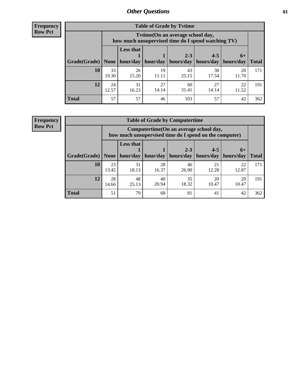**Frequency Row Pct**

r

| <b>Table of Grade by Tvtime</b> |             |                                                                                                                               |             |             |             |             |     |  |  |  |
|---------------------------------|-------------|-------------------------------------------------------------------------------------------------------------------------------|-------------|-------------|-------------|-------------|-----|--|--|--|
|                                 |             | Tytime (On an average school day,<br>how much unsupervised time do I spend watching TV)                                       |             |             |             |             |     |  |  |  |
| Grade(Grade)   None             |             | <b>Less that</b><br>$2 - 3$<br>$4 - 5$<br>$6+$<br>hour/day   hour/day<br>hours/day<br>  hours/day   hours/day<br><b>Total</b> |             |             |             |             |     |  |  |  |
| <b>10</b>                       | 33<br>19.30 | 26<br>15.20                                                                                                                   | 19<br>11.11 | 43<br>25.15 | 30<br>17.54 | 20<br>11.70 | 171 |  |  |  |
| 12                              | 24<br>12.57 | 31<br>16.23                                                                                                                   | 27<br>14.14 | 60<br>31.41 | 27<br>14.14 | 22<br>11.52 | 191 |  |  |  |
| <b>Total</b>                    | 57          | 57                                                                                                                            | 46          | 103         | 57          | 42          | 362 |  |  |  |

**Frequency Row Pct**

| <b>Table of Grade by Computertime</b> |             |                                                                                                                               |             |             |             |             |     |  |  |
|---------------------------------------|-------------|-------------------------------------------------------------------------------------------------------------------------------|-------------|-------------|-------------|-------------|-----|--|--|
|                                       |             | Computertime(On an average school day,<br>how much unsupervised time do I spend on the computer)                              |             |             |             |             |     |  |  |
| Grade(Grade)                          | None        | <b>Less that</b><br>$4 - 5$<br>$2 - 3$<br>$6+$<br>hour/day<br>hours/day<br>hour/day<br>hours/day<br>hours/day<br><b>Total</b> |             |             |             |             |     |  |  |
| 10                                    | 23<br>13.45 | 31<br>18.13                                                                                                                   | 28<br>16.37 | 46<br>26.90 | 21<br>12.28 | 22<br>12.87 | 171 |  |  |
| 12                                    | 28<br>14.66 | 35<br>48<br>40<br>20<br>20<br>18.32<br>10.47<br>20.94<br>10.47<br>25.13                                                       |             |             |             |             |     |  |  |
| <b>Total</b>                          | 51          | 79                                                                                                                            | 68          | 81          | 41          | 42          | 362 |  |  |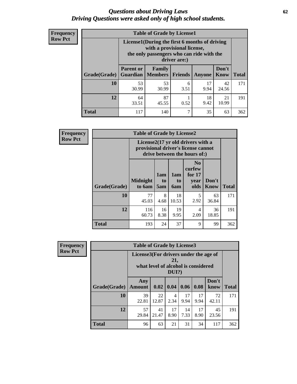#### *Questions about Driving Laws* **62** *Driving Questions were asked only of high school students.*

| <b>Frequency</b> |
|------------------|
| <b>Row Pct</b>   |

| <b>Table of Grade by License1</b> |                                                                 |                                                                                                                                           |                |            |               |              |  |  |  |
|-----------------------------------|-----------------------------------------------------------------|-------------------------------------------------------------------------------------------------------------------------------------------|----------------|------------|---------------|--------------|--|--|--|
|                                   |                                                                 | License1(During the first 6 months of driving<br>with a provisional license,<br>the only passengers who can ride with the<br>driver are:) |                |            |               |              |  |  |  |
| Grade(Grade)                      | <b>Parent or</b><br><b>Guardian</b>                             | Family<br><b>Members</b>                                                                                                                  | <b>Friends</b> | Anyone     | Don't<br>Know | <b>Total</b> |  |  |  |
| 10                                | 53<br>30.99                                                     | 53<br>30.99                                                                                                                               | 6<br>3.51      | 17<br>9.94 | 42<br>24.56   | 171          |  |  |  |
| 12                                | 87<br>64<br>18<br>21<br>9.42<br>10.99<br>45.55<br>0.52<br>33.51 |                                                                                                                                           |                |            |               |              |  |  |  |
| <b>Total</b>                      | 117                                                             | 140                                                                                                                                       | ┑              | 35         | 63            | 362          |  |  |  |

| Frequency      |              | <b>Table of Grade by License2</b> |                              |                  |                                                                                                          |                      |              |  |  |  |
|----------------|--------------|-----------------------------------|------------------------------|------------------|----------------------------------------------------------------------------------------------------------|----------------------|--------------|--|--|--|
| <b>Row Pct</b> |              |                                   |                              |                  | License2(17 yr old drivers with a<br>provisional driver's license cannot<br>drive between the hours of:) |                      |              |  |  |  |
|                | Grade(Grade) | <b>Midnight</b><br>to 6am         | 1am<br>t <sub>0</sub><br>5am | 1am<br>to<br>6am | N <sub>0</sub><br>curfew<br>for $17$<br>year<br>olds                                                     | Don't<br><b>Know</b> | <b>Total</b> |  |  |  |
|                | 10           | 77<br>45.03                       | 8<br>4.68                    | 18<br>10.53      | 5<br>2.92                                                                                                | 63<br>36.84          | 171          |  |  |  |
|                | 12           | 116<br>60.73                      | 16<br>8.38                   | 19<br>9.95       | 4<br>2.09                                                                                                | 36<br>18.85          | 191          |  |  |  |
|                | <b>Total</b> | 193                               | 24                           | 37               | 9                                                                                                        | 99                   | 362          |  |  |  |

| Frequency      | <b>Table of Grade by License3</b> |                                       |                                     |              |            |            |               |              |
|----------------|-----------------------------------|---------------------------------------|-------------------------------------|--------------|------------|------------|---------------|--------------|
| <b>Row Pct</b> |                                   | License3(For drivers under the age of | what level of alcohol is considered | 21,<br>DUI?) |            |            |               |              |
|                | Grade(Grade)                      | Any<br><b>Amount</b>                  | 0.02                                | $\vert$ 0.04 | 0.06       | 0.08       | Don't<br>know | <b>Total</b> |
|                | 10                                | 39<br>22.81                           | 22<br>12.87                         | 4<br>2.34    | 17<br>9.94 | 17<br>9.94 | 72<br>42.11   | 171          |
|                | 12                                | 57<br>29.84                           | 41<br>21.47                         | 17<br>8.90   | 14<br>7.33 | 17<br>8.90 | 45<br>23.56   | 191          |
|                | <b>Total</b>                      | 96                                    | 63                                  | 21           | 31         | 34         | 117           | 362          |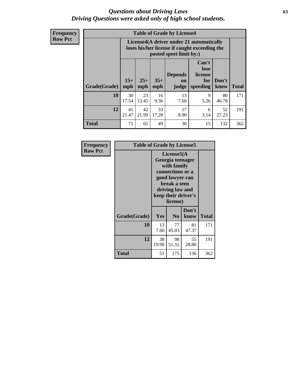#### *Questions about Driving Laws* **63** *Driving Questions were asked only of high school students.*

**Frequency Row Pct**

| <b>Table of Grade by License4</b> |              |                                                                                                                                               |            |            |           |             |     |  |  |
|-----------------------------------|--------------|-----------------------------------------------------------------------------------------------------------------------------------------------|------------|------------|-----------|-------------|-----|--|--|
|                                   |              | License4(A driver under 21 automatically<br>loses his/her license if caught exceeding the<br>posted speet limit by:)                          |            |            |           |             |     |  |  |
| Grade(Grade)                      | $15+$<br>mph | Can't<br>lose<br>license<br><b>Depends</b><br>$25+$<br>$35+$<br>Don't<br>for<br>on<br><b>Total</b><br>mph<br>speeding<br>know<br>mph<br>judge |            |            |           |             |     |  |  |
| 10                                | 30<br>17.54  | 23<br>13.45                                                                                                                                   | 16<br>9.36 | 13<br>7.60 | 9<br>5.26 | 80<br>46.78 | 171 |  |  |
| 12                                | 41<br>21.47  | 42<br>33<br>17<br>52<br>6<br>21.99<br>17.28<br>3.14<br>27.23<br>8.90                                                                          |            |            |           |             |     |  |  |
| <b>Total</b>                      | 71           | 65                                                                                                                                            | 49         | 30         | 15        | 132         | 362 |  |  |

| Frequency<br><b>Row Pct</b> | <b>Table of Grade by License5</b> |             |                                                                                                                                                             |               |       |  |  |
|-----------------------------|-----------------------------------|-------------|-------------------------------------------------------------------------------------------------------------------------------------------------------------|---------------|-------|--|--|
|                             |                                   |             | License5(A)<br>Georgia teenager<br>with family<br>connections or a<br>good lawyer can<br>break a teen<br>driving law and<br>keep their driver's<br>license) |               |       |  |  |
|                             | Grade(Grade)                      | Yes         | N <sub>0</sub>                                                                                                                                              | Don't<br>know | Total |  |  |
|                             | 10                                | 13<br>7.60  | 77<br>45.03                                                                                                                                                 | 81<br>47.37   | 171   |  |  |
|                             | 12                                | 38<br>19.90 | 98<br>51.31                                                                                                                                                 | 55<br>28.80   | 191   |  |  |
|                             | <b>Total</b>                      | 51          | 175                                                                                                                                                         | 136           | 362   |  |  |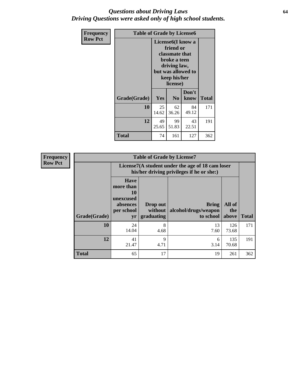### *Questions about Driving Laws* **64** *Driving Questions were asked only of high school students.*

| <b>Frequency</b> | <b>Table of Grade by License6</b> |             |                                                                                                                                                        |               |              |  |
|------------------|-----------------------------------|-------------|--------------------------------------------------------------------------------------------------------------------------------------------------------|---------------|--------------|--|
| <b>Row Pct</b>   |                                   |             | License <sub>6</sub> (I know a<br>friend or<br><b>classmate that</b><br>broke a teen<br>driving law,<br>but was allowed to<br>keep his/her<br>license) |               |              |  |
|                  | Grade(Grade)                      | <b>Yes</b>  | N <sub>0</sub>                                                                                                                                         | Don't<br>know | <b>Total</b> |  |
|                  | 10                                | 25<br>14.62 | 62<br>36.26                                                                                                                                            | 84<br>49.12   | 171          |  |
|                  | 12                                | 49<br>25.65 | 99<br>51.83                                                                                                                                            | 43<br>22.51   | 191          |  |
|                  | <b>Total</b>                      | 74          | 161                                                                                                                                                    | 127           | 362          |  |

| Frequency      |              | <b>Table of Grade by License7</b>                                           |                                   |                                                                                               |                        |              |  |
|----------------|--------------|-----------------------------------------------------------------------------|-----------------------------------|-----------------------------------------------------------------------------------------------|------------------------|--------------|--|
| <b>Row Pct</b> |              |                                                                             |                                   | License7(A student under the age of 18 cam loser<br>his/her driving privileges if he or she:) |                        |              |  |
|                | Grade(Grade) | <b>Have</b><br>more than<br>10<br>unexcused<br>absences<br>per school<br>yr | Drop out<br>without<br>graduating | <b>Bring</b><br>alcohol/drugs/weapon<br>to school                                             | All of<br>the<br>above | <b>Total</b> |  |
|                | 10           | 24<br>14.04                                                                 | 8<br>4.68                         | 13<br>7.60                                                                                    | 126<br>73.68           | 171          |  |
|                | 12           | 41<br>21.47                                                                 | 9<br>4.71                         | 6<br>3.14                                                                                     | 135<br>70.68           | 191          |  |
|                | <b>Total</b> | 65                                                                          | 17                                | 19                                                                                            | 261                    | 362          |  |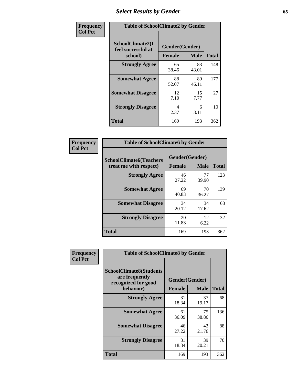# *Select Results by Gender* **65**

| Frequency      |                                                   | <b>Table of SchoolClimate2 by Gender</b> |             |              |  |  |  |  |
|----------------|---------------------------------------------------|------------------------------------------|-------------|--------------|--|--|--|--|
| <b>Col Pct</b> | SchoolClimate2(I<br>feel successful at<br>school) | Gender(Gender)<br><b>Female</b>          | <b>Male</b> | <b>Total</b> |  |  |  |  |
|                | <b>Strongly Agree</b>                             | 65<br>38.46                              | 83<br>43.01 | 148          |  |  |  |  |
|                | <b>Somewhat Agree</b>                             | 88<br>52.07                              | 89<br>46.11 | 177          |  |  |  |  |
|                | <b>Somewhat Disagree</b>                          | 12<br>7.10                               | 15<br>7.77  | 27           |  |  |  |  |
|                | <b>Strongly Disagree</b>                          | 4<br>2.37                                | 6<br>3.11   | 10           |  |  |  |  |
|                | <b>Total</b>                                      | 169                                      | 193         | 362          |  |  |  |  |

| Frequency      | <b>Table of SchoolClimate6 by Gender</b>                 |                                 |             |              |
|----------------|----------------------------------------------------------|---------------------------------|-------------|--------------|
| <b>Col Pct</b> | <b>SchoolClimate6(Teachers</b><br>treat me with respect) | Gender(Gender)<br><b>Female</b> | <b>Male</b> | <b>Total</b> |
|                | <b>Strongly Agree</b>                                    | 46<br>27.22                     | 77<br>39.90 | 123          |
|                | <b>Somewhat Agree</b>                                    | 69<br>40.83                     | 70<br>36.27 | 139          |
|                | <b>Somewhat Disagree</b>                                 | 34<br>20.12                     | 34<br>17.62 | 68           |
|                | <b>Strongly Disagree</b>                                 | 20<br>11.83                     | 12<br>6.22  | 32           |
|                | Total                                                    | 169                             | 193         | 362          |

| <b>Frequency</b> | <b>Table of SchoolClimate8 by Gender</b>                                             |               |                               |              |
|------------------|--------------------------------------------------------------------------------------|---------------|-------------------------------|--------------|
| <b>Col Pct</b>   | <b>SchoolClimate8(Students</b><br>are frequently<br>recognized for good<br>behavior) | <b>Female</b> | Gender(Gender)<br><b>Male</b> | <b>Total</b> |
|                  | <b>Strongly Agree</b>                                                                | 31<br>18.34   | 37<br>19.17                   | 68           |
|                  | <b>Somewhat Agree</b>                                                                | 61<br>36.09   | 75<br>38.86                   | 136          |
|                  | <b>Somewhat Disagree</b>                                                             | 46<br>27.22   | 42<br>21.76                   | 88           |
|                  | <b>Strongly Disagree</b>                                                             | 31<br>18.34   | 39<br>20.21                   | 70           |
|                  | Total                                                                                | 169           | 193                           | 362          |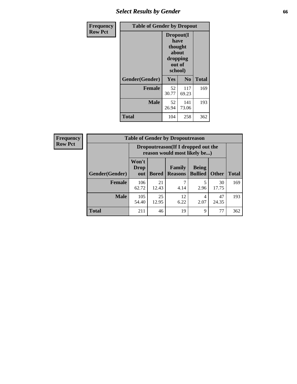# *Select Results by Gender* **66**

| Frequency      | <b>Table of Gender by Dropout</b> |                                                                        |                |              |
|----------------|-----------------------------------|------------------------------------------------------------------------|----------------|--------------|
| <b>Row Pct</b> |                                   | Dropout(I<br>have<br>thought<br>about<br>dropping<br>out of<br>school) |                |              |
|                | Gender(Gender)                    | Yes                                                                    | N <sub>0</sub> | <b>Total</b> |
|                | <b>Female</b>                     | 52<br>30.77                                                            | 117<br>69.23   | 169          |
|                | <b>Male</b>                       | 52<br>26.94                                                            | 141<br>73.06   | 193          |
|                | <b>Total</b>                      | 104                                                                    | 258            | 362          |

| <b>Frequency</b> |                | <b>Table of Gender by Dropoutreason</b>                            |              |                          |                                |              |              |  |
|------------------|----------------|--------------------------------------------------------------------|--------------|--------------------------|--------------------------------|--------------|--------------|--|
| <b>Row Pct</b>   |                | Dropoutreason(If I dropped out the<br>reason would most likely be) |              |                          |                                |              |              |  |
|                  | Gender(Gender) | Won't<br><b>Drop</b><br>out                                        | <b>Bored</b> | Family<br><b>Reasons</b> | <b>Being</b><br><b>Bullied</b> | <b>Other</b> | <b>Total</b> |  |
|                  | Female         | 106<br>62.72                                                       | 21<br>12.43  | 4.14                     | 2.96                           | 30<br>17.75  | 169          |  |
|                  | <b>Male</b>    | 105<br>54.40                                                       | 25<br>12.95  | 12<br>6.22               | $\overline{4}$<br>2.07         | 47<br>24.35  | 193          |  |
|                  | <b>Total</b>   | 211                                                                | 46           | 19                       | 9                              | 77           | 362          |  |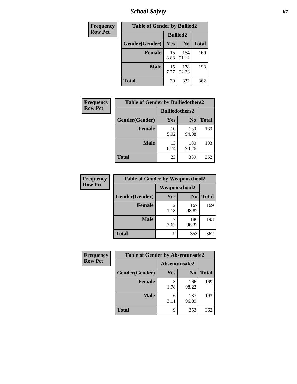*School Safety* **67**

| Frequency      | <b>Table of Gender by Bullied2</b> |                 |                |              |
|----------------|------------------------------------|-----------------|----------------|--------------|
| <b>Row Pct</b> |                                    | <b>Bullied2</b> |                |              |
|                | Gender(Gender)                     | Yes             | N <sub>0</sub> | <b>Total</b> |
|                | <b>Female</b>                      | 15<br>8.88      | 154<br>91.12   | 169          |
|                | <b>Male</b>                        | 15<br>7.77      | 178<br>92.23   | 193          |
|                | <b>Total</b>                       | 30              | 332            | 362          |

| <b>Frequency</b> | <b>Table of Gender by Bulliedothers2</b> |                       |                |              |  |
|------------------|------------------------------------------|-----------------------|----------------|--------------|--|
| <b>Row Pct</b>   |                                          | <b>Bulliedothers2</b> |                |              |  |
|                  | Gender(Gender)                           | <b>Yes</b>            | N <sub>0</sub> | <b>Total</b> |  |
|                  | <b>Female</b>                            | 10<br>5.92            | 159<br>94.08   | 169          |  |
|                  | Male                                     | 13<br>6.74            | 180<br>93.26   | 193          |  |
|                  | <b>Total</b>                             | 23                    | 339            | 362          |  |

| <b>Frequency</b> | <b>Table of Gender by Weaponschool2</b> |               |                |              |  |
|------------------|-----------------------------------------|---------------|----------------|--------------|--|
| <b>Row Pct</b>   |                                         | Weaponschool2 |                |              |  |
|                  | Gender(Gender)                          | Yes           | N <sub>0</sub> | <b>Total</b> |  |
|                  | Female                                  | 2<br>1.18     | 167<br>98.82   | 169          |  |
|                  | <b>Male</b>                             | 3.63          | 186<br>96.37   | 193          |  |
|                  | <b>Total</b>                            | 9             | 353            | 362          |  |

| Frequency      | <b>Table of Gender by Absentunsafe2</b> |               |                |              |
|----------------|-----------------------------------------|---------------|----------------|--------------|
| <b>Row Pct</b> |                                         | Absentunsafe2 |                |              |
|                | Gender(Gender)                          | Yes           | N <sub>0</sub> | <b>Total</b> |
|                | <b>Female</b>                           | 1.78          | 166<br>98.22   | 169          |
|                | <b>Male</b>                             | 6<br>3.11     | 187<br>96.89   | 193          |
|                | <b>Total</b>                            | q             | 353            | 362          |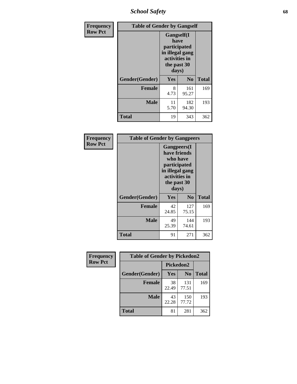*School Safety* **68**

| Frequency      | <b>Table of Gender by Gangself</b> |                                                                                                        |                |              |
|----------------|------------------------------------|--------------------------------------------------------------------------------------------------------|----------------|--------------|
| <b>Row Pct</b> |                                    | <b>Gangself</b> (I<br>have<br>participated<br>in illegal gang<br>activities in<br>the past 30<br>days) |                |              |
|                | Gender(Gender)                     | Yes                                                                                                    | N <sub>0</sub> | <b>Total</b> |
|                | <b>Female</b>                      | 8<br>4.73                                                                                              | 161<br>95.27   | 169          |
|                | <b>Male</b>                        | 11<br>5.70                                                                                             | 182<br>94.30   | 193          |
|                | <b>Total</b>                       | 19                                                                                                     | 343            | 362          |

| Frequency      | <b>Table of Gender by Gangpeers</b> |                                                                                                                             |                |              |
|----------------|-------------------------------------|-----------------------------------------------------------------------------------------------------------------------------|----------------|--------------|
| <b>Row Pct</b> |                                     | <b>Gangpeers</b> (I<br>have friends<br>who have<br>participated<br>in illegal gang<br>activities in<br>the past 30<br>days) |                |              |
|                | Gender(Gender)                      | Yes                                                                                                                         | N <sub>0</sub> | <b>Total</b> |
|                | <b>Female</b>                       | 42<br>24.85                                                                                                                 | 127<br>75.15   | 169          |
|                | <b>Male</b>                         | 49<br>25.39                                                                                                                 | 144<br>74.61   | 193          |
|                | Total                               | 91                                                                                                                          | 271            | 362          |

| Frequency      | <b>Table of Gender by Pickedon2</b> |             |                |              |
|----------------|-------------------------------------|-------------|----------------|--------------|
| <b>Row Pct</b> |                                     | Pickedon2   |                |              |
|                | Gender(Gender)                      | Yes         | N <sub>0</sub> | <b>Total</b> |
|                | <b>Female</b>                       | 38<br>22.49 | 131<br>77.51   | 169          |
|                | <b>Male</b>                         | 43<br>22.28 | 150<br>77.72   | 193          |
|                | <b>Total</b>                        | 81          | 281            | 362          |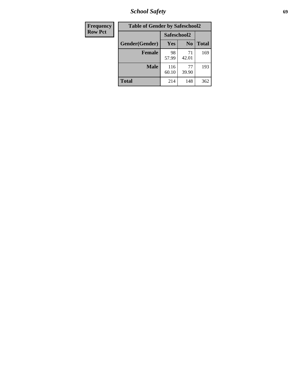*School Safety* **69**

| <b>Frequency</b> | <b>Table of Gender by Safeschool2</b> |              |                |              |  |
|------------------|---------------------------------------|--------------|----------------|--------------|--|
| <b>Row Pct</b>   |                                       | Safeschool2  |                |              |  |
|                  | Gender(Gender)                        | <b>Yes</b>   | N <sub>0</sub> | <b>Total</b> |  |
|                  | <b>Female</b>                         | 98<br>57.99  | 71<br>42.01    | 169          |  |
|                  | <b>Male</b>                           | 116<br>60.10 | 77<br>39.90    | 193          |  |
|                  | <b>Total</b>                          | 214          | 148            | 362          |  |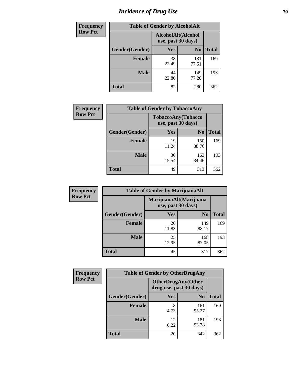# *Incidence of Drug Use* **70**

| <b>Frequency</b> | <b>Table of Gender by AlcoholAlt</b> |                                          |                |              |
|------------------|--------------------------------------|------------------------------------------|----------------|--------------|
| <b>Row Pct</b>   |                                      | AlcoholAlt(Alcohol<br>use, past 30 days) |                |              |
|                  | Gender(Gender)                       | <b>Yes</b>                               | N <sub>0</sub> | <b>Total</b> |
|                  | <b>Female</b>                        | 38<br>22.49                              | 131<br>77.51   | 169          |
|                  | <b>Male</b>                          | 44<br>22.80                              | 149<br>77.20   | 193          |
|                  | <b>Total</b>                         | 82                                       | 280            | 362          |

| <b>Frequency</b> | <b>Table of Gender by TobaccoAny</b> |                                          |                |              |  |
|------------------|--------------------------------------|------------------------------------------|----------------|--------------|--|
| <b>Row Pct</b>   |                                      | TobaccoAny(Tobacco<br>use, past 30 days) |                |              |  |
|                  | Gender(Gender)                       | Yes                                      | N <sub>0</sub> | <b>Total</b> |  |
|                  | <b>Female</b>                        | 19<br>11.24                              | 150<br>88.76   | 169          |  |
|                  | <b>Male</b>                          | 30<br>15.54                              | 163<br>84.46   | 193          |  |
|                  | <b>Total</b>                         | 49                                       | 313            | 362          |  |

| <b>Frequency</b> |                | <b>Table of Gender by MarijuanaAlt</b> |                                              |       |  |
|------------------|----------------|----------------------------------------|----------------------------------------------|-------|--|
| <b>Row Pct</b>   |                |                                        | MarijuanaAlt(Marijuana<br>use, past 30 days) |       |  |
|                  | Gender(Gender) | <b>Yes</b>                             | N <sub>0</sub>                               | Total |  |
|                  | <b>Female</b>  | 20<br>11.83                            | 149<br>88.17                                 | 169   |  |
|                  | <b>Male</b>    | 25<br>12.95                            | 168<br>87.05                                 | 193   |  |
|                  | <b>Total</b>   | 45                                     | 317                                          | 362   |  |

| <b>Frequency</b> | <b>Table of Gender by OtherDrugAny</b> |                                                      |                |              |  |
|------------------|----------------------------------------|------------------------------------------------------|----------------|--------------|--|
| <b>Row Pct</b>   |                                        | <b>OtherDrugAny(Other</b><br>drug use, past 30 days) |                |              |  |
|                  | Gender(Gender)                         | <b>Yes</b>                                           | N <sub>0</sub> | <b>Total</b> |  |
|                  | <b>Female</b>                          | 8<br>4.73                                            | 161<br>95.27   | 169          |  |
|                  | <b>Male</b>                            | 12<br>6.22                                           | 181<br>93.78   | 193          |  |
|                  | <b>Total</b>                           | 20                                                   | 342            | 362          |  |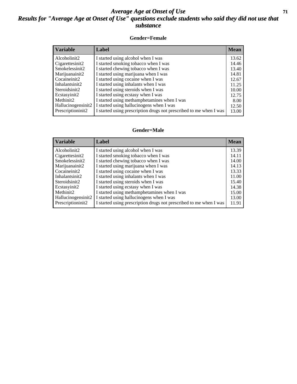### *Average Age at Onset of Use* **71** *Results for "Average Age at Onset of Use" questions exclude students who said they did not use that substance*

#### **Gender=Female**

| <b>Variable</b>    | <b>Label</b>                                                       | <b>Mean</b> |
|--------------------|--------------------------------------------------------------------|-------------|
| Alcoholinit2       | I started using alcohol when I was                                 | 13.62       |
| Cigarettesinit2    | I started smoking tobacco when I was                               | 14.46       |
| Smokelessinit2     | I started chewing tobacco when I was                               | 13.40       |
| Marijuanainit2     | I started using marijuana when I was                               | 14.81       |
| Cocaineinit2       | I started using cocaine when I was                                 | 12.67       |
| Inhalantsinit2     | I started using inhalants when I was                               | 11.25       |
| Steroidsinit2      | I started using steroids when I was                                | 10.00       |
| Ecstasyinit2       | I started using ecstasy when I was                                 | 12.75       |
| Methinit2          | I started using methamphetamines when I was                        | 8.00        |
| Hallucinogensinit2 | I started using hallucinogens when I was                           | 12.50       |
| Prescription in t2 | I started using prescription drugs not prescribed to me when I was | 13.00       |
|                    |                                                                    |             |

#### **Gender=Male**

| <b>Variable</b>                 | Label                                                              | <b>Mean</b> |
|---------------------------------|--------------------------------------------------------------------|-------------|
| Alcoholinit2                    | I started using alcohol when I was                                 | 13.39       |
| Cigarettesinit2                 | I started smoking tobacco when I was                               | 14.11       |
| Smokelessinit2                  | I started chewing tobacco when I was                               | 14.00       |
| Marijuanainit2                  | I started using marijuana when I was                               | 14.13       |
| Cocaineinit2                    | I started using cocaine when I was                                 | 13.33       |
| Inhalantsinit2                  | I started using inhalants when I was                               | 11.00       |
| Steroidsinit2                   | I started using steroids when I was                                | 15.40       |
| Ecstasyinit2                    | I started using ecstasy when I was                                 | 14.38       |
| Methinit2                       | I started using methamphetamines when I was                        | 15.00       |
| Hallucinogensinit2              | I started using hallucinogens when I was                           | 13.00       |
| Prescription in it <sub>2</sub> | I started using prescription drugs not prescribed to me when I was | 11.91       |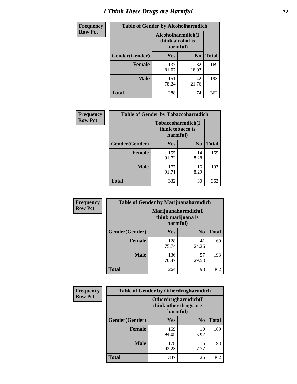# *I Think These Drugs are Harmful* **72**

| <b>Frequency</b> | <b>Table of Gender by Alcoholharmdich</b> |                                                   |                |              |
|------------------|-------------------------------------------|---------------------------------------------------|----------------|--------------|
| <b>Row Pct</b>   |                                           | Alcoholharmdich(I<br>think alcohol is<br>harmful) |                |              |
|                  | Gender(Gender)                            | Yes                                               | N <sub>0</sub> | <b>Total</b> |
|                  | <b>Female</b>                             | 137<br>81.07                                      | 32<br>18.93    | 169          |
|                  | <b>Male</b>                               | 151<br>78.24                                      | 42<br>21.76    | 193          |
|                  | Total                                     | 288                                               | 74             | 362          |

| Frequency      | <b>Table of Gender by Tobaccoharmdich</b> |                                                   |                |              |
|----------------|-------------------------------------------|---------------------------------------------------|----------------|--------------|
| <b>Row Pct</b> |                                           | Tobaccoharmdich(I<br>think tobacco is<br>harmful) |                |              |
|                | Gender(Gender)                            | Yes                                               | N <sub>0</sub> | <b>Total</b> |
|                | <b>Female</b>                             | 155<br>91.72                                      | 14<br>8.28     | 169          |
|                | <b>Male</b>                               | 177<br>91.71                                      | 16<br>8.29     | 193          |
|                | <b>Total</b>                              | 332                                               | 30             | 362          |

| Frequency      | <b>Table of Gender by Marijuanaharmdich</b> |                                                       |                |              |  |
|----------------|---------------------------------------------|-------------------------------------------------------|----------------|--------------|--|
| <b>Row Pct</b> |                                             | Marijuanaharmdich(I<br>think marijuana is<br>harmful) |                |              |  |
|                | Gender(Gender)                              | <b>Yes</b>                                            | N <sub>0</sub> | <b>Total</b> |  |
|                | <b>Female</b>                               | 128<br>75.74                                          | 41<br>24.26    | 169          |  |
|                | <b>Male</b>                                 | 136<br>70.47                                          | 57<br>29.53    | 193          |  |
|                | <b>Total</b>                                | 264                                                   | 98             | 362          |  |

| Frequency      | <b>Table of Gender by Otherdrugharmdich</b> |                                                          |                |              |  |
|----------------|---------------------------------------------|----------------------------------------------------------|----------------|--------------|--|
| <b>Row Pct</b> |                                             | Otherdrugharmdich(I<br>think other drugs are<br>harmful) |                |              |  |
|                | Gender(Gender)                              | <b>Yes</b>                                               | N <sub>0</sub> | <b>Total</b> |  |
|                | <b>Female</b>                               | 159<br>94.08                                             | 10<br>5.92     | 169          |  |
|                | <b>Male</b>                                 | 178<br>92.23                                             | 15<br>7.77     | 193          |  |
|                | <b>Total</b>                                | 337                                                      | 25             | 362          |  |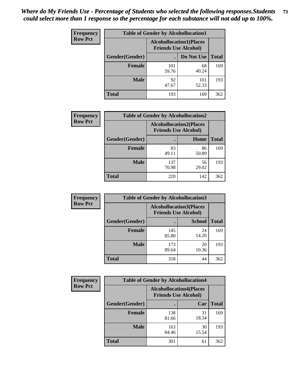| <b>Frequency</b> | <b>Table of Gender by Alcohollocation1</b> |                                                               |              |              |
|------------------|--------------------------------------------|---------------------------------------------------------------|--------------|--------------|
| <b>Row Pct</b>   |                                            | <b>Alcohollocation1(Places</b><br><b>Friends Use Alcohol)</b> |              |              |
|                  | Gender(Gender)                             |                                                               | Do Not Use   | <b>Total</b> |
|                  | <b>Female</b>                              | 101<br>59.76                                                  | 68<br>40.24  | 169          |
|                  | <b>Male</b>                                | 92<br>47.67                                                   | 101<br>52.33 | 193          |
|                  | <b>Total</b>                               | 193                                                           | 169          | 362          |

| <b>Frequency</b> | <b>Table of Gender by Alcohollocation2</b> |              |                                                               |              |
|------------------|--------------------------------------------|--------------|---------------------------------------------------------------|--------------|
| <b>Row Pct</b>   |                                            |              | <b>Alcohollocation2(Places</b><br><b>Friends Use Alcohol)</b> |              |
|                  | Gender(Gender)                             |              | Home                                                          | <b>Total</b> |
|                  | <b>Female</b>                              | 83<br>49.11  | 86<br>50.89                                                   | 169          |
|                  | <b>Male</b>                                | 137<br>70.98 | 56<br>29.02                                                   | 193          |
|                  | <b>Total</b>                               | 220          | 142                                                           | 362          |

| Frequency      | <b>Table of Gender by Alcohollocation3</b> |                                                               |               |              |
|----------------|--------------------------------------------|---------------------------------------------------------------|---------------|--------------|
| <b>Row Pct</b> |                                            | <b>Alcohollocation3(Places</b><br><b>Friends Use Alcohol)</b> |               |              |
|                | Gender(Gender)                             |                                                               | <b>School</b> | <b>Total</b> |
|                | <b>Female</b>                              | 145<br>85.80                                                  | 24<br>14.20   | 169          |
|                | <b>Male</b>                                | 173<br>89.64                                                  | 20<br>10.36   | 193          |
|                | <b>Total</b>                               | 318                                                           | 44            | 362          |

| Frequency      | <b>Table of Gender by Alcohollocation4</b> |                             |                                |              |
|----------------|--------------------------------------------|-----------------------------|--------------------------------|--------------|
| <b>Row Pct</b> |                                            | <b>Friends Use Alcohol)</b> | <b>Alcohollocation4(Places</b> |              |
|                | Gender(Gender)                             |                             | Car                            | <b>Total</b> |
|                | <b>Female</b>                              | 138<br>81.66                | 31<br>18.34                    | 169          |
|                | <b>Male</b>                                | 163<br>84.46                | 30<br>15.54                    | 193          |
|                | <b>Total</b>                               | 301                         | 61                             | 362          |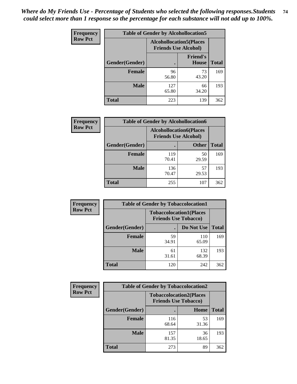| <b>Frequency</b> | <b>Table of Gender by Alcohollocation5</b> |                                                                |                                 |              |
|------------------|--------------------------------------------|----------------------------------------------------------------|---------------------------------|--------------|
| <b>Row Pct</b>   |                                            | <b>Alcohollocation5</b> (Places<br><b>Friends Use Alcohol)</b> |                                 |              |
|                  | Gender(Gender)                             |                                                                | <b>Friend's</b><br><b>House</b> | <b>Total</b> |
|                  | <b>Female</b>                              | 96<br>56.80                                                    | 73<br>43.20                     | 169          |
|                  | <b>Male</b>                                | 127<br>65.80                                                   | 66<br>34.20                     | 193          |
|                  | <b>Total</b>                               | 223                                                            | 139                             | 362          |

| <b>Frequency</b> | <b>Table of Gender by Alcohollocation6</b> |                                                               |              |              |  |
|------------------|--------------------------------------------|---------------------------------------------------------------|--------------|--------------|--|
| <b>Row Pct</b>   |                                            | <b>Alcohollocation6(Places</b><br><b>Friends Use Alcohol)</b> |              |              |  |
|                  | <b>Gender</b> (Gender)                     |                                                               | <b>Other</b> | <b>Total</b> |  |
|                  | <b>Female</b>                              | 119<br>70.41                                                  | 50<br>29.59  | 169          |  |
|                  | <b>Male</b>                                | 136<br>70.47                                                  | 57<br>29.53  | 193          |  |
|                  | <b>Total</b>                               | 255                                                           | 107          | 362          |  |

| Frequency      | <b>Table of Gender by Tobaccolocation1</b> |                                                               |              |              |  |
|----------------|--------------------------------------------|---------------------------------------------------------------|--------------|--------------|--|
| <b>Row Pct</b> |                                            | <b>Tobaccolocation1(Places</b><br><b>Friends Use Tobacco)</b> |              |              |  |
|                | Gender(Gender)                             |                                                               | Do Not Use   | <b>Total</b> |  |
|                | Female                                     | 59<br>34.91                                                   | 110<br>65.09 | 169          |  |
|                | <b>Male</b>                                | 61<br>31.61                                                   | 132<br>68.39 | 193          |  |
|                | <b>Total</b>                               | 120                                                           | 242          | 362          |  |

| <b>Frequency</b> |                | <b>Table of Gender by Tobaccolocation2</b> |                                |              |  |
|------------------|----------------|--------------------------------------------|--------------------------------|--------------|--|
| <b>Row Pct</b>   |                | <b>Friends Use Tobacco)</b>                | <b>Tobaccolocation2(Places</b> |              |  |
|                  | Gender(Gender) |                                            | <b>Home</b>                    | <b>Total</b> |  |
|                  | Female         | 116<br>68.64                               | 53<br>31.36                    | 169          |  |
|                  | <b>Male</b>    | 157<br>81.35                               | 36<br>18.65                    | 193          |  |
|                  | <b>Total</b>   | 273                                        | 89                             | 362          |  |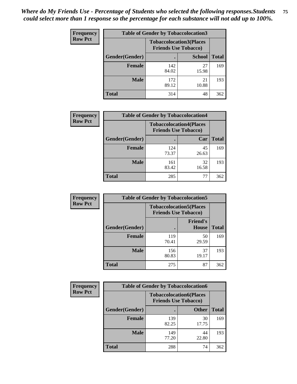| <b>Frequency</b> | <b>Table of Gender by Tobaccolocation3</b> |              |                                                               |              |
|------------------|--------------------------------------------|--------------|---------------------------------------------------------------|--------------|
| <b>Row Pct</b>   |                                            |              | <b>Tobaccolocation3(Places</b><br><b>Friends Use Tobacco)</b> |              |
|                  | Gender(Gender)                             |              | <b>School</b>                                                 | <b>Total</b> |
|                  | Female                                     | 142<br>84.02 | 27<br>15.98                                                   | 169          |
|                  | <b>Male</b>                                | 172<br>89.12 | 21<br>10.88                                                   | 193          |
|                  | Total                                      | 314          | 48                                                            | 362          |

| <b>Frequency</b> | <b>Table of Gender by Tobaccolocation4</b> |                             |                                |              |
|------------------|--------------------------------------------|-----------------------------|--------------------------------|--------------|
| <b>Row Pct</b>   |                                            | <b>Friends Use Tobacco)</b> | <b>Tobaccolocation4(Places</b> |              |
|                  | Gender(Gender)                             |                             | Car                            | <b>Total</b> |
|                  | Female                                     | 124<br>73.37                | 45<br>26.63                    | 169          |
|                  | <b>Male</b>                                | 161<br>83.42                | 32<br>16.58                    | 193          |
|                  | <b>Total</b>                               | 285                         | 77                             | 362          |

| <b>Frequency</b> | <b>Table of Gender by Tobaccolocation5</b> |                                                               |                          |              |
|------------------|--------------------------------------------|---------------------------------------------------------------|--------------------------|--------------|
| <b>Row Pct</b>   |                                            | <b>Tobaccolocation5(Places</b><br><b>Friends Use Tobacco)</b> |                          |              |
|                  | Gender(Gender)                             |                                                               | <b>Friend's</b><br>House | <b>Total</b> |
|                  | <b>Female</b>                              | 119<br>70.41                                                  | 50<br>29.59              | 169          |
|                  | <b>Male</b>                                | 156<br>80.83                                                  | 37<br>19.17              | 193          |
|                  | <b>Total</b>                               | 275                                                           | 87                       | 362          |

| <b>Frequency</b> | <b>Table of Gender by Tobaccolocation6</b> |              |                                                               |              |
|------------------|--------------------------------------------|--------------|---------------------------------------------------------------|--------------|
| <b>Row Pct</b>   |                                            |              | <b>Tobaccolocation6(Places</b><br><b>Friends Use Tobacco)</b> |              |
|                  | Gender(Gender)                             |              | <b>Other</b>                                                  | <b>Total</b> |
|                  | Female                                     | 139<br>82.25 | 30<br>17.75                                                   | 169          |
|                  | <b>Male</b>                                | 149<br>77.20 | 44<br>22.80                                                   | 193          |
|                  | <b>Total</b>                               | 288          | 74                                                            | 362          |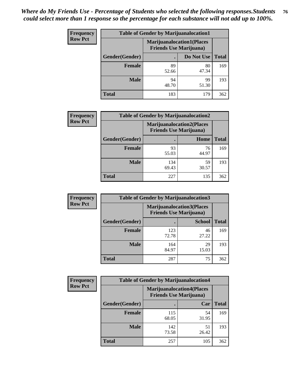| <b>Frequency</b> | <b>Table of Gender by Marijuanalocation1</b> |                                |                                  |              |  |
|------------------|----------------------------------------------|--------------------------------|----------------------------------|--------------|--|
| <b>Row Pct</b>   |                                              | <b>Friends Use Marijuana</b> ) | <b>Marijuanalocation1(Places</b> |              |  |
|                  | Gender(Gender)                               |                                | Do Not Use                       | <b>Total</b> |  |
|                  | <b>Female</b>                                | 89<br>52.66                    | 80<br>47.34                      | 169          |  |
|                  | <b>Male</b>                                  | 94<br>48.70                    | 99<br>51.30                      | 193          |  |
|                  | <b>Total</b>                                 | 183                            | 179                              | 362          |  |

| <b>Frequency</b> | <b>Table of Gender by Marijuanalocation2</b> |                                                                    |             |              |
|------------------|----------------------------------------------|--------------------------------------------------------------------|-------------|--------------|
| <b>Row Pct</b>   |                                              | <b>Marijuanalocation2(Places</b><br><b>Friends Use Marijuana</b> ) |             |              |
|                  | Gender(Gender)                               |                                                                    | Home        | <b>Total</b> |
|                  | Female                                       | 93<br>55.03                                                        | 76<br>44.97 | 169          |
|                  | <b>Male</b>                                  | 134<br>69.43                                                       | 59<br>30.57 | 193          |
|                  | <b>Total</b>                                 | 227                                                                | 135         | 362          |

| Frequency      | <b>Table of Gender by Marijuanalocation3</b> |              |                                                                    |              |
|----------------|----------------------------------------------|--------------|--------------------------------------------------------------------|--------------|
| <b>Row Pct</b> |                                              |              | <b>Marijuanalocation3(Places</b><br><b>Friends Use Marijuana</b> ) |              |
|                | Gender(Gender)                               |              | <b>School</b>                                                      | <b>Total</b> |
|                | Female                                       | 123<br>72.78 | 46<br>27.22                                                        | 169          |
|                | <b>Male</b>                                  | 164<br>84.97 | 29<br>15.03                                                        | 193          |
|                | <b>Total</b>                                 | 287          | 75                                                                 | 362          |

| <b>Frequency</b> |                | <b>Table of Gender by Marijuanalocation4</b> |                                  |              |
|------------------|----------------|----------------------------------------------|----------------------------------|--------------|
| <b>Row Pct</b>   |                | <b>Friends Use Marijuana</b> )               | <b>Marijuanalocation4(Places</b> |              |
|                  | Gender(Gender) |                                              | Car                              | <b>Total</b> |
|                  | <b>Female</b>  | 115<br>68.05                                 | 54<br>31.95                      | 169          |
|                  | <b>Male</b>    | 142<br>73.58                                 | 51<br>26.42                      | 193          |
|                  | <b>Total</b>   | 257                                          | 105                              | 362          |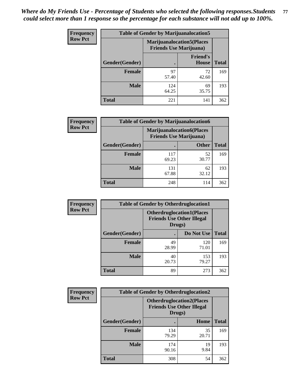| <b>Frequency</b> | <b>Table of Gender by Marijuanalocation5</b> |                                                                     |                                 |              |
|------------------|----------------------------------------------|---------------------------------------------------------------------|---------------------------------|--------------|
| <b>Row Pct</b>   |                                              | <b>Marijuanalocation5</b> (Places<br><b>Friends Use Marijuana</b> ) |                                 |              |
|                  | Gender(Gender)                               |                                                                     | <b>Friend's</b><br><b>House</b> | <b>Total</b> |
|                  | <b>Female</b>                                | 97<br>57.40                                                         | 72<br>42.60                     | 169          |
|                  | <b>Male</b>                                  | 124<br>64.25                                                        | 69<br>35.75                     | 193          |
|                  | <b>Total</b>                                 | 221                                                                 | 141                             | 362          |

| <b>Frequency</b> | <b>Table of Gender by Marijuanalocation6</b> |                                                                    |              |              |
|------------------|----------------------------------------------|--------------------------------------------------------------------|--------------|--------------|
| <b>Row Pct</b>   |                                              | <b>Marijuanalocation6(Places</b><br><b>Friends Use Marijuana</b> ) |              |              |
|                  | <b>Gender</b> (Gender)                       |                                                                    | <b>Other</b> | <b>Total</b> |
|                  | <b>Female</b>                                | 117<br>69.23                                                       | 52<br>30.77  | 169          |
|                  | <b>Male</b>                                  | 131<br>67.88                                                       | 62<br>32.12  | 193          |
|                  | <b>Total</b>                                 | 248                                                                | 114          | 362          |

| <b>Frequency</b> | <b>Table of Gender by Otherdruglocation1</b> |                                                                                |              |              |
|------------------|----------------------------------------------|--------------------------------------------------------------------------------|--------------|--------------|
| <b>Row Pct</b>   |                                              | <b>Otherdruglocation1(Places</b><br><b>Friends Use Other Illegal</b><br>Drugs) |              |              |
|                  | Gender(Gender)                               |                                                                                | Do Not Use   | <b>Total</b> |
|                  | Female                                       | 49<br>28.99                                                                    | 120<br>71.01 | 169          |
|                  | <b>Male</b>                                  | 40<br>20.73                                                                    | 153<br>79.27 | 193          |
|                  | <b>Total</b>                                 | 89                                                                             | 273          | 362          |

| Frequency      | <b>Table of Gender by Otherdruglocation2</b> |                                                                                |             |              |
|----------------|----------------------------------------------|--------------------------------------------------------------------------------|-------------|--------------|
| <b>Row Pct</b> |                                              | <b>Otherdruglocation2(Places</b><br><b>Friends Use Other Illegal</b><br>Drugs) |             |              |
|                | Gender(Gender)                               |                                                                                | Home        | <b>Total</b> |
|                | <b>Female</b>                                | 134<br>79.29                                                                   | 35<br>20.71 | 169          |
|                | <b>Male</b>                                  | 174<br>90.16                                                                   | 19<br>9.84  | 193          |
|                | <b>Total</b>                                 | 308                                                                            | 54          | 362          |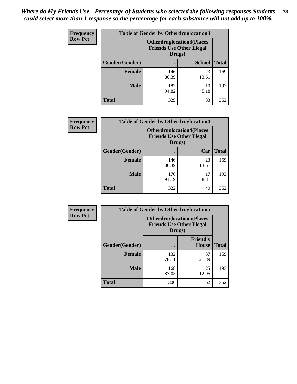| Frequency      | <b>Table of Gender by Otherdruglocation3</b> |                                                                                |               |              |
|----------------|----------------------------------------------|--------------------------------------------------------------------------------|---------------|--------------|
| <b>Row Pct</b> |                                              | <b>Otherdruglocation3(Places</b><br><b>Friends Use Other Illegal</b><br>Drugs) |               |              |
|                | Gender(Gender)                               |                                                                                | <b>School</b> | <b>Total</b> |
|                | Female                                       | 146<br>86.39                                                                   | 23<br>13.61   | 169          |
|                | <b>Male</b>                                  | 183<br>94.82                                                                   | 10<br>5.18    | 193          |
|                | <b>Total</b>                                 | 329                                                                            | 33            | 362          |

| Frequency      | <b>Table of Gender by Otherdruglocation4</b> |                                                                                |             |              |
|----------------|----------------------------------------------|--------------------------------------------------------------------------------|-------------|--------------|
| <b>Row Pct</b> |                                              | <b>Otherdruglocation4(Places</b><br><b>Friends Use Other Illegal</b><br>Drugs) |             |              |
|                | Gender(Gender)                               |                                                                                | Car         | <b>Total</b> |
|                | <b>Female</b>                                | 146<br>86.39                                                                   | 23<br>13.61 | 169          |
|                | <b>Male</b>                                  | 176<br>91.19                                                                   | 17<br>8.81  | 193          |
|                | <b>Total</b>                                 | 322                                                                            | 40          | 362          |

| <b>Frequency</b> | <b>Table of Gender by Otherdruglocation5</b> |              |                                                                      |              |
|------------------|----------------------------------------------|--------------|----------------------------------------------------------------------|--------------|
| <b>Row Pct</b>   |                                              | Drugs)       | <b>Otherdruglocation5(Places</b><br><b>Friends Use Other Illegal</b> |              |
|                  | Gender(Gender)                               |              | <b>Friend's</b><br><b>House</b>                                      | <b>Total</b> |
|                  | <b>Female</b>                                | 132<br>78.11 | 37<br>21.89                                                          | 169          |
|                  | <b>Male</b>                                  | 168<br>87.05 | 25<br>12.95                                                          | 193          |
|                  | <b>Total</b>                                 | 300          | 62                                                                   | 362          |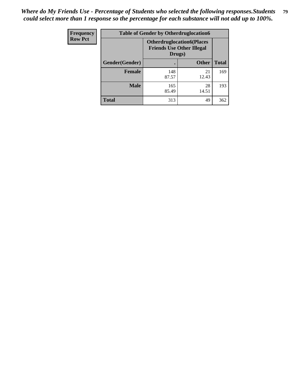| Frequency      | <b>Table of Gender by Otherdruglocation6</b> |                                            |                                  |              |
|----------------|----------------------------------------------|--------------------------------------------|----------------------------------|--------------|
| <b>Row Pct</b> |                                              | <b>Friends Use Other Illegal</b><br>Drugs) | <b>Otherdruglocation6(Places</b> |              |
|                | Gender(Gender)                               |                                            | <b>Other</b>                     | <b>Total</b> |
|                | <b>Female</b>                                | 148<br>87.57                               | 21<br>12.43                      | 169          |
|                | <b>Male</b>                                  | 165<br>85.49                               | 28<br>14.51                      | 193          |
|                | <b>Total</b>                                 | 313                                        | 49                               | 362          |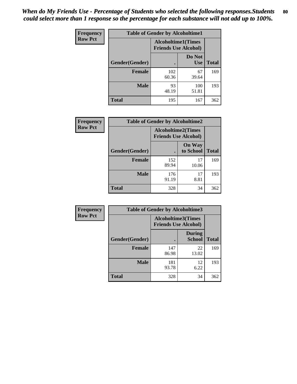| <b>Frequency</b> | <b>Table of Gender by Alcoholtime1</b> |                                                          |                      |              |
|------------------|----------------------------------------|----------------------------------------------------------|----------------------|--------------|
| <b>Row Pct</b>   |                                        | <b>Alcoholtime1(Times</b><br><b>Friends Use Alcohol)</b> |                      |              |
|                  | Gender(Gender)                         |                                                          | Do Not<br><b>Use</b> | <b>Total</b> |
|                  | <b>Female</b>                          | 102<br>60.36                                             | 67<br>39.64          | 169          |
|                  | <b>Male</b>                            | 93<br>48.19                                              | 100<br>51.81         | 193          |
|                  | <b>Total</b>                           | 195                                                      | 167                  | 362          |

| <b>Frequency</b> | <b>Table of Gender by Alcoholtime2</b> |                                                          |                            |              |
|------------------|----------------------------------------|----------------------------------------------------------|----------------------------|--------------|
| <b>Row Pct</b>   |                                        | <b>Alcoholtime2(Times</b><br><b>Friends Use Alcohol)</b> |                            |              |
|                  | Gender(Gender)                         |                                                          | <b>On Way</b><br>to School | <b>Total</b> |
|                  | <b>Female</b>                          | 152<br>89.94                                             | 17<br>10.06                | 169          |
|                  | <b>Male</b>                            | 176<br>91.19                                             | 17<br>8.81                 | 193          |
|                  | <b>Total</b>                           | 328                                                      | 34                         | 362          |

| Frequency      | <b>Table of Gender by Alcoholtime3</b> |                                                          |                                |              |  |
|----------------|----------------------------------------|----------------------------------------------------------|--------------------------------|--------------|--|
| <b>Row Pct</b> |                                        | <b>Alcoholtime3(Times</b><br><b>Friends Use Alcohol)</b> |                                |              |  |
|                | Gender(Gender)                         |                                                          | <b>During</b><br><b>School</b> | <b>Total</b> |  |
|                | <b>Female</b>                          | 147<br>86.98                                             | 22<br>13.02                    | 169          |  |
|                | <b>Male</b>                            | 181<br>93.78                                             | 12<br>6.22                     | 193          |  |
|                | <b>Total</b>                           | 328                                                      | 34                             | 362          |  |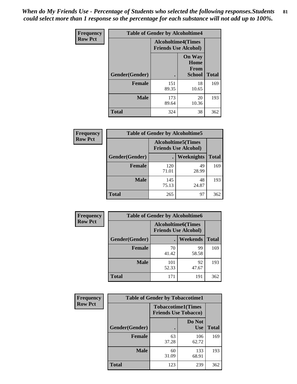*When do My Friends Use - Percentage of Students who selected the following responses.Students could select more than 1 response so the percentage for each substance will not add up to 100%.* **81**

| <b>Frequency</b> | <b>Table of Gender by Alcoholtime4</b> |                                                          |                                                       |              |
|------------------|----------------------------------------|----------------------------------------------------------|-------------------------------------------------------|--------------|
| <b>Row Pct</b>   |                                        | <b>Alcoholtime4(Times</b><br><b>Friends Use Alcohol)</b> |                                                       |              |
|                  | Gender(Gender)                         |                                                          | <b>On Way</b><br>Home<br><b>From</b><br><b>School</b> | <b>Total</b> |
|                  | <b>Female</b>                          | 151<br>89.35                                             | 18<br>10.65                                           | 169          |
|                  | <b>Male</b>                            | 173<br>89.64                                             | 20<br>10.36                                           | 193          |
|                  | <b>Total</b>                           | 324                                                      | 38                                                    | 362          |

| <b>Frequency</b> | <b>Table of Gender by Alcoholtime5</b> |              |                                                           |              |  |
|------------------|----------------------------------------|--------------|-----------------------------------------------------------|--------------|--|
| <b>Row Pct</b>   |                                        |              | <b>Alcoholtime5</b> (Times<br><b>Friends Use Alcohol)</b> |              |  |
|                  | Gender(Gender)                         |              | Weeknights                                                | <b>Total</b> |  |
|                  | <b>Female</b>                          | 120<br>71.01 | 49<br>28.99                                               | 169          |  |
|                  | <b>Male</b>                            | 145<br>75.13 | 48<br>24.87                                               | 193          |  |
|                  | <b>Total</b>                           | 265          | 97                                                        | 362          |  |

| <b>Frequency</b> | <b>Table of Gender by Alcoholtime6</b> |              |                                                           |              |  |
|------------------|----------------------------------------|--------------|-----------------------------------------------------------|--------------|--|
| <b>Row Pct</b>   |                                        |              | <b>Alcoholtime6</b> (Times<br><b>Friends Use Alcohol)</b> |              |  |
|                  | Gender(Gender)                         |              | <b>Weekends</b>                                           | <b>Total</b> |  |
|                  | Female                                 | 70<br>41.42  | 99<br>58.58                                               | 169          |  |
|                  | <b>Male</b>                            | 101<br>52.33 | 92<br>47.67                                               | 193          |  |
|                  | Total                                  | 171          | 191                                                       | 362          |  |

| Frequency      | <b>Table of Gender by Tobaccotime1</b> |                                                          |                      |              |
|----------------|----------------------------------------|----------------------------------------------------------|----------------------|--------------|
| <b>Row Pct</b> |                                        | <b>Tobaccotime1(Times</b><br><b>Friends Use Tobacco)</b> |                      |              |
|                | Gender(Gender)                         |                                                          | Do Not<br><b>Use</b> | <b>Total</b> |
|                | Female                                 | 63<br>37.28                                              | 106<br>62.72         | 169          |
|                | <b>Male</b>                            | 60<br>31.09                                              | 133<br>68.91         | 193          |
|                | <b>Total</b>                           | 123                                                      | 239                  | 362          |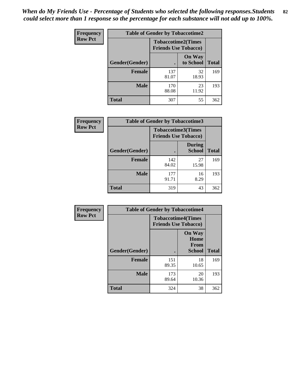*When do My Friends Use - Percentage of Students who selected the following responses.Students could select more than 1 response so the percentage for each substance will not add up to 100%.* **82**

| Frequency      | <b>Table of Gender by Tobaccotime2</b> |                                                          |                            |              |
|----------------|----------------------------------------|----------------------------------------------------------|----------------------------|--------------|
| <b>Row Pct</b> |                                        | <b>Tobaccotime2(Times</b><br><b>Friends Use Tobacco)</b> |                            |              |
|                | Gender(Gender)                         |                                                          | <b>On Way</b><br>to School | <b>Total</b> |
|                | Female                                 | 137<br>81.07                                             | 32<br>18.93                | 169          |
|                | <b>Male</b>                            | 170<br>88.08                                             | 23<br>11.92                | 193          |
|                | <b>Total</b>                           | 307                                                      | 55                         | 362          |

| <b>Frequency</b> | <b>Table of Gender by Tobaccotime3</b> |                                                          |                                |              |
|------------------|----------------------------------------|----------------------------------------------------------|--------------------------------|--------------|
| <b>Row Pct</b>   |                                        | <b>Tobaccotime3(Times</b><br><b>Friends Use Tobacco)</b> |                                |              |
|                  | Gender(Gender)                         |                                                          | <b>During</b><br><b>School</b> | <b>Total</b> |
|                  | Female                                 | 142<br>84.02                                             | 27<br>15.98                    | 169          |
|                  | <b>Male</b>                            | 177<br>91.71                                             | 16<br>8.29                     | 193          |
|                  | <b>Total</b>                           | 319                                                      | 43                             | 362          |

| <b>Frequency</b> | <b>Table of Gender by Tobaccotime4</b> |                                                          |                                                       |              |
|------------------|----------------------------------------|----------------------------------------------------------|-------------------------------------------------------|--------------|
| <b>Row Pct</b>   |                                        | <b>Tobaccotime4(Times</b><br><b>Friends Use Tobacco)</b> |                                                       |              |
|                  | Gender(Gender)                         |                                                          | <b>On Way</b><br>Home<br><b>From</b><br><b>School</b> | <b>Total</b> |
|                  | <b>Female</b>                          | 151<br>89.35                                             | 18<br>10.65                                           | 169          |
|                  | <b>Male</b>                            | 173<br>89.64                                             | 20<br>10.36                                           | 193          |
|                  | <b>Total</b>                           | 324                                                      | 38                                                    | 362          |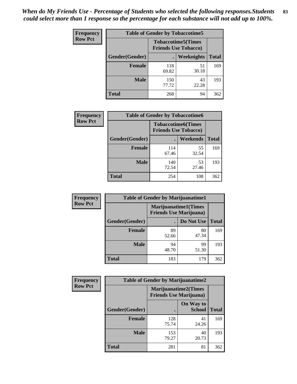| <b>Frequency</b> | <b>Table of Gender by Tobaccotime5</b> |              |                                                          |              |  |
|------------------|----------------------------------------|--------------|----------------------------------------------------------|--------------|--|
| <b>Row Pct</b>   |                                        |              | <b>Tobaccotime5(Times</b><br><b>Friends Use Tobacco)</b> |              |  |
|                  | <b>Gender</b> (Gender)                 |              | <b>Weeknights</b>                                        | <b>Total</b> |  |
|                  | <b>Female</b>                          | 118<br>69.82 | 51<br>30.18                                              | 169          |  |
|                  | <b>Male</b>                            | 150<br>77.72 | 43<br>22.28                                              | 193          |  |
|                  | Total                                  | 268          | 94                                                       | 362          |  |

| <b>Frequency</b> | <b>Table of Gender by Tobaccotime6</b> |                                                          |             |              |  |
|------------------|----------------------------------------|----------------------------------------------------------|-------------|--------------|--|
| <b>Row Pct</b>   |                                        | <b>Tobaccotime6(Times</b><br><b>Friends Use Tobacco)</b> |             |              |  |
|                  | Gender(Gender)                         |                                                          | Weekends    | <b>Total</b> |  |
|                  | Female                                 | 114<br>67.46                                             | 55<br>32.54 | 169          |  |
|                  | <b>Male</b>                            | 140<br>72.54                                             | 53<br>27.46 | 193          |  |
|                  | <b>Total</b>                           | 254                                                      | 108         | 362          |  |

| Frequency      | <b>Table of Gender by Marijuanatime1</b> |                                                               |             |              |  |
|----------------|------------------------------------------|---------------------------------------------------------------|-------------|--------------|--|
| <b>Row Pct</b> |                                          | <b>Marijuanatime1(Times</b><br><b>Friends Use Marijuana</b> ) |             |              |  |
|                | Gender(Gender)                           |                                                               | Do Not Use  | <b>Total</b> |  |
|                | <b>Female</b>                            | 89<br>52.66                                                   | 80<br>47.34 | 169          |  |
|                | <b>Male</b>                              | 94<br>48.70                                                   | 99<br>51.30 | 193          |  |
|                | <b>Total</b>                             | 183                                                           | 179         | 362          |  |

| <b>Frequency</b> | <b>Table of Gender by Marijuanatime2</b> |                                                        |                                   |              |
|------------------|------------------------------------------|--------------------------------------------------------|-----------------------------------|--------------|
| <b>Row Pct</b>   |                                          | Marijuanatime2(Times<br><b>Friends Use Marijuana</b> ) |                                   |              |
|                  | Gender(Gender)                           |                                                        | <b>On Way to</b><br><b>School</b> | <b>Total</b> |
|                  | <b>Female</b>                            | 128<br>75.74                                           | 41<br>24.26                       | 169          |
|                  | <b>Male</b>                              | 153<br>79.27                                           | 40<br>20.73                       | 193          |
|                  | <b>Total</b>                             | 281                                                    | 81                                | 362          |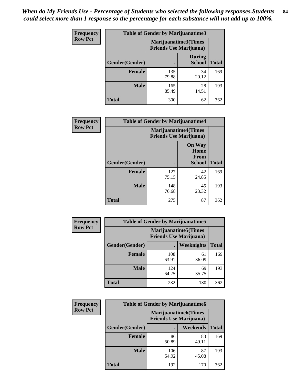*When do My Friends Use - Percentage of Students who selected the following responses.Students could select more than 1 response so the percentage for each substance will not add up to 100%.* **84**

| <b>Frequency</b> | <b>Table of Gender by Marijuanatime3</b> |                                                        |                                |              |
|------------------|------------------------------------------|--------------------------------------------------------|--------------------------------|--------------|
| <b>Row Pct</b>   |                                          | Marijuanatime3(Times<br><b>Friends Use Marijuana</b> ) |                                |              |
|                  | Gender(Gender)                           | $\bullet$                                              | <b>During</b><br><b>School</b> | <b>Total</b> |
|                  | Female                                   | 135<br>79.88                                           | 34<br>20.12                    | 169          |
|                  | Male                                     | 165<br>85.49                                           | 28<br>14.51                    | 193          |
|                  | <b>Total</b>                             | 300                                                    | 62                             | 362          |

| Frequency      | <b>Table of Gender by Marijuanatime4</b> |                                |                                                |              |
|----------------|------------------------------------------|--------------------------------|------------------------------------------------|--------------|
| <b>Row Pct</b> |                                          | <b>Friends Use Marijuana</b> ) | <b>Marijuanatime4(Times</b>                    |              |
|                | Gender(Gender)                           |                                | <b>On Way</b><br>Home<br>From<br><b>School</b> | <b>Total</b> |
|                | <b>Female</b>                            | 127<br>75.15                   | 42<br>24.85                                    | 169          |
|                | <b>Male</b>                              | 148<br>76.68                   | 45<br>23.32                                    | 193          |
|                | <b>Total</b>                             | 275                            | 87                                             | 362          |

| Frequency      | <b>Table of Gender by Marijuanatime5</b> |              |                                                                |              |  |
|----------------|------------------------------------------|--------------|----------------------------------------------------------------|--------------|--|
| <b>Row Pct</b> |                                          |              | <b>Marijuanatime5</b> (Times<br><b>Friends Use Marijuana</b> ) |              |  |
|                | Gender(Gender)                           |              | Weeknights                                                     | <b>Total</b> |  |
|                | <b>Female</b>                            | 108<br>63.91 | 61<br>36.09                                                    | 169          |  |
|                | <b>Male</b>                              | 124<br>64.25 | 69<br>35.75                                                    | 193          |  |
|                | <b>Total</b>                             | 232          | 130                                                            | 362          |  |

| Frequency      | <b>Table of Gender by Marijuanatime6</b> |              |                                                               |              |
|----------------|------------------------------------------|--------------|---------------------------------------------------------------|--------------|
| <b>Row Pct</b> |                                          |              | <b>Marijuanatime6(Times</b><br><b>Friends Use Marijuana</b> ) |              |
|                | Gender(Gender)                           |              | <b>Weekends</b>                                               | <b>Total</b> |
|                | <b>Female</b>                            | 86<br>50.89  | 83<br>49.11                                                   | 169          |
|                | <b>Male</b>                              | 106<br>54.92 | 87<br>45.08                                                   | 193          |
|                | <b>Total</b>                             | 192          | 170                                                           | 362          |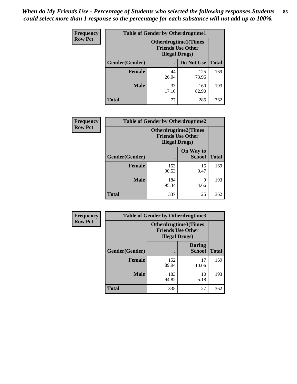*When do My Friends Use - Percentage of Students who selected the following responses.Students could select more than 1 response so the percentage for each substance will not add up to 100%.* **85**

| <b>Frequency</b> | <b>Table of Gender by Otherdrugtime1</b> |                                                                                   |              |              |  |
|------------------|------------------------------------------|-----------------------------------------------------------------------------------|--------------|--------------|--|
| <b>Row Pct</b>   |                                          | <b>Otherdrugtime1(Times</b><br><b>Friends Use Other</b><br><b>Illegal Drugs</b> ) |              |              |  |
|                  | Gender(Gender)                           |                                                                                   | Do Not Use   | <b>Total</b> |  |
|                  | <b>Female</b>                            | 44<br>26.04                                                                       | 125<br>73.96 | 169          |  |
|                  | <b>Male</b>                              | 33<br>17.10                                                                       | 160<br>82.90 | 193          |  |
|                  | <b>Total</b>                             | 77                                                                                | 285          | 362          |  |

| Frequency      | <b>Table of Gender by Otherdrugtime2</b> |                                                                                   |                            |              |
|----------------|------------------------------------------|-----------------------------------------------------------------------------------|----------------------------|--------------|
| <b>Row Pct</b> |                                          | <b>Otherdrugtime2(Times</b><br><b>Friends Use Other</b><br><b>Illegal Drugs</b> ) |                            |              |
|                | <b>Gender</b> (Gender)                   |                                                                                   | On Way to<br><b>School</b> | <b>Total</b> |
|                | <b>Female</b>                            | 153<br>90.53                                                                      | 16<br>9.47                 | 169          |
|                | <b>Male</b>                              | 184<br>95.34                                                                      | 9<br>4.66                  | 193          |
|                | <b>Total</b>                             | 337                                                                               | 25                         | 362          |

| <b>Frequency</b> | <b>Table of Gender by Otherdrugtime3</b> |                        |                                                  |              |
|------------------|------------------------------------------|------------------------|--------------------------------------------------|--------------|
| <b>Row Pct</b>   |                                          | <b>Illegal Drugs</b> ) | Otherdrugtime3(Times<br><b>Friends Use Other</b> |              |
|                  | Gender(Gender)                           |                        | <b>During</b><br><b>School</b>                   | <b>Total</b> |
|                  | <b>Female</b>                            | 152<br>89.94           | 17<br>10.06                                      | 169          |
|                  | <b>Male</b>                              | 183<br>94.82           | 10<br>5.18                                       | 193          |
|                  | <b>Total</b>                             | 335                    | 27                                               | 362          |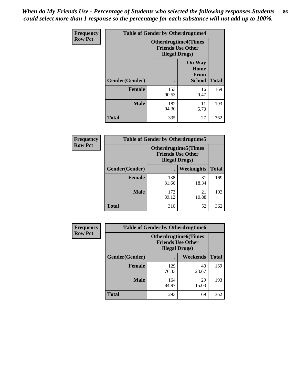*When do My Friends Use - Percentage of Students who selected the following responses.Students could select more than 1 response so the percentage for each substance will not add up to 100%.* **86**

| <b>Frequency</b> | <b>Table of Gender by Otherdrugtime4</b> |                                                    |                                                |              |
|------------------|------------------------------------------|----------------------------------------------------|------------------------------------------------|--------------|
| <b>Row Pct</b>   |                                          | <b>Friends Use Other</b><br><b>Illegal Drugs</b> ) | <b>Otherdrugtime4(Times</b>                    |              |
|                  | Gender(Gender)                           |                                                    | <b>On Way</b><br>Home<br><b>From</b><br>School | <b>Total</b> |
|                  | <b>Female</b>                            | 153<br>90.53                                       | 16<br>9.47                                     | 169          |
|                  | <b>Male</b>                              | 182<br>94.30                                       | 11<br>5.70                                     | 193          |
|                  | <b>Total</b>                             | 335                                                | 27                                             | 362          |

| Frequency      | <b>Table of Gender by Otherdrugtime5</b> |                                                                                    |             |              |
|----------------|------------------------------------------|------------------------------------------------------------------------------------|-------------|--------------|
| <b>Row Pct</b> |                                          | <b>Otherdrugtime5</b> (Times<br><b>Friends Use Other</b><br><b>Illegal Drugs</b> ) |             |              |
|                | Gender(Gender)                           |                                                                                    | Weeknights  | <b>Total</b> |
|                | <b>Female</b>                            | 138<br>81.66                                                                       | 31<br>18.34 | 169          |
|                | <b>Male</b>                              | 172<br>89.12                                                                       | 21<br>10.88 | 193          |
|                | <b>Total</b>                             | 310                                                                                | 52          | 362          |

| <b>Frequency</b> | <b>Table of Gender by Otherdrugtime6</b> |                                                                                   |             |              |
|------------------|------------------------------------------|-----------------------------------------------------------------------------------|-------------|--------------|
| <b>Row Pct</b>   |                                          | <b>Otherdrugtime6(Times</b><br><b>Friends Use Other</b><br><b>Illegal Drugs</b> ) |             |              |
|                  | Gender(Gender)                           |                                                                                   | Weekends    | <b>Total</b> |
|                  | <b>Female</b>                            | 129<br>76.33                                                                      | 40<br>23.67 | 169          |
|                  | <b>Male</b>                              | 164<br>84.97                                                                      | 29<br>15.03 | 193          |
|                  | <b>Total</b>                             | 293                                                                               | 69          | 362          |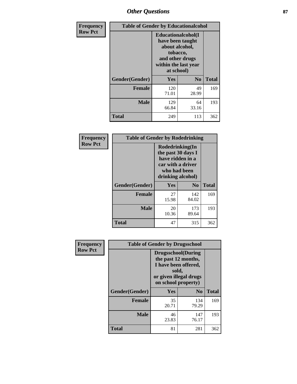## *Other Questions* **87**

| <b>Frequency</b> | <b>Table of Gender by Educationalcohol</b> |                                                                                                                                       |                |              |  |
|------------------|--------------------------------------------|---------------------------------------------------------------------------------------------------------------------------------------|----------------|--------------|--|
| <b>Row Pct</b>   |                                            | <b>Educationalcohol</b> (I<br>have been taught<br>about alcohol,<br>tobacco,<br>and other drugs<br>within the last year<br>at school) |                |              |  |
|                  | Gender(Gender)                             | <b>Yes</b>                                                                                                                            | N <sub>0</sub> | <b>Total</b> |  |
|                  | <b>Female</b>                              | 120<br>71.01                                                                                                                          | 49<br>28.99    | 169          |  |
|                  | <b>Male</b>                                | 129<br>66.84                                                                                                                          | 64<br>33.16    | 193          |  |
|                  | <b>Total</b>                               | 249                                                                                                                                   | 113            | 362          |  |

| Frequency      | <b>Table of Gender by Rodedrinking</b> |                                                                                                                     |                |              |  |
|----------------|----------------------------------------|---------------------------------------------------------------------------------------------------------------------|----------------|--------------|--|
| <b>Row Pct</b> |                                        | Rodedrinking(In<br>the past 30 days I<br>have ridden in a<br>car with a driver<br>who had been<br>drinking alcohol) |                |              |  |
|                | Gender(Gender)                         | Yes                                                                                                                 | N <sub>0</sub> | <b>Total</b> |  |
|                | <b>Female</b>                          | 27<br>15.98                                                                                                         | 142<br>84.02   | 169          |  |
|                | <b>Male</b>                            | 20<br>10.36                                                                                                         | 173<br>89.64   | 193          |  |
|                | <b>Total</b>                           | 47                                                                                                                  | 315            | 362          |  |

| <b>Frequency</b> | <b>Table of Gender by Drugsschool</b> |                                                                                                                                     |                |              |  |
|------------------|---------------------------------------|-------------------------------------------------------------------------------------------------------------------------------------|----------------|--------------|--|
| <b>Row Pct</b>   |                                       | <b>Drugsschool</b> (During<br>the past 12 months,<br>I have been offered,<br>sold,<br>or given illegal drugs<br>on school property) |                |              |  |
|                  | Gender(Gender)                        | <b>Yes</b>                                                                                                                          | N <sub>0</sub> | <b>Total</b> |  |
|                  | <b>Female</b>                         | 35<br>20.71                                                                                                                         | 134<br>79.29   | 169          |  |
|                  | <b>Male</b>                           | 46<br>23.83                                                                                                                         | 147<br>76.17   | 193          |  |
|                  | <b>Total</b>                          | 81                                                                                                                                  | 281            | 362          |  |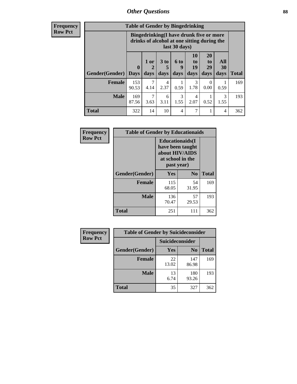### *Other Questions* **88**

**Frequency Row Pct**

| <b>Table of Gender by Bingedrinking</b> |                         |                                                                                                         |                   |                   |                        |                               |                   |              |
|-----------------------------------------|-------------------------|---------------------------------------------------------------------------------------------------------|-------------------|-------------------|------------------------|-------------------------------|-------------------|--------------|
|                                         |                         | Bingedrinking(I have drunk five or more<br>drinks of alcohol at one sitting during the<br>last 30 days) |                   |                   |                        |                               |                   |              |
| <b>Gender</b> (Gender)                  | $\bf{0}$<br><b>Days</b> | 1 or<br>days                                                                                            | 3 to<br>5<br>days | 6 to<br>9<br>days | 10<br>to<br>19<br>days | <b>20</b><br>to<br>29<br>days | All<br>30<br>days | <b>Total</b> |
| <b>Female</b>                           | 153<br>90.53            | 4.14                                                                                                    | 4<br>2.37         | 0.59              | 3<br>1.78              | 0<br>0.00                     | 0.59              | 169          |
|                                         |                         |                                                                                                         |                   |                   |                        |                               |                   |              |
| <b>Male</b>                             | 169<br>87.56            | 3.63                                                                                                    | 6<br>3.11         | 3<br>1.55         | 4<br>2.07              | 0.52                          | 3<br>1.55         | 193          |

| Frequency      | <b>Table of Gender by Educationaids</b> |                                                                                                 |                |              |
|----------------|-----------------------------------------|-------------------------------------------------------------------------------------------------|----------------|--------------|
| <b>Row Pct</b> |                                         | <b>Educationaids</b> (I<br>have been taught<br>about HIV/AIDS<br>at school in the<br>past year) |                |              |
|                | Gender(Gender)                          | Yes                                                                                             | N <sub>0</sub> | <b>Total</b> |
|                | <b>Female</b>                           | 115<br>68.05                                                                                    | 54<br>31.95    | 169          |
|                | <b>Male</b>                             | 136<br>70.47                                                                                    | 57<br>29.53    | 193          |
|                | <b>Total</b>                            | 251                                                                                             | 111            | 362          |

| <b>Frequency</b> | <b>Table of Gender by Suicideconsider</b> |                 |                |              |  |
|------------------|-------------------------------------------|-----------------|----------------|--------------|--|
| <b>Row Pct</b>   |                                           | Suicideconsider |                |              |  |
|                  | Gender(Gender)                            | Yes             | N <sub>0</sub> | <b>Total</b> |  |
|                  | <b>Female</b>                             | 22<br>13.02     | 147<br>86.98   | 169          |  |
|                  | <b>Male</b>                               | 13<br>6.74      | 180<br>93.26   | 193          |  |
|                  | Total                                     | 35              | 327            | 362          |  |